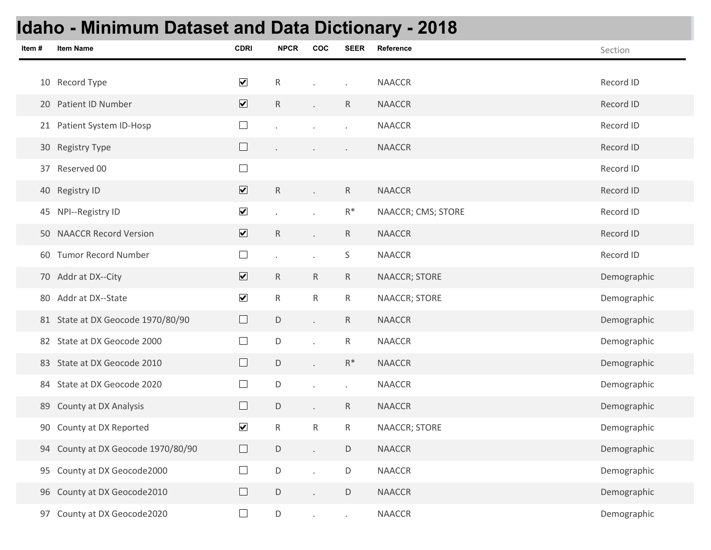## **Idaho - Minimum Dataset and Data Dictionary - 2018**

| Item# | <b>Item Name</b>                   | <b>CDRI</b>             | <b>NPCR</b>  | COC                         | <b>SEER</b>          | Reference            | Section     |
|-------|------------------------------------|-------------------------|--------------|-----------------------------|----------------------|----------------------|-------------|
|       |                                    |                         |              |                             |                      |                      |             |
|       | 10 Record Type                     | $\overline{\mathbf{v}}$ | ${\sf R}$    |                             | $\ddot{\phantom{0}}$ | <b>NAACCR</b>        | Record ID   |
|       | 20 Patient ID Number               | $\overline{\mathbf{v}}$ | $\mathsf{R}$ |                             | $\mathsf{R}$         | <b>NAACCR</b>        | Record ID   |
|       | 21 Patient System ID-Hosp          | $\Box$                  |              |                             | $\ddot{\phantom{a}}$ | <b>NAACCR</b>        | Record ID   |
|       | 30 Registry Type                   | $\Box$                  |              | $\bullet$                   | $\blacksquare$       | <b>NAACCR</b>        | Record ID   |
|       | 37 Reserved 00                     | $\Box$                  |              |                             |                      |                      | Record ID   |
|       | 40 Registry ID                     | $\overline{\mathbf{v}}$ | $\mathsf{R}$ |                             | $\mathsf{R}$         | <b>NAACCR</b>        | Record ID   |
|       | 45 NPI--Registry ID                | $\blacktriangledown$    |              |                             | $\mathsf{R}^*$       | NAACCR; CMS; STORE   | Record ID   |
|       | 50 NAACCR Record Version           | $\overline{\mathbf{v}}$ | ${\sf R}$    |                             | $\mathsf{R}$         | <b>NAACCR</b>        | Record ID   |
|       | 60 Tumor Record Number             | $\Box$                  |              | $\mathcal{L}^{\mathcal{L}}$ | $\mathsf S$          | <b>NAACCR</b>        | Record ID   |
|       | 70 Addr at DX--City                | $\overline{\mathbf{v}}$ | $\mathsf{R}$ | R                           | $\mathsf{R}$         | <b>NAACCR; STORE</b> | Demographic |
|       | 80 Addr at DX--State               | $\blacktriangledown$    | ${\sf R}$    | $\mathsf{R}$                | ${\sf R}$            | NAACCR; STORE        | Demographic |
|       | 81 State at DX Geocode 1970/80/90  | $\Box$                  | $\mathsf D$  | $\mathcal{L}^{\pm}$         | $\mathsf{R}$         | <b>NAACCR</b>        | Demographic |
|       | 82 State at DX Geocode 2000        | $\Box$                  | D            |                             | ${\sf R}$            | <b>NAACCR</b>        | Demographic |
|       | 83 State at DX Geocode 2010        | $\Box$                  | $\mathsf D$  |                             | $R^*$                | <b>NAACCR</b>        | Demographic |
|       | 84 State at DX Geocode 2020        | $\Box$                  | D            | $\mathcal{L}^{\pm}$         | $\ddot{\phantom{0}}$ | <b>NAACCR</b>        | Demographic |
| 89    | <b>County at DX Analysis</b>       | $\Box$                  | D            |                             | $\mathsf{R}$         | <b>NAACCR</b>        | Demographic |
|       | 90 County at DX Reported           | $\blacktriangledown$    | ${\sf R}$    | $\mathsf{R}$                | $\mathsf{R}$         | NAACCR; STORE        | Demographic |
|       | 94 County at DX Geocode 1970/80/90 | $\Box$                  | $\mathsf D$  |                             | D                    | <b>NAACCR</b>        | Demographic |
|       | 95 County at DX Geocode2000        | $\Box$                  | $\mathsf D$  |                             | D                    | NAACCR               | Demographic |
|       | 96 County at DX Geocode2010        | $\Box$                  | $\mathsf D$  |                             | $\mathsf D$          | <b>NAACCR</b>        | Demographic |
|       | 97 County at DX Geocode2020        | $\Box$                  | $\mathsf D$  | $\overline{\phantom{a}}$    | $\epsilon$           | NAACCR               | Demographic |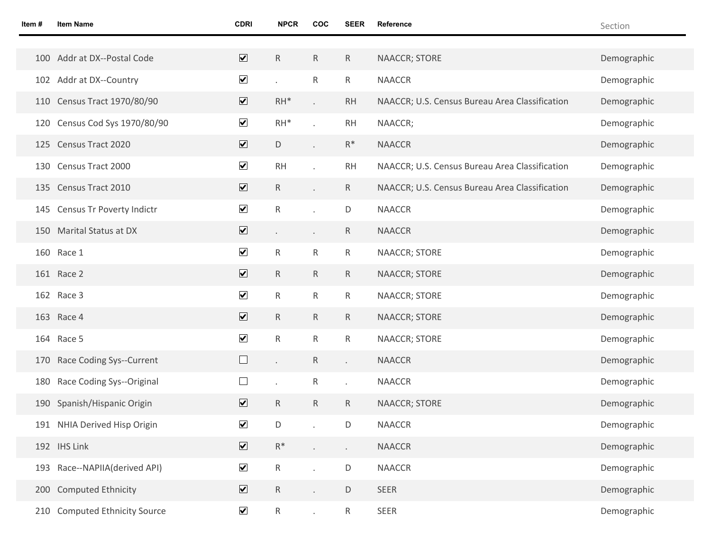| Item# | <b>Item Name</b>              | <b>CDRI</b>                  | <b>NPCR</b>          | COC                  | <b>SEER</b>  | Reference                                      | Section     |
|-------|-------------------------------|------------------------------|----------------------|----------------------|--------------|------------------------------------------------|-------------|
|       |                               |                              |                      |                      |              |                                                |             |
|       | 100 Addr at DX--Postal Code   | $\overline{\textbf{v}}$      | $\mathsf R$          | $\mathsf{R}$         | $\mathsf{R}$ | NAACCR; STORE                                  | Demographic |
|       | 102 Addr at DX--Country       | $\blacktriangledown$         | $\ddot{\phantom{a}}$ | R                    | $\mathsf{R}$ | <b>NAACCR</b>                                  | Demographic |
|       | 110 Census Tract 1970/80/90   | $\overline{\textbf{v}}$      | $RH^*$               |                      | <b>RH</b>    | NAACCR; U.S. Census Bureau Area Classification | Demographic |
|       | 120 Census Cod Sys 1970/80/90 | $\blacktriangledown$         | $RH^*$               | $\cdot$              | <b>RH</b>    | NAACCR;                                        | Demographic |
|       | 125 Census Tract 2020         | $\boxed{\blacktriangledown}$ | D                    | $\ddot{\phantom{0}}$ | $R^*$        | <b>NAACCR</b>                                  | Demographic |
|       | 130 Census Tract 2000         | $\blacktriangledown$         | <b>RH</b>            |                      | <b>RH</b>    | NAACCR; U.S. Census Bureau Area Classification | Demographic |
|       | 135 Census Tract 2010         | $\boxed{\blacktriangledown}$ | $\mathsf R$          | $\epsilon$           | R.           | NAACCR; U.S. Census Bureau Area Classification | Demographic |
| 145   | Census Tr Poverty Indictr     | $\blacktriangledown$         | ${\sf R}$            | $\ddot{\phantom{a}}$ | D            | <b>NAACCR</b>                                  | Demographic |
|       | 150 Marital Status at DX      | $\boxed{\blacktriangledown}$ | $\epsilon$           | $\epsilon$           | R.           | <b>NAACCR</b>                                  | Demographic |
|       | 160 Race 1                    | $\blacktriangledown$         | ${\sf R}$            | R                    | $\mathsf{R}$ | NAACCR; STORE                                  | Demographic |
|       | 161 Race 2                    | $\boxed{\blacktriangledown}$ | $\mathsf R$          | $\mathsf{R}$         | $\mathsf{R}$ | NAACCR; STORE                                  | Demographic |
|       | 162 Race 3                    | $\blacktriangledown$         | ${\sf R}$            | ${\sf R}$            | $\mathsf{R}$ | NAACCR; STORE                                  | Demographic |
|       | 163 Race 4                    | $\overline{\mathbf{v}}$      | $\mathsf R$          | $\mathsf{R}$         | $\mathsf{R}$ | NAACCR; STORE                                  | Demographic |
|       | 164 Race 5                    | $\blacktriangledown$         | ${\sf R}$            | R                    | R            | NAACCR; STORE                                  | Demographic |
|       | 170 Race Coding Sys--Current  | $\Box$                       | $\epsilon$           | $\mathsf{R}$         |              | <b>NAACCR</b>                                  | Demographic |
| 180   | Race Coding Sys--Original     | ⊔                            | $\epsilon$           | R                    |              | <b>NAACCR</b>                                  | Demographic |
|       | 190 Spanish/Hispanic Origin   | $\overline{\mathbf{v}}$      | ${\sf R}$            | R                    | $\mathsf{R}$ | NAACCR; STORE                                  | Demographic |
|       | 191 NHIA Derived Hisp Origin  | $\blacktriangledown$         | D                    |                      | D            | <b>NAACCR</b>                                  | Demographic |
|       | 192 IHS Link                  | $\boxed{\blacktriangledown}$ | $\mathsf{R}^*$       |                      | $\epsilon$   | <b>NAACCR</b>                                  | Demographic |
|       | 193 Race--NAPIIA(derived API) | $\blacktriangledown$         | ${\sf R}$            |                      | D            | <b>NAACCR</b>                                  | Demographic |
|       | 200 Computed Ethnicity        | $\overline{\mathbf{v}}$      | ${\sf R}$            |                      | D            | SEER                                           | Demographic |
|       | 210 Computed Ethnicity Source | $\blacktriangledown$         | $\mathsf R$          |                      | R            | SEER                                           | Demographic |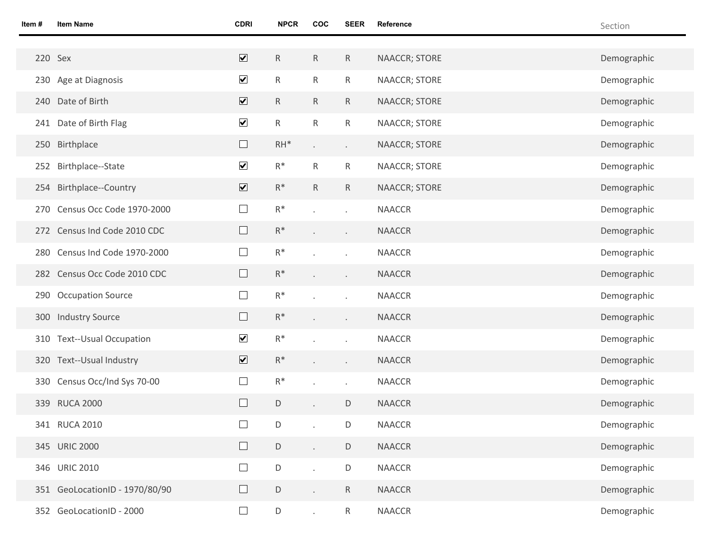| Item #  | <b>Item Name</b>               | <b>CDRI</b>             | <b>NPCR</b>  | <b>COC</b>                  | <b>SEER</b>              | Reference     | Section     |
|---------|--------------------------------|-------------------------|--------------|-----------------------------|--------------------------|---------------|-------------|
|         |                                |                         |              |                             |                          |               |             |
| 220 Sex |                                | $\overline{\mathbf{v}}$ | $\mathsf{R}$ | $\mathsf{R}$                | ${\sf R}$                | NAACCR; STORE | Demographic |
|         | 230 Age at Diagnosis           | $\blacktriangledown$    | $\mathsf{R}$ | $\mathsf{R}$                | ${\sf R}$                | NAACCR; STORE | Demographic |
|         | 240 Date of Birth              | $\overline{\mathbf{v}}$ | $\mathsf{R}$ | $R_{\parallel}$             | $\mathsf R$              | NAACCR; STORE | Demographic |
|         | 241 Date of Birth Flag         | $\blacktriangledown$    | $\mathsf{R}$ | $\mathsf{R}$                | ${\sf R}$                | NAACCR; STORE | Demographic |
|         | 250 Birthplace                 | $\Box$                  | $RH^*$       | $\epsilon$                  | $\epsilon$               | NAACCR; STORE | Demographic |
|         | 252 Birthplace--State          | $\blacktriangledown$    | $R^*$        | $\mathsf{R}$                | ${\sf R}$                | NAACCR; STORE | Demographic |
|         | 254 Birthplace--Country        | $\overline{\mathbf{v}}$ | $R^*$        | $\mathsf{R}$                | $\mathsf{R}$             | NAACCR; STORE | Demographic |
|         | 270 Census Occ Code 1970-2000  | $\Box$                  | $R^*$        |                             | $\mathcal{A}$            | <b>NAACCR</b> | Demographic |
|         | 272 Census Ind Code 2010 CDC   | $\Box$                  | $R^*$        |                             | $\epsilon$               | <b>NAACCR</b> | Demographic |
|         | 280 Census Ind Code 1970-2000  | $\Box$                  | $R^*$        |                             | $\mathcal{L}$            | <b>NAACCR</b> | Demographic |
|         | 282 Census Occ Code 2010 CDC   | $\Box$                  | $R^*$        |                             | $\epsilon$               | <b>NAACCR</b> | Demographic |
|         | 290 Occupation Source          | $\Box$                  | $R^*$        |                             | $\epsilon$               | <b>NAACCR</b> | Demographic |
|         | 300 Industry Source            | $\Box$                  | $R^*$        |                             | $\epsilon$               | <b>NAACCR</b> | Demographic |
|         | 310 Text--Usual Occupation     | $\blacktriangledown$    | $R^*$        |                             | $\cdot$                  | <b>NAACCR</b> | Demographic |
|         | 320 Text--Usual Industry       | $\overline{\mathbf{v}}$ | $R^*$        |                             | $\epsilon$               | <b>NAACCR</b> | Demographic |
|         | 330 Census Occ/Ind Sys 70-00   | $\Box$                  | $R^*$        |                             | $\overline{\phantom{a}}$ | <b>NAACCR</b> | Demographic |
|         | 339 RUCA 2000                  | $\Box$                  | D            |                             | D                        | <b>NAACCR</b> | Demographic |
|         | 341 RUCA 2010                  | $\Box$                  | $\mathsf D$  |                             | $\mathsf D$              | NAACCR        | Demographic |
|         | 345 URIC 2000                  | $\Box$                  | $\mathsf D$  | $\mathbf{L}$                | D                        | <b>NAACCR</b> | Demographic |
|         | 346 URIC 2010                  | $\Box$                  | $\mathsf D$  | $\mathbf{r}$                | D                        | <b>NAACCR</b> | Demographic |
|         | 351 GeoLocationID - 1970/80/90 | $\Box$                  | $\mathsf D$  | $\mathcal{L}^{\mathcal{L}}$ | $\mathsf R$              | <b>NAACCR</b> | Demographic |
|         | 352 GeoLocationID - 2000       | $\Box$                  | $\mathsf D$  |                             | R                        | <b>NAACCR</b> | Demographic |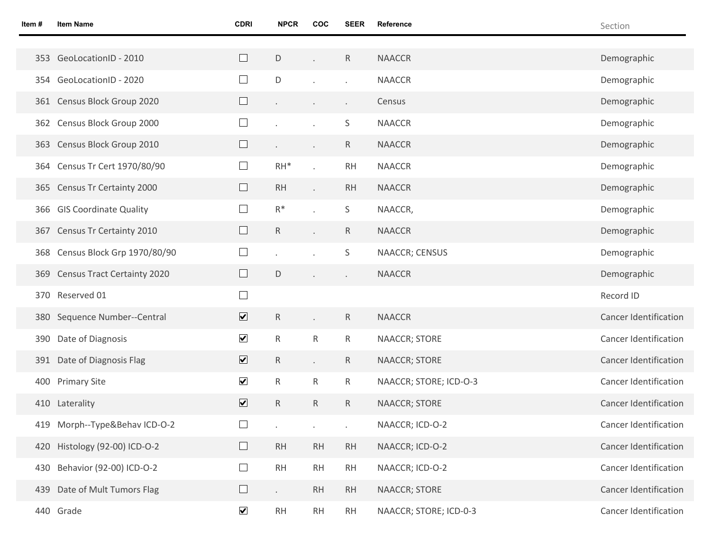| Item# | <b>Item Name</b>                   | <b>CDRI</b>             | <b>NPCR</b>                 | COC                 | <b>SEER</b>              | Reference              | Section                      |
|-------|------------------------------------|-------------------------|-----------------------------|---------------------|--------------------------|------------------------|------------------------------|
|       |                                    |                         |                             |                     |                          |                        |                              |
|       | 353 GeoLocationID - 2010           | $\Box$                  | $\mathsf D$                 |                     | $\mathsf{R}$             | <b>NAACCR</b>          | Demographic                  |
|       | 354 GeoLocationID - 2020           | $\Box$                  | D                           |                     | $\ddot{\phantom{a}}$     | <b>NAACCR</b>          | Demographic                  |
|       | 361 Census Block Group 2020        | $\Box$                  |                             |                     | $\blacksquare$           | Census                 | Demographic                  |
|       | 362 Census Block Group 2000        | $\Box$                  |                             |                     | S                        | <b>NAACCR</b>          | Demographic                  |
|       | 363 Census Block Group 2010        | $\Box$                  |                             | $\epsilon$          | R                        | <b>NAACCR</b>          | Demographic                  |
|       | 364 Census Tr Cert 1970/80/90      | $\Box$                  | $RH^*$                      |                     | <b>RH</b>                | <b>NAACCR</b>          | Demographic                  |
|       | 365 Census Tr Certainty 2000       | $\Box$                  | <b>RH</b>                   |                     | <b>RH</b>                | <b>NAACCR</b>          | Demographic                  |
|       | 366 GIS Coordinate Quality         | $\Box$                  | $R^*$                       |                     | S                        | NAACCR,                | Demographic                  |
|       | 367 Census Tr Certainty 2010       | $\Box$                  | $\mathsf{R}$                |                     | $\mathsf{R}$             | <b>NAACCR</b>          | Demographic                  |
| 368   | Census Block Grp 1970/80/90        | $\Box$                  |                             |                     | S                        | NAACCR; CENSUS         | Demographic                  |
| 369   | <b>Census Tract Certainty 2020</b> | $\Box$                  | D                           |                     | $\overline{\phantom{a}}$ | <b>NAACCR</b>          | Demographic                  |
|       | 370 Reserved 01                    | $\Box$                  |                             |                     |                          |                        | Record ID                    |
|       | 380 Sequence Number--Central       | $\overline{\mathbf{v}}$ | $\mathsf{R}$                |                     | $\mathsf{R}$             | <b>NAACCR</b>          | <b>Cancer Identification</b> |
|       | 390 Date of Diagnosis              | $\blacktriangledown$    | $\mathsf{R}$                | R                   | $\mathsf{R}$             | NAACCR; STORE          | <b>Cancer Identification</b> |
|       | 391 Date of Diagnosis Flag         | $\overline{\mathbf{v}}$ | $\mathsf{R}$                | $\mathcal{L}^{\pm}$ | $\mathsf{R}$             | NAACCR; STORE          | <b>Cancer Identification</b> |
|       | 400 Primary Site                   | $\blacktriangledown$    | $\mathsf{R}$                | $\mathsf{R}$        | $\mathsf{R}$             | NAACCR; STORE; ICD-O-3 | <b>Cancer Identification</b> |
|       | 410 Laterality                     | $\overline{\mathbf{v}}$ | $\mathsf{R}$                | $\mathsf{R}$        | R                        | <b>NAACCR; STORE</b>   | <b>Cancer Identification</b> |
|       | 419 Morph--Type&Behav ICD-O-2      | $\Box$                  |                             |                     |                          | NAACCR; ICD-O-2        | Cancer Identification        |
|       | 420 Histology (92-00) ICD-O-2      | $\Box$                  | <b>RH</b>                   | RH                  | RH                       | NAACCR; ICD-O-2        | <b>Cancer Identification</b> |
| 430   | Behavior (92-00) ICD-O-2           | $\Box$                  | RH                          | <b>RH</b>           | <b>RH</b>                | NAACCR; ICD-O-2        | Cancer Identification        |
|       | 439 Date of Mult Tumors Flag       | $\Box$                  | $\mathcal{L}^{\mathcal{L}}$ | <b>RH</b>           | RH                       | NAACCR; STORE          | Cancer Identification        |
|       | 440 Grade                          | $\blacktriangledown$    | RH                          | RH                  | <b>RH</b>                | NAACCR; STORE; ICD-0-3 | Cancer Identification        |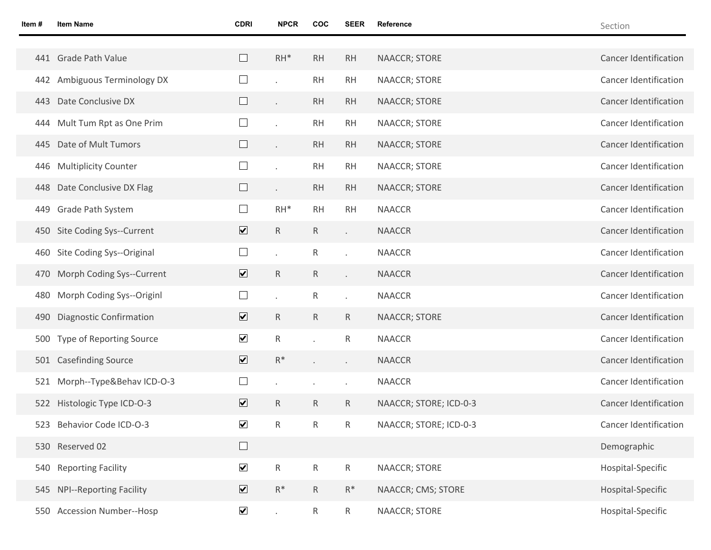| Item # | <b>Item Name</b>               | <b>CDRI</b>             | <b>NPCR</b>  | COC             | <b>SEER</b>          | Reference              | Section                      |
|--------|--------------------------------|-------------------------|--------------|-----------------|----------------------|------------------------|------------------------------|
|        |                                |                         |              |                 |                      |                        |                              |
|        | 441 Grade Path Value           |                         | $RH^*$       | RH              | <b>RH</b>            | <b>NAACCR; STORE</b>   | <b>Cancer Identification</b> |
|        | 442 Ambiguous Terminology DX   | $\Box$                  |              | <b>RH</b>       | <b>RH</b>            | <b>NAACCR; STORE</b>   | <b>Cancer Identification</b> |
| 443    | Date Conclusive DX             |                         |              | RH              | <b>RH</b>            | <b>NAACCR; STORE</b>   | <b>Cancer Identification</b> |
|        | 444 Mult Tum Rpt as One Prim   |                         |              | <b>RH</b>       | <b>RH</b>            | <b>NAACCR; STORE</b>   | <b>Cancer Identification</b> |
| 445    | Date of Mult Tumors            |                         |              | RH              | <b>RH</b>            | <b>NAACCR; STORE</b>   | <b>Cancer Identification</b> |
| 446    | <b>Multiplicity Counter</b>    |                         |              | <b>RH</b>       | <b>RH</b>            | <b>NAACCR; STORE</b>   | <b>Cancer Identification</b> |
|        | 448 Date Conclusive DX Flag    |                         |              | RH              | <b>RH</b>            | <b>NAACCR; STORE</b>   | <b>Cancer Identification</b> |
| 449    | Grade Path System              |                         | $RH^*$       | <b>RH</b>       | <b>RH</b>            | <b>NAACCR</b>          | <b>Cancer Identification</b> |
|        | 450 Site Coding Sys--Current   | $\overline{\mathbf{v}}$ | $\mathsf{R}$ | $\mathsf{R}$    | $\ddot{\phantom{0}}$ | <b>NAACCR</b>          | Cancer Identification        |
|        | 460 Site Coding Sys--Original  | $\Box$                  |              | R               | $\ddot{\phantom{0}}$ | <b>NAACCR</b>          | <b>Cancer Identification</b> |
| 470    | Morph Coding Sys--Current      | $\overline{\mathbf{v}}$ | $\mathsf{R}$ | R               | $\ddot{\phantom{0}}$ | <b>NAACCR</b>          | <b>Cancer Identification</b> |
| 480    | Morph Coding Sys--Originl      | $\Box$                  |              | R               |                      | <b>NAACCR</b>          | <b>Cancer Identification</b> |
| 490    | <b>Diagnostic Confirmation</b> | $\overline{\mathbf{v}}$ | $\mathsf{R}$ | R               | $\mathsf{R}$         | NAACCR; STORE          | <b>Cancer Identification</b> |
| 500    | Type of Reporting Source       | $\blacktriangledown$    | $\mathsf{R}$ |                 | R                    | <b>NAACCR</b>          | <b>Cancer Identification</b> |
|        | 501 Casefinding Source         | $\overline{\mathbf{v}}$ | $R^*$        |                 | $\epsilon$           | <b>NAACCR</b>          | <b>Cancer Identification</b> |
|        | 521 Morph--Type&Behav ICD-O-3  |                         |              |                 | ٠                    | <b>NAACCR</b>          | <b>Cancer Identification</b> |
|        | 522 Histologic Type ICD-O-3    | $\overline{\mathbf{v}}$ | ${\sf R}$    | R               | R                    | NAACCR; STORE; ICD-0-3 | <b>Cancer Identification</b> |
| 523    | <b>Behavior Code ICD-O-3</b>   | $\blacktriangledown$    | R            | R               | R                    | NAACCR; STORE; ICD-0-3 | Cancer Identification        |
|        | 530 Reserved 02                | $\Box$                  |              |                 |                      |                        | Demographic                  |
|        | 540 Reporting Facility         | $\blacktriangledown$    | $\mathsf{R}$ | $\mathsf{R}$    | $\mathsf{R}$         | <b>NAACCR; STORE</b>   | Hospital-Specific            |
|        | 545 NPI--Reporting Facility    | $\overline{\mathbf{v}}$ | $R^*$        | $\mathsf{R}$    | $R^*$                | NAACCR; CMS; STORE     | Hospital-Specific            |
|        | 550 Accession Number--Hosp     | $\blacktriangledown$    |              | $R_{\parallel}$ | $\mathsf{R}$         | NAACCR; STORE          | Hospital-Specific            |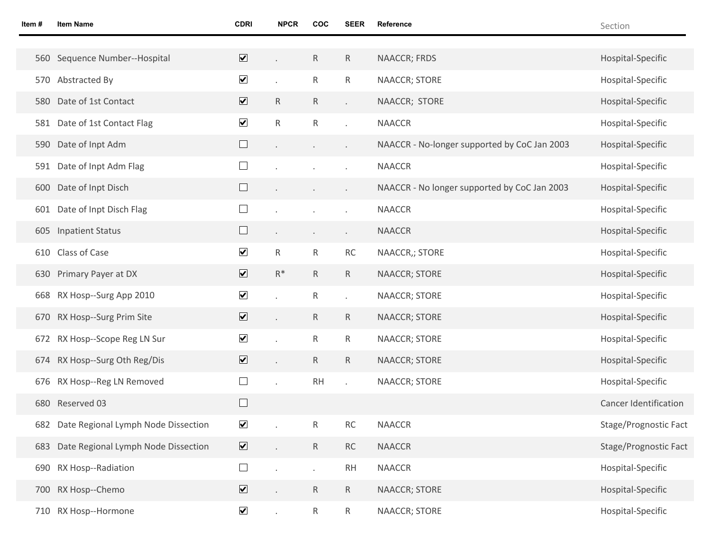| Item# | <b>Item Name</b>                        | <b>CDRI</b>                  | <b>NPCR</b>  | <b>COC</b>   | <b>SEER</b>          | Reference                                    | Section                      |
|-------|-----------------------------------------|------------------------------|--------------|--------------|----------------------|----------------------------------------------|------------------------------|
|       |                                         |                              |              |              |                      |                                              |                              |
|       | 560 Sequence Number--Hospital           | $\overline{\mathbf{v}}$      |              | ${\sf R}$    | $\mathsf{R}$         | NAACCR; FRDS                                 | Hospital-Specific            |
|       | 570 Abstracted By                       | $\blacktriangledown$         |              | $\mathsf R$  | $\mathsf{R}$         | NAACCR; STORE                                | Hospital-Specific            |
|       | 580 Date of 1st Contact                 | $\overline{\mathbf{v}}$      | R            | $\mathsf{R}$ | $\ddot{\phantom{a}}$ | NAACCR; STORE                                | Hospital-Specific            |
|       | 581 Date of 1st Contact Flag            | $\blacktriangledown$         | $\mathsf{R}$ | ${\sf R}$    |                      | <b>NAACCR</b>                                | Hospital-Specific            |
|       | 590 Date of Inpt Adm                    | $\Box$                       |              | $\bullet$    |                      | NAACCR - No-longer supported by CoC Jan 2003 | Hospital-Specific            |
|       | 591 Date of Inpt Adm Flag               | $\Box$                       |              |              |                      | <b>NAACCR</b>                                | Hospital-Specific            |
|       | 600 Date of Inpt Disch                  | $\Box$                       |              | $\cdot$      |                      | NAACCR - No longer supported by CoC Jan 2003 | Hospital-Specific            |
|       | 601 Date of Inpt Disch Flag             | ⊔                            |              |              |                      | <b>NAACCR</b>                                | Hospital-Specific            |
| 605   | <b>Inpatient Status</b>                 | ⊔                            |              | $\bullet$    | $\cdot$              | <b>NAACCR</b>                                | Hospital-Specific            |
|       | 610 Class of Case                       | $\blacktriangledown$         | $\mathsf{R}$ | $\mathsf{R}$ | RC                   | NAACCR,; STORE                               | Hospital-Specific            |
|       | 630 Primary Payer at DX                 | $\overline{\mathbf{v}}$      | $R^*$        | $\mathsf{R}$ | $\mathsf{R}$         | NAACCR; STORE                                | Hospital-Specific            |
|       | 668 RX Hosp--Surg App 2010              | $\blacktriangledown$         |              | $\mathsf R$  |                      | NAACCR; STORE                                | Hospital-Specific            |
|       | 670 RX Hosp--Surg Prim Site             | $\blacktriangledown$         |              | $\mathsf{R}$ | $\mathsf{R}$         | NAACCR; STORE                                | Hospital-Specific            |
|       | 672 RX Hosp--Scope Reg LN Sur           | $\blacktriangledown$         |              | $\mathsf R$  | R                    | NAACCR; STORE                                | Hospital-Specific            |
|       | 674 RX Hosp--Surg Oth Reg/Dis           | $\overline{\mathbf{v}}$      |              | $\mathsf{R}$ | $\mathsf{R}$         | NAACCR; STORE                                | Hospital-Specific            |
|       | 676 RX Hosp--Reg LN Removed             |                              |              | <b>RH</b>    |                      | NAACCR; STORE                                | Hospital-Specific            |
|       | 680 Reserved 03                         | $\Box$                       |              |              |                      |                                              | <b>Cancer Identification</b> |
|       | 682 Date Regional Lymph Node Dissection | $\blacktriangledown$         |              | R            | <b>RC</b>            | <b>NAACCR</b>                                | Stage/Prognostic Fact        |
|       | 683 Date Regional Lymph Node Dissection | $\blacktriangledown$         |              | $\mathsf{R}$ | RC                   | <b>NAACCR</b>                                | Stage/Prognostic Fact        |
|       | 690 RX Hosp--Radiation                  | $\mathcal{L}^{\mathcal{A}}$  |              |              | <b>RH</b>            | <b>NAACCR</b>                                | Hospital-Specific            |
|       | 700 RX Hosp--Chemo                      | $\boxed{\blacktriangledown}$ |              | $\mathsf{R}$ | $R_{\parallel}$      | NAACCR; STORE                                | Hospital-Specific            |
|       | 710 RX Hosp--Hormone                    | $\blacktriangledown$         |              | $\mathsf{R}$ | $R_{\parallel}$      | NAACCR; STORE                                | Hospital-Specific            |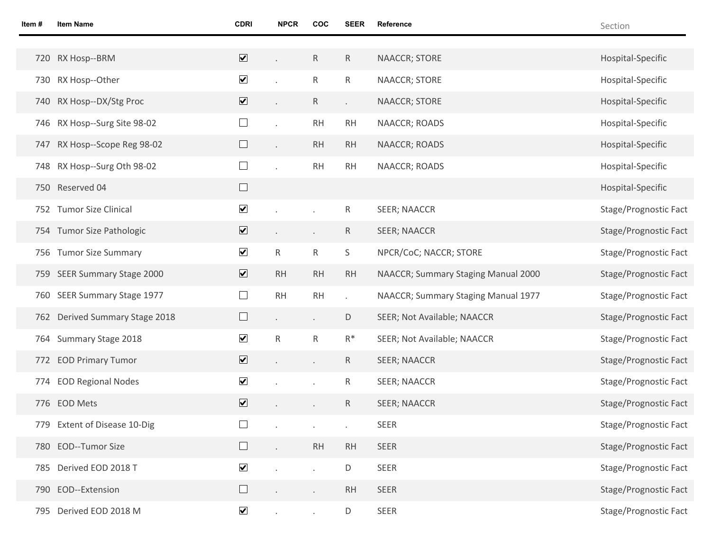| Item# | <b>Item Name</b>               | <b>CDRI</b>                  | <b>NPCR</b>  | <b>COC</b>   | <b>SEER</b>  | Reference                           | Section               |
|-------|--------------------------------|------------------------------|--------------|--------------|--------------|-------------------------------------|-----------------------|
|       |                                |                              |              |              |              |                                     |                       |
|       | 720 RX Hosp--BRM               | $\overline{\mathbf{v}}$      |              | $\mathsf{R}$ | $\mathsf{R}$ | NAACCR; STORE                       | Hospital-Specific     |
|       | 730 RX Hosp--Other             | $\blacktriangledown$         |              | R            | $\mathsf{R}$ | NAACCR; STORE                       | Hospital-Specific     |
|       | 740 RX Hosp--DX/Stg Proc       | $\boxed{\blacktriangledown}$ |              | R            | $\epsilon$   | NAACCR; STORE                       | Hospital-Specific     |
|       | 746 RX Hosp--Surg Site 98-02   | $\Box$                       |              | <b>RH</b>    | RH           | NAACCR; ROADS                       | Hospital-Specific     |
|       | 747 RX Hosp--Scope Reg 98-02   | $\Box$                       |              | RH           | <b>RH</b>    | NAACCR; ROADS                       | Hospital-Specific     |
|       | 748 RX Hosp--Surg Oth 98-02    | $\sqcup$                     |              | RH           | RH           | NAACCR; ROADS                       | Hospital-Specific     |
|       | 750 Reserved 04                | $\Box$                       |              |              |              |                                     | Hospital-Specific     |
|       | 752 Tumor Size Clinical        | $\blacktriangledown$         |              |              | $\mathsf{R}$ | SEER; NAACCR                        | Stage/Prognostic Fact |
|       | 754 Tumor Size Pathologic      | $\boxed{\blacktriangledown}$ |              | $\epsilon$   | $\mathsf{R}$ | <b>SEER; NAACCR</b>                 | Stage/Prognostic Fact |
|       | 756 Tumor Size Summary         | $\blacktriangledown$         | $\mathsf{R}$ | $\mathsf{R}$ | S            | NPCR/CoC; NACCR; STORE              | Stage/Prognostic Fact |
|       | 759 SEER Summary Stage 2000    | $\blacktriangledown$         | RH           | RH           | <b>RH</b>    | NAACCR; Summary Staging Manual 2000 | Stage/Prognostic Fact |
|       | 760 SEER Summary Stage 1977    | $\Box$                       | RH           | RH           |              | NAACCR; Summary Staging Manual 1977 | Stage/Prognostic Fact |
|       | 762 Derived Summary Stage 2018 | $\Box$                       |              | $\epsilon$   | D            | SEER; Not Available; NAACCR         | Stage/Prognostic Fact |
|       | 764 Summary Stage 2018         | $\blacktriangledown$         | R            | $\mathsf R$  | $R^*$        | SEER; Not Available; NAACCR         | Stage/Prognostic Fact |
|       | 772 EOD Primary Tumor          | $\overline{\mathbf{v}}$      |              | $\epsilon$   | $\mathsf{R}$ | <b>SEER; NAACCR</b>                 | Stage/Prognostic Fact |
|       | 774 EOD Regional Nodes         | $\blacktriangledown$         |              |              | $\mathsf{R}$ | <b>SEER; NAACCR</b>                 | Stage/Prognostic Fact |
|       | 776 EOD Mets                   | $\overline{\mathbf{v}}$      |              |              | $\mathsf R$  | <b>SEER; NAACCR</b>                 | Stage/Prognostic Fact |
|       | 779 Extent of Disease 10-Dig   | $\Box$                       |              |              |              | SEER                                | Stage/Prognostic Fact |
|       | 780 EOD--Tumor Size            | $\Box$                       |              | RH           | RH           | SEER                                | Stage/Prognostic Fact |
|       | 785 Derived EOD 2018 T         | $\blacktriangledown$         |              |              | D            | SEER                                | Stage/Prognostic Fact |
|       | 790 EOD--Extension             | $\Box$                       |              | $\epsilon$   | <b>RH</b>    | SEER                                | Stage/Prognostic Fact |
|       | 795 Derived EOD 2018 M         | $\blacktriangledown$         |              |              | D            | SEER                                | Stage/Prognostic Fact |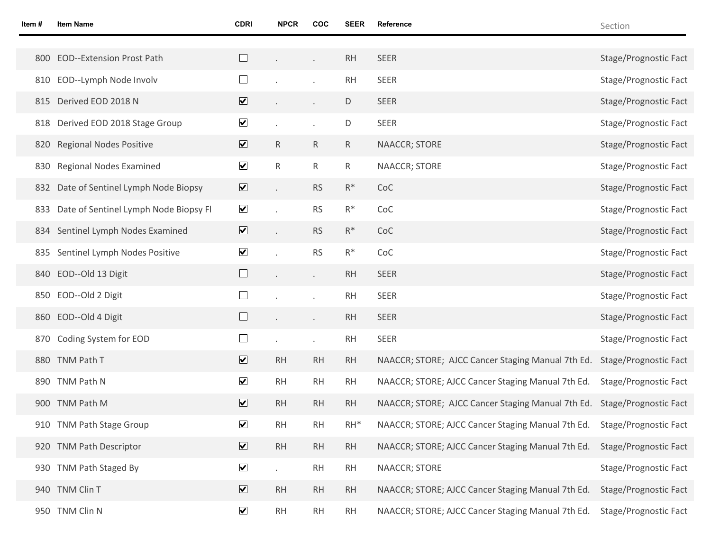| ltem # | <b>Item Name</b>                          | <b>CDRI</b>                  | <b>NPCR</b>  | COC            | <b>SEER</b>    | Reference                                         | Section               |
|--------|-------------------------------------------|------------------------------|--------------|----------------|----------------|---------------------------------------------------|-----------------------|
|        |                                           |                              |              |                |                |                                                   |                       |
|        | 800 EOD--Extension Prost Path             |                              |              | $\blacksquare$ | <b>RH</b>      | <b>SEER</b>                                       | Stage/Prognostic Fact |
| 810    | EOD--Lymph Node Involv                    |                              |              |                | <b>RH</b>      | <b>SEER</b>                                       | Stage/Prognostic Fact |
|        | 815 Derived EOD 2018 N                    | $\overline{\mathbf{v}}$      |              | $\cdot$        | $\mathsf D$    | SEER                                              | Stage/Prognostic Fact |
|        | 818 Derived EOD 2018 Stage Group          | $\blacktriangledown$         |              |                | $\mathsf D$    | SEER                                              | Stage/Prognostic Fact |
|        | 820 Regional Nodes Positive               | $\overline{\mathbf{v}}$      | $\mathsf{R}$ | $\mathsf{R}$   | $\mathsf{R}$   | NAACCR; STORE                                     | Stage/Prognostic Fact |
|        | 830 Regional Nodes Examined               | $\blacktriangledown$         | $\mathsf R$  | $\mathsf R$    | $\mathsf{R}$   | NAACCR; STORE                                     | Stage/Prognostic Fact |
|        | 832 Date of Sentinel Lymph Node Biopsy    | $\blacktriangledown$         |              | <b>RS</b>      | $R^*$          | CoC                                               | Stage/Prognostic Fact |
|        | 833 Date of Sentinel Lymph Node Biopsy Fl | $\blacktriangledown$         |              | <b>RS</b>      | $\mathsf{R}^*$ | CoC                                               | Stage/Prognostic Fact |
|        | 834 Sentinel Lymph Nodes Examined         | $\overline{\mathbf{v}}$      |              | <b>RS</b>      | $R^*$          | CoC                                               | Stage/Prognostic Fact |
| 835    | Sentinel Lymph Nodes Positive             | $\blacktriangledown$         |              | <b>RS</b>      | $\mathsf{R}^*$ | CoC                                               | Stage/Prognostic Fact |
|        | 840 EOD--Old 13 Digit                     |                              |              | $\epsilon$     | <b>RH</b>      | SEER                                              | Stage/Prognostic Fact |
|        | 850 EOD--Old 2 Digit                      |                              |              |                | <b>RH</b>      | SEER                                              | Stage/Prognostic Fact |
|        | 860 EOD--Old 4 Digit                      |                              |              |                | <b>RH</b>      | SEER                                              | Stage/Prognostic Fact |
|        | 870 Coding System for EOD                 |                              |              |                | <b>RH</b>      | SEER                                              | Stage/Prognostic Fact |
|        | 880 TNM Path T                            | $\overline{\mathbf{v}}$      | <b>RH</b>    | RH             | RH             | NAACCR; STORE; AJCC Cancer Staging Manual 7th Ed. | Stage/Prognostic Fact |
|        | 890 TNM Path N                            | $\blacktriangledown$         | <b>RH</b>    | <b>RH</b>      | <b>RH</b>      | NAACCR; STORE; AJCC Cancer Staging Manual 7th Ed. | Stage/Prognostic Fact |
|        | 900 TNM Path M                            | $\overline{\mathbf{v}}$      | <b>RH</b>    | <b>RH</b>      | <b>RH</b>      | NAACCR; STORE; AJCC Cancer Staging Manual 7th Ed. | Stage/Prognostic Fact |
|        | 910 TNM Path Stage Group                  | $\blacktriangledown$         | RH           | RH             | $RH^*$         | NAACCR; STORE; AJCC Cancer Staging Manual 7th Ed. | Stage/Prognostic Fact |
|        | 920 TNM Path Descriptor                   | $\blacktriangledown$         | RH           | RH             | <b>RH</b>      | NAACCR; STORE; AJCC Cancer Staging Manual 7th Ed. | Stage/Prognostic Fact |
|        | 930 TNM Path Staged By                    | $\blacktriangledown$         |              | RH             | <b>RH</b>      | <b>NAACCR; STORE</b>                              | Stage/Prognostic Fact |
|        | 940 TNM Clin T                            | $\boxed{\blacktriangledown}$ | <b>RH</b>    | RH             | <b>RH</b>      | NAACCR; STORE; AJCC Cancer Staging Manual 7th Ed. | Stage/Prognostic Fact |
|        | 950 TNM Clin N                            | $\blacktriangledown$         | RH           | RH             | <b>RH</b>      | NAACCR; STORE; AJCC Cancer Staging Manual 7th Ed. | Stage/Prognostic Fact |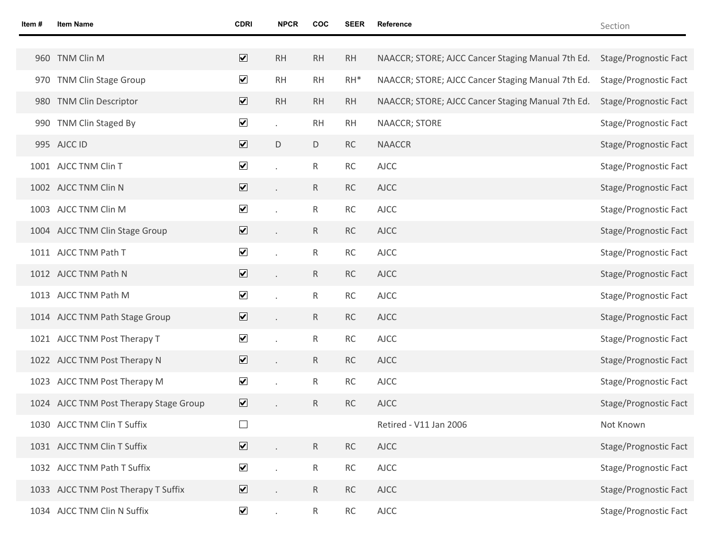| Item # | <b>Item Name</b>                       | <b>CDRI</b>                  | <b>NPCR</b> | COC             | SEER      | Reference                                         | Section               |
|--------|----------------------------------------|------------------------------|-------------|-----------------|-----------|---------------------------------------------------|-----------------------|
|        |                                        |                              |             |                 |           |                                                   |                       |
|        | 960 TNM Clin M                         | $\overline{\mathbf{v}}$      | RH          | RH              | RH        | NAACCR; STORE; AJCC Cancer Staging Manual 7th Ed. | Stage/Prognostic Fact |
|        | 970 TNM Clin Stage Group               | $\overline{\mathbf{v}}$      | RH          | RH              | $RH^*$    | NAACCR; STORE; AJCC Cancer Staging Manual 7th Ed. | Stage/Prognostic Fact |
|        | 980 TNM Clin Descriptor                | $\overline{\mathbf{v}}$      | <b>RH</b>   | RH              | RH        | NAACCR; STORE; AJCC Cancer Staging Manual 7th Ed. | Stage/Prognostic Fact |
|        | 990 TNM Clin Staged By                 | $\blacktriangledown$         |             | RH              | <b>RH</b> | NAACCR; STORE                                     | Stage/Prognostic Fact |
|        | 995 AJCC ID                            | $\overline{\mathbf{v}}$      | D           | D               | <b>RC</b> | <b>NAACCR</b>                                     | Stage/Prognostic Fact |
|        | 1001 AJCC TNM Clin T                   | $\blacktriangledown$         |             | $\mathsf{R}$    | RC        | <b>AJCC</b>                                       | Stage/Prognostic Fact |
|        | 1002 AJCC TNM Clin N                   | $\blacktriangledown$         |             | $R_{\parallel}$ | <b>RC</b> | <b>AJCC</b>                                       | Stage/Prognostic Fact |
|        | 1003 AJCC TNM Clin M                   | $\blacktriangledown$         |             | $\mathsf{R}$    | RC        | <b>AJCC</b>                                       | Stage/Prognostic Fact |
|        | 1004 AJCC TNM Clin Stage Group         | $\boxed{\blacktriangledown}$ |             | $R_{\parallel}$ | <b>RC</b> | <b>AJCC</b>                                       | Stage/Prognostic Fact |
|        | 1011 AJCC TNM Path T                   | $\blacktriangledown$         |             | $\mathsf{R}$    | <b>RC</b> | <b>AJCC</b>                                       | Stage/Prognostic Fact |
|        | 1012 AJCC TNM Path N                   | $\blacktriangledown$         |             | $R_{\parallel}$ | <b>RC</b> | <b>AJCC</b>                                       | Stage/Prognostic Fact |
|        | 1013 AJCC TNM Path M                   | $\blacktriangledown$         |             | $\mathsf{R}$    | RC        | <b>AJCC</b>                                       | Stage/Prognostic Fact |
|        | 1014 AJCC TNM Path Stage Group         | $\overline{\mathbf{v}}$      |             | $R_{\parallel}$ | <b>RC</b> | <b>AJCC</b>                                       | Stage/Prognostic Fact |
|        | 1021 AJCC TNM Post Therapy T           | $\blacktriangledown$         |             | $\mathsf{R}$    | RC        | <b>AJCC</b>                                       | Stage/Prognostic Fact |
|        | 1022 AJCC TNM Post Therapy N           | $\triangledown$              |             | $R_{\parallel}$ | <b>RC</b> | <b>AJCC</b>                                       | Stage/Prognostic Fact |
|        | 1023 AJCC TNM Post Therapy M           | $\blacktriangledown$         |             | R               | RC        | <b>AJCC</b>                                       | Stage/Prognostic Fact |
|        | 1024 AJCC TNM Post Therapy Stage Group | $\triangledown$              |             | $\mathsf{R}$    | <b>RC</b> | <b>AJCC</b>                                       | Stage/Prognostic Fact |
|        | 1030 AJCC TNM Clin T Suffix            |                              |             |                 |           | Retired - V11 Jan 2006                            | Not Known             |
|        | 1031 AJCC TNM Clin T Suffix            | $\blacktriangledown$         |             | $R_{\parallel}$ | <b>RC</b> | <b>AJCC</b>                                       | Stage/Prognostic Fact |
|        | 1032 AJCC TNM Path T Suffix            | $\blacktriangledown$         |             | $R_{\parallel}$ | RC        | <b>AJCC</b>                                       | Stage/Prognostic Fact |
|        | 1033 AJCC TNM Post Therapy T Suffix    | $\overline{\mathbf{v}}$      |             | R               | <b>RC</b> | <b>AJCC</b>                                       | Stage/Prognostic Fact |
|        | 1034 AJCC TNM Clin N Suffix            | $\blacktriangledown$         | $\epsilon$  | $\mathsf{R}$    | <b>RC</b> | <b>AJCC</b>                                       | Stage/Prognostic Fact |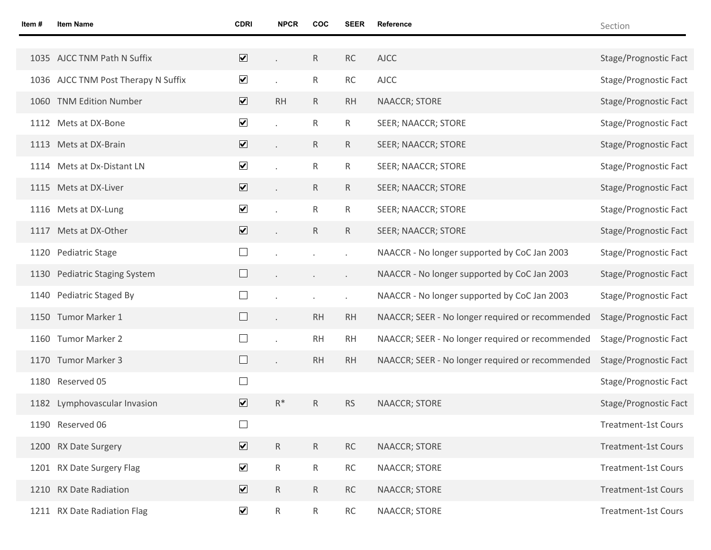| Item# | <b>Item Name</b>                    | <b>CDRI</b>                     | <b>NPCR</b>  | COC             | SEER                 | Reference                                        | Section                    |
|-------|-------------------------------------|---------------------------------|--------------|-----------------|----------------------|--------------------------------------------------|----------------------------|
|       |                                     |                                 |              |                 |                      |                                                  |                            |
|       | 1035 AJCC TNM Path N Suffix         | $\overline{\mathbf{v}}$         |              | $R_{\parallel}$ | RC                   | <b>AJCC</b>                                      | Stage/Prognostic Fact      |
|       | 1036 AJCC TNM Post Therapy N Suffix | $\blacktriangledown$            |              | $R_{\parallel}$ | RC                   | <b>AJCC</b>                                      | Stage/Prognostic Fact      |
|       | 1060 TNM Edition Number             | $\overline{\blacktriangledown}$ | <b>RH</b>    | $R_{\parallel}$ | <b>RH</b>            | NAACCR; STORE                                    | Stage/Prognostic Fact      |
|       | 1112 Mets at DX-Bone                | $\blacktriangledown$            |              | $\mathsf{R}$    | R                    | SEER; NAACCR; STORE                              | Stage/Prognostic Fact      |
|       | 1113 Mets at DX-Brain               | $\overline{\mathbf{v}}$         |              | $R_{\parallel}$ | $\mathsf{R}$         | SEER; NAACCR; STORE                              | Stage/Prognostic Fact      |
|       | 1114 Mets at Dx-Distant LN          | $\blacktriangledown$            |              | R               | R                    | SEER; NAACCR; STORE                              | Stage/Prognostic Fact      |
|       | 1115 Mets at DX-Liver               | $\overline{\mathbf{v}}$         |              | $R_{\parallel}$ | $\mathsf{R}$         | SEER; NAACCR; STORE                              | Stage/Prognostic Fact      |
|       | 1116 Mets at DX-Lung                | $\blacktriangledown$            |              | R               | R                    | SEER; NAACCR; STORE                              | Stage/Prognostic Fact      |
|       | 1117 Mets at DX-Other               | $\overline{\mathbf{v}}$         |              | $\mathsf{R}$    | $\mathsf{R}$         | <b>SEER; NAACCR; STORE</b>                       | Stage/Prognostic Fact      |
|       | 1120 Pediatric Stage                |                                 |              |                 |                      | NAACCR - No longer supported by CoC Jan 2003     | Stage/Prognostic Fact      |
|       | 1130 Pediatric Staging System       |                                 |              |                 | $\ddot{\phantom{0}}$ | NAACCR - No longer supported by CoC Jan 2003     | Stage/Prognostic Fact      |
|       | 1140 Pediatric Staged By            |                                 |              |                 | ò.                   | NAACCR - No longer supported by CoC Jan 2003     | Stage/Prognostic Fact      |
|       | 1150 Tumor Marker 1                 |                                 |              | <b>RH</b>       | <b>RH</b>            | NAACCR; SEER - No longer required or recommended | Stage/Prognostic Fact      |
|       | 1160 Tumor Marker 2                 |                                 |              | <b>RH</b>       | <b>RH</b>            | NAACCR; SEER - No longer required or recommended | Stage/Prognostic Fact      |
|       | 1170 Tumor Marker 3                 |                                 | $\Box$       | <b>RH</b>       | <b>RH</b>            | NAACCR; SEER - No longer required or recommended | Stage/Prognostic Fact      |
|       | 1180 Reserved 05                    | $\Box$                          |              |                 |                      |                                                  | Stage/Prognostic Fact      |
|       | 1182 Lymphovascular Invasion        | $\overline{\mathbf{v}}$         | $R^*$        | R               | <b>RS</b>            | <b>NAACCR; STORE</b>                             | Stage/Prognostic Fact      |
|       | 1190 Reserved 06                    |                                 |              |                 |                      |                                                  | Treatment-1st Cours        |
|       | 1200 RX Date Surgery                | $\overline{\mathbf{v}}$         | $\mathsf{R}$ | $R_{\parallel}$ | RC                   | NAACCR; STORE                                    | <b>Treatment-1st Cours</b> |
|       | 1201 RX Date Surgery Flag           | $\blacktriangledown$            | $\mathsf{R}$ | $R_{\parallel}$ | RC                   | <b>NAACCR; STORE</b>                             | <b>Treatment-1st Cours</b> |
|       | 1210 RX Date Radiation              | $\overline{\mathbf{v}}$         | $\mathsf{R}$ | $R_{\parallel}$ | <b>RC</b>            | NAACCR; STORE                                    | <b>Treatment-1st Cours</b> |
|       | 1211 RX Date Radiation Flag         | $\blacktriangledown$            | $\mathsf{R}$ | $R_{\parallel}$ | RC                   | NAACCR; STORE                                    | <b>Treatment-1st Cours</b> |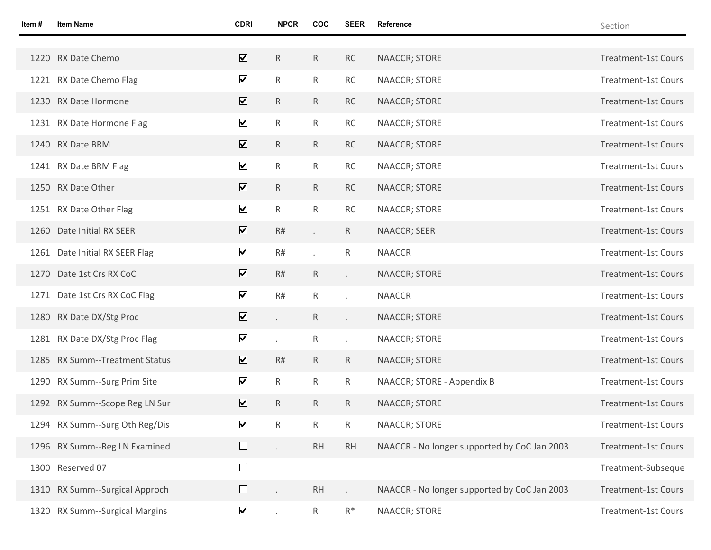| Item # | <b>Item Name</b>               | <b>CDRI</b>             | <b>NPCR</b>  | COC          | <b>SEER</b>         | Reference                                    | Section                    |
|--------|--------------------------------|-------------------------|--------------|--------------|---------------------|----------------------------------------------|----------------------------|
|        |                                |                         |              |              |                     |                                              |                            |
|        | 1220 RX Date Chemo             | $\overline{\mathbf{v}}$ | $\mathsf{R}$ | R            | RC                  | NAACCR; STORE                                | <b>Treatment-1st Cours</b> |
|        | 1221 RX Date Chemo Flag        | $\blacktriangledown$    | $\mathsf{R}$ | R            | RC                  | NAACCR; STORE                                | <b>Treatment-1st Cours</b> |
|        | 1230 RX Date Hormone           | $\overline{\textbf{v}}$ | ${\sf R}$    | R            | RC                  | NAACCR; STORE                                | <b>Treatment-1st Cours</b> |
|        | 1231 RX Date Hormone Flag      | $\blacktriangledown$    | $\mathsf{R}$ | R            | RC                  | NAACCR; STORE                                | <b>Treatment-1st Cours</b> |
|        | 1240 RX Date BRM               | $\overline{\mathbf{v}}$ | $\mathsf{R}$ | R            | RC                  | NAACCR; STORE                                | <b>Treatment-1st Cours</b> |
|        | 1241 RX Date BRM Flag          | $\blacktriangledown$    | $\mathsf{R}$ | R            | RC                  | NAACCR; STORE                                | <b>Treatment-1st Cours</b> |
|        | 1250 RX Date Other             | $\overline{\mathbf{v}}$ | $\mathsf{R}$ | R            | RC                  | NAACCR; STORE                                | <b>Treatment-1st Cours</b> |
|        | 1251 RX Date Other Flag        | $\blacktriangledown$    | $\mathsf{R}$ | R            | <b>RC</b>           | NAACCR; STORE                                | <b>Treatment-1st Cours</b> |
|        | 1260 Date Initial RX SEER      | $\overline{\mathbf{v}}$ | R#           | $\sim$       | $\mathsf{R}$        | NAACCR; SEER                                 | <b>Treatment-1st Cours</b> |
|        | 1261 Date Initial RX SEER Flag | $\blacktriangledown$    | R#           |              | $\mathsf{R}$        | <b>NAACCR</b>                                | <b>Treatment-1st Cours</b> |
|        | 1270 Date 1st Crs RX CoC       | $\blacktriangledown$    | R#           | $\mathsf{R}$ | $\mathcal{L}^{\pm}$ | NAACCR; STORE                                | <b>Treatment-1st Cours</b> |
|        | 1271 Date 1st Crs RX CoC Flag  | $\blacktriangledown$    | R#           | $\mathsf{R}$ | ¥.                  | <b>NAACCR</b>                                | <b>Treatment-1st Cours</b> |
|        | 1280 RX Date DX/Stg Proc       | $\overline{\mathbf{v}}$ |              | $\mathsf{R}$ | k.                  | NAACCR; STORE                                | <b>Treatment-1st Cours</b> |
|        | 1281 RX Date DX/Stg Proc Flag  | $\blacktriangledown$    |              | $\mathsf{R}$ | ¥.                  | NAACCR; STORE                                | <b>Treatment-1st Cours</b> |
|        | 1285 RX Summ--Treatment Status | $\overline{\mathbf{v}}$ | R#           | $\mathsf{R}$ | $\mathsf{R}$        | NAACCR; STORE                                | <b>Treatment-1st Cours</b> |
|        | 1290 RX Summ--Surg Prim Site   | $\blacktriangledown$    | $\mathsf{R}$ | $\mathsf{R}$ | $\mathsf{R}$        | NAACCR; STORE - Appendix B                   | <b>Treatment-1st Cours</b> |
|        | 1292 RX Summ--Scope Reg LN Sur | $\overline{\mathbf{v}}$ | $\mathsf{R}$ | $\mathsf{R}$ | $\mathsf{R}$        | NAACCR; STORE                                | <b>Treatment-1st Cours</b> |
|        | 1294 RX Summ--Surg Oth Reg/Dis | $\blacktriangledown$    | $\mathsf{R}$ | $\mathsf{R}$ | $\mathsf{R}$        | NAACCR; STORE                                | <b>Treatment-1st Cours</b> |
|        | 1296 RX Summ--Reg LN Examined  | $\Box$                  | $\epsilon$   | RH           | RH                  | NAACCR - No longer supported by CoC Jan 2003 | <b>Treatment-1st Cours</b> |
|        | 1300 Reserved 07               | $\Box$                  |              |              |                     |                                              | Treatment-Subseque         |
|        | 1310 RX Summ--Surgical Approch | $\Box$                  |              | <b>RH</b>    |                     | NAACCR - No longer supported by CoC Jan 2003 | <b>Treatment-1st Cours</b> |
|        | 1320 RX Summ--Surgical Margins | $\blacktriangledown$    |              | $\mathsf{R}$ | $\mathsf{R}^*$      | NAACCR; STORE                                | <b>Treatment-1st Cours</b> |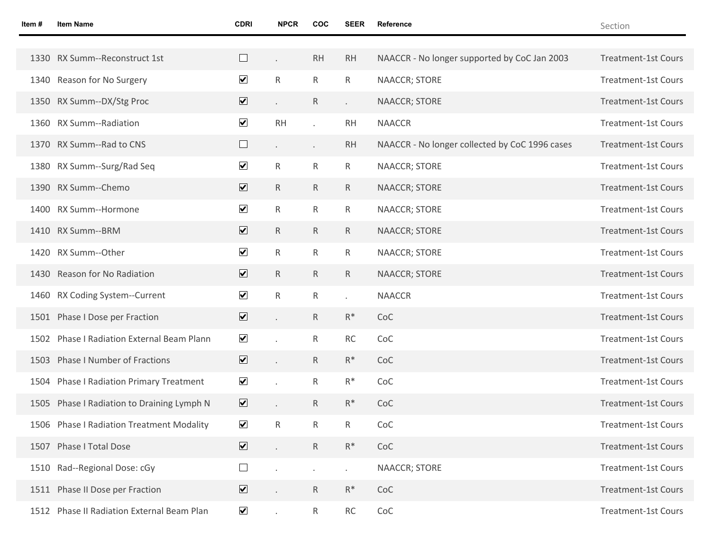| Item# | <b>Item Name</b>                           | <b>CDRI</b>                  | <b>NPCR</b>  | <b>COC</b>      | <b>SEER</b>          | Reference                                      | Section                    |
|-------|--------------------------------------------|------------------------------|--------------|-----------------|----------------------|------------------------------------------------|----------------------------|
|       |                                            |                              |              |                 |                      |                                                |                            |
|       | 1330 RX Summ--Reconstruct 1st              | $\Box$                       |              | <b>RH</b>       | <b>RH</b>            | NAACCR - No longer supported by CoC Jan 2003   | <b>Treatment-1st Cours</b> |
|       | 1340 Reason for No Surgery                 | $\blacktriangledown$         | $\mathsf{R}$ | $\mathsf{R}$    | $\mathsf{R}$         | NAACCR; STORE                                  | <b>Treatment-1st Cours</b> |
|       | 1350 RX Summ--DX/Stg Proc                  | $\boxed{\blacktriangledown}$ |              | $\mathsf{R}$    | ä,                   | NAACCR; STORE                                  | <b>Treatment-1st Cours</b> |
|       | 1360 RX Summ--Radiation                    | $\blacktriangledown$         | <b>RH</b>    |                 | <b>RH</b>            | <b>NAACCR</b>                                  | <b>Treatment-1st Cours</b> |
|       | 1370 RX Summ--Rad to CNS                   | $\Box$                       |              | $\epsilon$      | <b>RH</b>            | NAACCR - No longer collected by CoC 1996 cases | <b>Treatment-1st Cours</b> |
|       | 1380 RX Summ--Surg/Rad Seq                 | $\blacktriangledown$         | $\mathsf{R}$ | $\mathsf{R}$    | $\mathsf{R}$         | NAACCR; STORE                                  | <b>Treatment-1st Cours</b> |
|       | 1390 RX Summ--Chemo                        | $\overline{\mathbf{v}}$      | $\mathsf{R}$ | $\mathsf{R}$    | $\mathsf{R}$         | NAACCR; STORE                                  | <b>Treatment-1st Cours</b> |
|       | 1400 RX Summ--Hormone                      | $\blacktriangledown$         | $\mathsf{R}$ | $\mathsf{R}$    | $\mathsf{R}$         | NAACCR; STORE                                  | <b>Treatment-1st Cours</b> |
|       | 1410 RX Summ--BRM                          | $\overline{\mathbf{v}}$      | $\mathsf{R}$ | $\mathsf{R}$    | $\mathsf{R}$         | NAACCR; STORE                                  | <b>Treatment-1st Cours</b> |
|       | 1420 RX Summ--Other                        | $\blacktriangledown$         | $\mathsf{R}$ | $\mathsf{R}$    | $\mathsf{R}$         | <b>NAACCR; STORE</b>                           | <b>Treatment-1st Cours</b> |
|       | 1430 Reason for No Radiation               | $\overline{\mathbf{v}}$      | $\mathsf{R}$ | $\mathsf{R}$    | $\mathsf{R}$         | <b>NAACCR; STORE</b>                           | <b>Treatment-1st Cours</b> |
|       | 1460 RX Coding System--Current             | $\blacktriangledown$         | $\mathsf{R}$ | $\mathsf{R}$    | $\ddot{\phantom{0}}$ | <b>NAACCR</b>                                  | <b>Treatment-1st Cours</b> |
|       | 1501 Phase I Dose per Fraction             | $\overline{\mathbf{v}}$      |              | R               | $R^*$                | CoC                                            | <b>Treatment-1st Cours</b> |
|       | 1502 Phase I Radiation External Beam Plann | $\blacktriangledown$         |              | $\mathsf{R}$    | <b>RC</b>            | CoC                                            | <b>Treatment-1st Cours</b> |
|       | 1503 Phase I Number of Fractions           | $\triangledown$              |              | R               | $R^*$                | CoC                                            | <b>Treatment-1st Cours</b> |
|       | 1504 Phase I Radiation Primary Treatment   | $\blacktriangledown$         |              | $\mathsf{R}$    | $R^*$                | CoC                                            | <b>Treatment-1st Cours</b> |
|       | 1505 Phase I Radiation to Draining Lymph N | $\overline{\mathbf{v}}$      |              | R               | $R^*$                | CoC                                            | <b>Treatment-1st Cours</b> |
|       | 1506 Phase I Radiation Treatment Modality  | $\blacktriangledown$         | R            | R               | $\mathsf{R}$         | CoC                                            | Treatment-1st Cours        |
|       | 1507 Phase I Total Dose                    | $\triangledown$              |              | $\mathsf{R}$    | $\mathsf{R}^*$       | CoC                                            | <b>Treatment-1st Cours</b> |
|       | 1510 Rad--Regional Dose: cGy               | $\Box$                       |              |                 | ä,                   | NAACCR; STORE                                  | <b>Treatment-1st Cours</b> |
|       | 1511 Phase II Dose per Fraction            | $\triangledown$              |              | $R_{\parallel}$ | $R^*$                | CoC                                            | <b>Treatment-1st Cours</b> |
|       | 1512 Phase II Radiation External Beam Plan | $\blacktriangledown$         | $\epsilon$   | $\mathsf{R}$    | RC                   | CoC                                            | <b>Treatment-1st Cours</b> |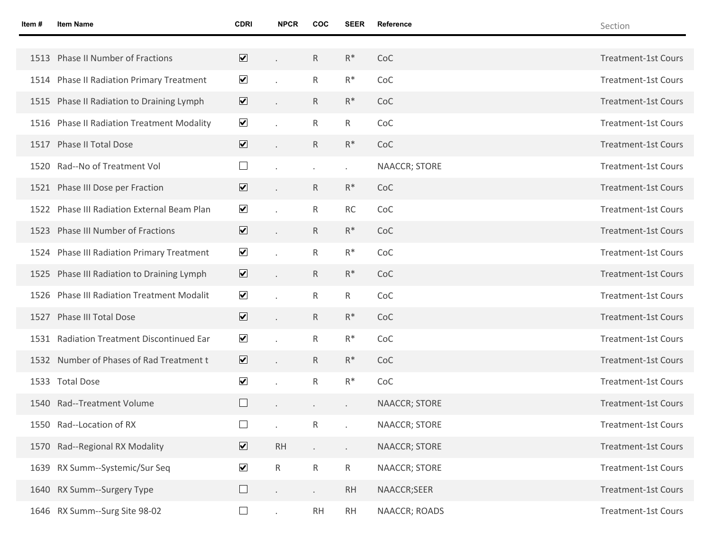| Item# | <b>Item Name</b>                            | <b>CDRI</b>             | <b>NPCR</b>  | COC          | SEER                 | <b>Reference</b>     | Section                    |
|-------|---------------------------------------------|-------------------------|--------------|--------------|----------------------|----------------------|----------------------------|
|       |                                             |                         |              |              |                      |                      |                            |
|       | 1513 Phase II Number of Fractions           | $\overline{\mathbf{v}}$ |              | R            | $R^*$                | CoC                  | <b>Treatment-1st Cours</b> |
|       | 1514 Phase II Radiation Primary Treatment   | $\blacktriangledown$    |              | $\mathsf{R}$ | $R^*$                | CoC                  | <b>Treatment-1st Cours</b> |
|       | 1515 Phase II Radiation to Draining Lymph   | $\overline{\mathbf{v}}$ |              | R            | $R^*$                | CoC                  | <b>Treatment-1st Cours</b> |
|       | 1516 Phase II Radiation Treatment Modality  | $\blacktriangledown$    |              | $\mathsf{R}$ | $\mathsf{R}$         | CoC                  | <b>Treatment-1st Cours</b> |
|       | 1517 Phase II Total Dose                    | $\overline{\mathbf{v}}$ |              | R.           | $R^*$                | CoC                  | <b>Treatment-1st Cours</b> |
|       | 1520 Rad--No of Treatment Vol               | $\Box$                  |              |              | $\blacksquare$       | NAACCR; STORE        | <b>Treatment-1st Cours</b> |
|       | 1521 Phase III Dose per Fraction            | $\overline{\mathbf{v}}$ |              | R            | $R^*$                | CoC                  | <b>Treatment-1st Cours</b> |
|       | 1522 Phase III Radiation External Beam Plan | $\blacktriangledown$    |              | $\mathsf{R}$ | <b>RC</b>            | CoC                  | <b>Treatment-1st Cours</b> |
|       | 1523 Phase III Number of Fractions          | $\overline{\mathbf{v}}$ |              | R            | $R^*$                | CoC                  | <b>Treatment-1st Cours</b> |
|       | 1524 Phase III Radiation Primary Treatment  | $\blacktriangledown$    |              | $\mathsf{R}$ | $R^*$                | CoC                  | <b>Treatment-1st Cours</b> |
|       | 1525 Phase III Radiation to Draining Lymph  | $\overline{\mathbf{v}}$ |              | R            | $R^*$                | CoC                  | <b>Treatment-1st Cours</b> |
|       | 1526 Phase III Radiation Treatment Modalit  | $\blacktriangledown$    |              | $\mathsf{R}$ | $\mathsf{R}$         | CoC                  | <b>Treatment-1st Cours</b> |
|       | 1527 Phase III Total Dose                   | $\overline{\mathbf{v}}$ |              | R            | $R^*$                | CoC                  | <b>Treatment-1st Cours</b> |
|       | 1531 Radiation Treatment Discontinued Ear   | $\blacktriangledown$    |              | $\mathsf{R}$ | $R^*$                | CoC                  | <b>Treatment-1st Cours</b> |
|       | 1532 Number of Phases of Rad Treatment t    | $\overline{\mathbf{v}}$ |              | R            | $R^*$                | CoC                  | <b>Treatment-1st Cours</b> |
|       | 1533 Total Dose                             | $\blacktriangledown$    |              | R.           | $R^*$                | CoC                  | <b>Treatment-1st Cours</b> |
|       | 1540 Rad--Treatment Volume                  | $\Box$                  |              |              |                      | <b>NAACCR; STORE</b> | <b>Treatment-1st Cours</b> |
|       | 1550 Rad--Location of RX                    | $\Box$                  |              | R            |                      | <b>NAACCR; STORE</b> | <b>Treatment-1st Cours</b> |
|       | 1570 Rad--Regional RX Modality              | $\overline{\mathbf{v}}$ | <b>RH</b>    |              | $\ddot{\phantom{0}}$ | NAACCR; STORE        | <b>Treatment-1st Cours</b> |
|       | 1639 RX Summ--Systemic/Sur Seq              | $\blacktriangledown$    | $\mathsf{R}$ | $\mathsf{R}$ | ${\sf R}$            | NAACCR; STORE        | <b>Treatment-1st Cours</b> |
|       | 1640 RX Summ--Surgery Type                  | $\Box$                  | $\bullet$    | $\epsilon$   | <b>RH</b>            | NAACCR;SEER          | <b>Treatment-1st Cours</b> |
|       | 1646 RX Summ--Surg Site 98-02               | $\Box$                  |              | <b>RH</b>    | <b>RH</b>            | NAACCR; ROADS        | <b>Treatment-1st Cours</b> |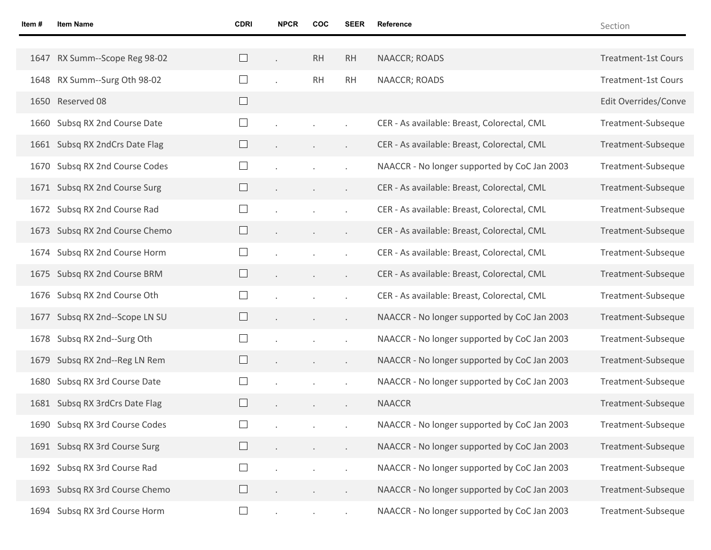| Item# | <b>Item Name</b>               | <b>CDRI</b>              | <b>NPCR</b> | COC       | <b>SEER</b>          | Reference                                    | Section                    |
|-------|--------------------------------|--------------------------|-------------|-----------|----------------------|----------------------------------------------|----------------------------|
|       |                                |                          |             |           |                      |                                              |                            |
|       | 1647 RX Summ--Scope Reg 98-02  |                          |             | <b>RH</b> | <b>RH</b>            | NAACCR; ROADS                                | <b>Treatment-1st Cours</b> |
|       | 1648 RX Summ--Surg Oth 98-02   |                          |             | <b>RH</b> | <b>RH</b>            | NAACCR; ROADS                                | <b>Treatment-1st Cours</b> |
|       | 1650 Reserved 08               |                          |             |           |                      |                                              | Edit Overrides/Conve       |
|       | 1660 Subsq RX 2nd Course Date  |                          |             |           |                      | CER - As available: Breast, Colorectal, CML  | Treatment-Subseque         |
|       | 1661 Subsq RX 2ndCrs Date Flag |                          |             |           | $\ddot{\phantom{0}}$ | CER - As available: Breast, Colorectal, CML  | Treatment-Subseque         |
|       | 1670 Subsq RX 2nd Course Codes |                          |             |           |                      | NAACCR - No longer supported by CoC Jan 2003 | Treatment-Subseque         |
|       | 1671 Subsq RX 2nd Course Surg  |                          |             |           | $\epsilon$           | CER - As available: Breast, Colorectal, CML  | Treatment-Subseque         |
|       | 1672 Subsq RX 2nd Course Rad   |                          |             |           |                      | CER - As available: Breast, Colorectal, CML  | Treatment-Subseque         |
|       | 1673 Subsq RX 2nd Course Chemo |                          |             |           | $\epsilon$           | CER - As available: Breast, Colorectal, CML  | Treatment-Subseque         |
|       | 1674 Subsq RX 2nd Course Horm  |                          |             |           |                      | CER - As available: Breast, Colorectal, CML  | Treatment-Subseque         |
|       | 1675 Subsq RX 2nd Course BRM   |                          |             |           | $\epsilon$           | CER - As available: Breast, Colorectal, CML  | Treatment-Subseque         |
|       | 1676 Subsq RX 2nd Course Oth   |                          |             |           | $\bullet$            | CER - As available: Breast, Colorectal, CML  | Treatment-Subseque         |
|       | 1677 Subsq RX 2nd--Scope LN SU |                          |             |           | $\blacksquare$       | NAACCR - No longer supported by CoC Jan 2003 | Treatment-Subseque         |
|       | 1678 Subsq RX 2nd--Surg Oth    | ⊔                        |             |           | $\bullet$            | NAACCR - No longer supported by CoC Jan 2003 | Treatment-Subseque         |
|       | 1679 Subsq RX 2nd--Reg LN Rem  |                          |             |           | $\epsilon$           | NAACCR - No longer supported by CoC Jan 2003 | Treatment-Subseque         |
|       | 1680 Subsq RX 3rd Course Date  |                          |             |           | $\bullet$            | NAACCR - No longer supported by CoC Jan 2003 | Treatment-Subseque         |
|       | 1681 Subsq RX 3rdCrs Date Flag |                          |             |           | $\ddot{\phantom{0}}$ | <b>NAACCR</b>                                | Treatment-Subseque         |
|       | 1690 Subsq RX 3rd Course Codes |                          |             |           |                      | NAACCR - No longer supported by CoC Jan 2003 | Treatment-Subseque         |
|       | 1691 Subsq RX 3rd Course Surg  |                          |             |           | $\ddot{\phantom{0}}$ | NAACCR - No longer supported by CoC Jan 2003 | Treatment-Subseque         |
|       | 1692 Subsq RX 3rd Course Rad   | $\overline{\phantom{a}}$ |             |           |                      | NAACCR - No longer supported by CoC Jan 2003 | Treatment-Subseque         |
|       | 1693 Subsq RX 3rd Course Chemo |                          |             |           | $\blacksquare$       | NAACCR - No longer supported by CoC Jan 2003 | Treatment-Subseque         |
|       | 1694 Subsq RX 3rd Course Horm  | $\Box$                   |             |           | $\epsilon$           | NAACCR - No longer supported by CoC Jan 2003 | Treatment-Subseque         |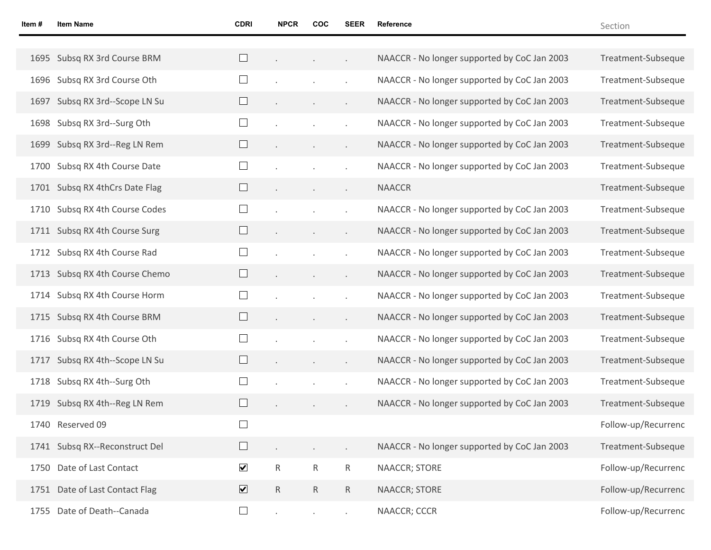| Item# | <b>Item Name</b>               | <b>CDRI</b>             | <b>NPCR</b>    | COC             | SEER                 | Reference                                    | Section             |
|-------|--------------------------------|-------------------------|----------------|-----------------|----------------------|----------------------------------------------|---------------------|
|       |                                |                         |                |                 |                      |                                              |                     |
|       | 1695 Subsq RX 3rd Course BRM   | $\Box$                  |                | $\sim$          | $\epsilon$           | NAACCR - No longer supported by CoC Jan 2003 | Treatment-Subseque  |
|       | 1696 Subsq RX 3rd Course Oth   |                         |                |                 | $\cdot$              | NAACCR - No longer supported by CoC Jan 2003 | Treatment-Subseque  |
|       | 1697 Subsq RX 3rd--Scope LN Su | $\Box$                  | $\blacksquare$ | $\sim$          | $\epsilon$           | NAACCR - No longer supported by CoC Jan 2003 | Treatment-Subseque  |
|       | 1698 Subsq RX 3rd--Surg Oth    | $\Box$                  |                |                 | $\blacksquare$       | NAACCR - No longer supported by CoC Jan 2003 | Treatment-Subseque  |
|       | 1699 Subsq RX 3rd--Reg LN Rem  | $\Box$                  | $\blacksquare$ | $\sim$          | $\epsilon$           | NAACCR - No longer supported by CoC Jan 2003 | Treatment-Subseque  |
|       | 1700 Subsq RX 4th Course Date  | $\Box$                  |                |                 | $\blacksquare$       | NAACCR - No longer supported by CoC Jan 2003 | Treatment-Subseque  |
|       | 1701 Subsq RX 4thCrs Date Flag | $\Box$                  | $\blacksquare$ | $\sim$          | $\epsilon$           | <b>NAACCR</b>                                | Treatment-Subseque  |
|       | 1710 Subsq RX 4th Course Codes | $\Box$                  |                |                 | $\ddot{\phantom{a}}$ | NAACCR - No longer supported by CoC Jan 2003 | Treatment-Subseque  |
|       | 1711 Subsq RX 4th Course Surg  | $\Box$                  | $\blacksquare$ | $\sim$          | $\epsilon$           | NAACCR - No longer supported by CoC Jan 2003 | Treatment-Subseque  |
|       | 1712 Subsq RX 4th Course Rad   | $\Box$                  |                |                 | $\ddot{\phantom{a}}$ | NAACCR - No longer supported by CoC Jan 2003 | Treatment-Subseque  |
|       | 1713 Subsq RX 4th Course Chemo | $\Box$                  | $\epsilon$     | $\sim$          | $\bullet$            | NAACCR - No longer supported by CoC Jan 2003 | Treatment-Subseque  |
|       | 1714 Subsq RX 4th Course Horm  | $\Box$                  |                |                 | $\ddot{\phantom{a}}$ | NAACCR - No longer supported by CoC Jan 2003 | Treatment-Subseque  |
|       | 1715 Subsq RX 4th Course BRM   | $\Box$                  | $\epsilon$     | $\sim$          | $\bullet$            | NAACCR - No longer supported by CoC Jan 2003 | Treatment-Subseque  |
|       | 1716 Subsq RX 4th Course Oth   | $\Box$                  |                |                 | $\blacksquare$       | NAACCR - No longer supported by CoC Jan 2003 | Treatment-Subseque  |
| 1717  | Subsq RX 4th--Scope LN Su      | $\Box$                  | $\bullet$      | $\sim$          | $\bullet$            | NAACCR - No longer supported by CoC Jan 2003 | Treatment-Subseque  |
| 1718  | Subsq RX 4th--Surg Oth         | $\Box$                  |                |                 | $\blacksquare$       | NAACCR - No longer supported by CoC Jan 2003 | Treatment-Subseque  |
|       | 1719 Subsq RX 4th--Reg LN Rem  | $\Box$                  |                | $\sim$          | $\bullet$            | NAACCR - No longer supported by CoC Jan 2003 | Treatment-Subseque  |
|       | 1740 Reserved 09               |                         |                |                 |                      |                                              | Follow-up/Recurrenc |
|       | 1741 Subsq RX--Reconstruct Del |                         |                |                 | $\ddot{\phantom{0}}$ | NAACCR - No longer supported by CoC Jan 2003 | Treatment-Subseque  |
|       | 1750 Date of Last Contact      | $\blacktriangledown$    | $\mathsf{R}$   | $R_{\parallel}$ | $\mathsf{R}$         | NAACCR; STORE                                | Follow-up/Recurrenc |
|       | 1751 Date of Last Contact Flag | $\overline{\mathbf{v}}$ | ${\sf R}$      | $\mathsf{R}$    | ${\sf R}$            | NAACCR; STORE                                | Follow-up/Recurrenc |
|       | 1755 Date of Death--Canada     | $\Box$                  | $\epsilon$     | $\sim$          | $\epsilon$           | NAACCR; CCCR                                 | Follow-up/Recurrenc |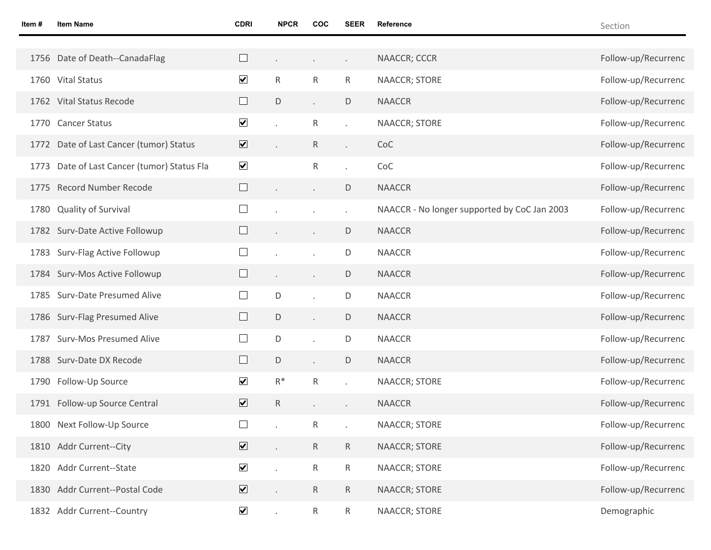| Item# | <b>Item Name</b>                            | <b>CDRI</b>             | <b>NPCR</b>  | COC             | <b>SEER</b>          | Reference                                    | Section             |
|-------|---------------------------------------------|-------------------------|--------------|-----------------|----------------------|----------------------------------------------|---------------------|
|       |                                             |                         |              |                 |                      |                                              |                     |
|       | 1756 Date of Death--CanadaFlag              |                         |              |                 | $\epsilon$           | NAACCR; CCCR                                 | Follow-up/Recurrenc |
|       | 1760 Vital Status                           | $\blacktriangledown$    | $\mathsf{R}$ | R.              | R                    | <b>NAACCR; STORE</b>                         | Follow-up/Recurrenc |
|       | 1762 Vital Status Recode                    | $\Box$                  | D            |                 | D                    | <b>NAACCR</b>                                | Follow-up/Recurrenc |
|       | 1770 Cancer Status                          | $\blacktriangledown$    |              | R               | $\ddot{\phantom{0}}$ | <b>NAACCR; STORE</b>                         | Follow-up/Recurrenc |
|       | 1772 Date of Last Cancer (tumor) Status     | $\overline{\mathbf{v}}$ |              | $R_{\parallel}$ | $\ddot{\phantom{0}}$ | CoC                                          | Follow-up/Recurrenc |
|       | 1773 Date of Last Cancer (tumor) Status Fla | $\blacktriangledown$    |              | $\mathsf{R}$    | ä,                   | CoC                                          | Follow-up/Recurrenc |
|       | 1775 Record Number Recode                   |                         |              |                 | D                    | <b>NAACCR</b>                                | Follow-up/Recurrenc |
|       | 1780 Quality of Survival                    | $\Box$                  |              |                 | $\ddot{\phantom{a}}$ | NAACCR - No longer supported by CoC Jan 2003 | Follow-up/Recurrenc |
|       | 1782 Surv-Date Active Followup              |                         |              | $\epsilon$      | D                    | <b>NAACCR</b>                                | Follow-up/Recurrenc |
|       | 1783 Surv-Flag Active Followup              |                         |              |                 | D                    | <b>NAACCR</b>                                | Follow-up/Recurrenc |
|       | 1784 Surv-Mos Active Followup               |                         |              |                 | D                    | <b>NAACCR</b>                                | Follow-up/Recurrenc |
|       | 1785 Surv-Date Presumed Alive               | $\Box$                  | D            |                 | D                    | <b>NAACCR</b>                                | Follow-up/Recurrenc |
|       | 1786 Surv-Flag Presumed Alive               | $\Box$                  | D            |                 | $\mathsf D$          | <b>NAACCR</b>                                | Follow-up/Recurrenc |
|       | 1787 Surv-Mos Presumed Alive                | $\Box$                  | D            |                 | D                    | <b>NAACCR</b>                                | Follow-up/Recurrenc |
|       | 1788 Surv-Date DX Recode                    | $\Box$                  | D            |                 | D                    | <b>NAACCR</b>                                | Follow-up/Recurrenc |
|       | 1790 Follow-Up Source                       | $\blacktriangledown$    | $R^*$        | R               |                      | <b>NAACCR; STORE</b>                         | Follow-up/Recurrenc |
|       | 1791 Follow-up Source Central               | $\overline{\mathbf{v}}$ | $\mathsf{R}$ |                 | $\ddot{\phantom{0}}$ | <b>NAACCR</b>                                | Follow-up/Recurrenc |
|       | 1800 Next Follow-Up Source                  | $\Box$                  |              | R               |                      | <b>NAACCR; STORE</b>                         | Follow-up/Recurrenc |
|       | 1810 Addr Current--City                     | $\overline{\mathbf{v}}$ |              | $R_{\parallel}$ | $\mathsf{R}$         | NAACCR; STORE                                | Follow-up/Recurrenc |
|       | 1820 Addr Current--State                    | $\blacktriangledown$    |              | $R_{\parallel}$ | $\mathsf{R}$         | NAACCR; STORE                                | Follow-up/Recurrenc |
|       | 1830 Addr Current--Postal Code              | $\overline{\mathbf{v}}$ |              | $R_{\parallel}$ | $\mathsf{R}$         | NAACCR; STORE                                | Follow-up/Recurrenc |
|       | 1832 Addr Current--Country                  | $\blacktriangledown$    | $\epsilon$   | $R_{\parallel}$ | $\mathsf{R}$         | NAACCR; STORE                                | Demographic         |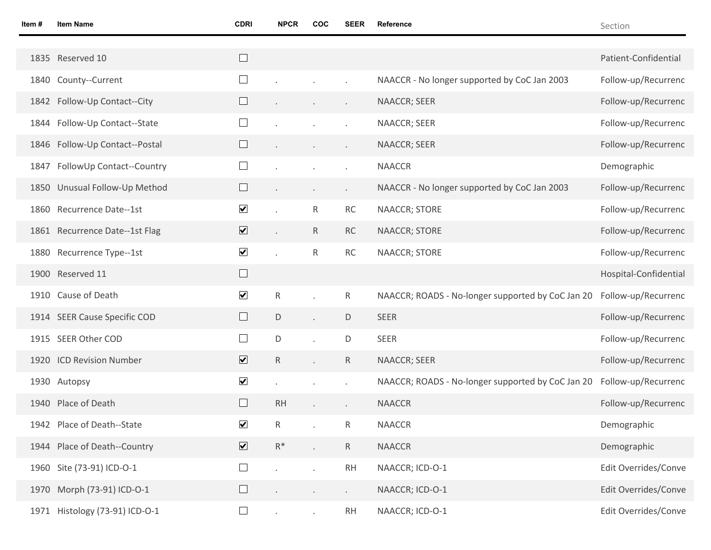Section

| $\Box$<br>1835 Reserved 10<br>Patient-Confidential<br>$\Box$<br>County--Current<br>NAACCR - No longer supported by CoC Jan 2003<br>1840<br>$\Box$<br>1842 Follow-Up Contact--City<br>NAACCR; SEER<br>$\Box$<br>Follow-Up Contact--State<br>NAACCR; SEER<br>1844<br>$\Box$<br>Follow-Up Contact--Postal<br>NAACCR; SEER<br>1846<br>$\Box$<br><b>NAACCR</b><br>FollowUp Contact--Country<br>Demographic<br>1847<br>$\Box$<br>Unusual Follow-Up Method<br>NAACCR - No longer supported by CoC Jan 2003<br>1850<br>$\blacktriangledown$<br>$\mathsf{R}$<br>$\sf RC$<br>Recurrence Date--1st<br>NAACCR; STORE<br>1860<br>$\overline{\mathbf{v}}$<br>RC<br>1861 Recurrence Date--1st Flag<br>$R_{\parallel}$<br>NAACCR; STORE<br>$\blacktriangledown$<br>$\mathsf{R}$<br>$\sf RC$<br>Recurrence Type--1st<br>NAACCR; STORE<br>1880<br>$\Box$<br>1900 Reserved 11<br>$\blacktriangledown$<br>${\sf R}$<br>$\mathsf{R}$<br>Cause of Death<br>NAACCR; ROADS - No-longer supported by CoC Jan 20<br>1910<br>$\Box$<br><b>SEER</b><br>1914 SEER Cause Specific COD<br>D<br>D<br>$\ddot{\phantom{a}}$<br>$\Box$<br>SEER Other COD<br>D<br>D<br><b>SEER</b><br>1915<br>$\overline{\mathbf{v}}$<br>${\sf R}$<br>1920 ICD Revision Number<br>$\mathsf{R}$<br>NAACCR; SEER<br>$\blacktriangledown$<br>NAACCR; ROADS - No-longer supported by CoC Jan 20<br>1930 Autopsy<br>$\Box$<br>1940 Place of Death<br><b>RH</b><br><b>NAACCR</b><br>$\blacksquare$<br>$\blacktriangledown$<br>${\sf R}$<br>$\mathsf{R}$<br>1942 Place of Death--State<br><b>NAACCR</b><br>Demographic<br>$\overline{\mathbf{v}}$<br>$R^*$<br>$\mathsf{R}$<br><b>NAACCR</b><br>1944 Place of Death--Country<br>Demographic<br>NAACCR; ICD-O-1<br>1960 Site (73-91) ICD-O-1<br>$\Box$<br>RH<br>$\mathcal{L}^{\mathcal{L}}$<br>$\ddot{\phantom{a}}$<br>1970 Morph (73-91) ICD-O-1<br>$\Box$<br>NAACCR; ICD-O-1<br>$\mathcal{L}^{\pm}$<br>$\blacksquare$<br>$\bullet$<br>1971 Histology (73-91) ICD-O-1<br>$\Box$<br>NAACCR; ICD-O-1<br>RH<br>$\epsilon$<br>$\mathcal{L}_{\mathcal{A}}$ |  |  |  |  |                       |
|-------------------------------------------------------------------------------------------------------------------------------------------------------------------------------------------------------------------------------------------------------------------------------------------------------------------------------------------------------------------------------------------------------------------------------------------------------------------------------------------------------------------------------------------------------------------------------------------------------------------------------------------------------------------------------------------------------------------------------------------------------------------------------------------------------------------------------------------------------------------------------------------------------------------------------------------------------------------------------------------------------------------------------------------------------------------------------------------------------------------------------------------------------------------------------------------------------------------------------------------------------------------------------------------------------------------------------------------------------------------------------------------------------------------------------------------------------------------------------------------------------------------------------------------------------------------------------------------------------------------------------------------------------------------------------------------------------------------------------------------------------------------------------------------------------------------------------------------------------------------------------------------------------------------------------------------------------------------------------------------------------------------------------------------|--|--|--|--|-----------------------|
|                                                                                                                                                                                                                                                                                                                                                                                                                                                                                                                                                                                                                                                                                                                                                                                                                                                                                                                                                                                                                                                                                                                                                                                                                                                                                                                                                                                                                                                                                                                                                                                                                                                                                                                                                                                                                                                                                                                                                                                                                                           |  |  |  |  |                       |
|                                                                                                                                                                                                                                                                                                                                                                                                                                                                                                                                                                                                                                                                                                                                                                                                                                                                                                                                                                                                                                                                                                                                                                                                                                                                                                                                                                                                                                                                                                                                                                                                                                                                                                                                                                                                                                                                                                                                                                                                                                           |  |  |  |  | Follow-up/Recurrenc   |
|                                                                                                                                                                                                                                                                                                                                                                                                                                                                                                                                                                                                                                                                                                                                                                                                                                                                                                                                                                                                                                                                                                                                                                                                                                                                                                                                                                                                                                                                                                                                                                                                                                                                                                                                                                                                                                                                                                                                                                                                                                           |  |  |  |  | Follow-up/Recurrenc   |
|                                                                                                                                                                                                                                                                                                                                                                                                                                                                                                                                                                                                                                                                                                                                                                                                                                                                                                                                                                                                                                                                                                                                                                                                                                                                                                                                                                                                                                                                                                                                                                                                                                                                                                                                                                                                                                                                                                                                                                                                                                           |  |  |  |  | Follow-up/Recurrenc   |
|                                                                                                                                                                                                                                                                                                                                                                                                                                                                                                                                                                                                                                                                                                                                                                                                                                                                                                                                                                                                                                                                                                                                                                                                                                                                                                                                                                                                                                                                                                                                                                                                                                                                                                                                                                                                                                                                                                                                                                                                                                           |  |  |  |  | Follow-up/Recurrenc   |
|                                                                                                                                                                                                                                                                                                                                                                                                                                                                                                                                                                                                                                                                                                                                                                                                                                                                                                                                                                                                                                                                                                                                                                                                                                                                                                                                                                                                                                                                                                                                                                                                                                                                                                                                                                                                                                                                                                                                                                                                                                           |  |  |  |  |                       |
|                                                                                                                                                                                                                                                                                                                                                                                                                                                                                                                                                                                                                                                                                                                                                                                                                                                                                                                                                                                                                                                                                                                                                                                                                                                                                                                                                                                                                                                                                                                                                                                                                                                                                                                                                                                                                                                                                                                                                                                                                                           |  |  |  |  | Follow-up/Recurrenc   |
|                                                                                                                                                                                                                                                                                                                                                                                                                                                                                                                                                                                                                                                                                                                                                                                                                                                                                                                                                                                                                                                                                                                                                                                                                                                                                                                                                                                                                                                                                                                                                                                                                                                                                                                                                                                                                                                                                                                                                                                                                                           |  |  |  |  | Follow-up/Recurrenc   |
|                                                                                                                                                                                                                                                                                                                                                                                                                                                                                                                                                                                                                                                                                                                                                                                                                                                                                                                                                                                                                                                                                                                                                                                                                                                                                                                                                                                                                                                                                                                                                                                                                                                                                                                                                                                                                                                                                                                                                                                                                                           |  |  |  |  | Follow-up/Recurrenc   |
|                                                                                                                                                                                                                                                                                                                                                                                                                                                                                                                                                                                                                                                                                                                                                                                                                                                                                                                                                                                                                                                                                                                                                                                                                                                                                                                                                                                                                                                                                                                                                                                                                                                                                                                                                                                                                                                                                                                                                                                                                                           |  |  |  |  | Follow-up/Recurrenc   |
|                                                                                                                                                                                                                                                                                                                                                                                                                                                                                                                                                                                                                                                                                                                                                                                                                                                                                                                                                                                                                                                                                                                                                                                                                                                                                                                                                                                                                                                                                                                                                                                                                                                                                                                                                                                                                                                                                                                                                                                                                                           |  |  |  |  | Hospital-Confidential |
|                                                                                                                                                                                                                                                                                                                                                                                                                                                                                                                                                                                                                                                                                                                                                                                                                                                                                                                                                                                                                                                                                                                                                                                                                                                                                                                                                                                                                                                                                                                                                                                                                                                                                                                                                                                                                                                                                                                                                                                                                                           |  |  |  |  | Follow-up/Recurrenc   |
|                                                                                                                                                                                                                                                                                                                                                                                                                                                                                                                                                                                                                                                                                                                                                                                                                                                                                                                                                                                                                                                                                                                                                                                                                                                                                                                                                                                                                                                                                                                                                                                                                                                                                                                                                                                                                                                                                                                                                                                                                                           |  |  |  |  | Follow-up/Recurrenc   |
|                                                                                                                                                                                                                                                                                                                                                                                                                                                                                                                                                                                                                                                                                                                                                                                                                                                                                                                                                                                                                                                                                                                                                                                                                                                                                                                                                                                                                                                                                                                                                                                                                                                                                                                                                                                                                                                                                                                                                                                                                                           |  |  |  |  | Follow-up/Recurrenc   |
|                                                                                                                                                                                                                                                                                                                                                                                                                                                                                                                                                                                                                                                                                                                                                                                                                                                                                                                                                                                                                                                                                                                                                                                                                                                                                                                                                                                                                                                                                                                                                                                                                                                                                                                                                                                                                                                                                                                                                                                                                                           |  |  |  |  | Follow-up/Recurrenc   |
|                                                                                                                                                                                                                                                                                                                                                                                                                                                                                                                                                                                                                                                                                                                                                                                                                                                                                                                                                                                                                                                                                                                                                                                                                                                                                                                                                                                                                                                                                                                                                                                                                                                                                                                                                                                                                                                                                                                                                                                                                                           |  |  |  |  | Follow-up/Recurrenc   |
|                                                                                                                                                                                                                                                                                                                                                                                                                                                                                                                                                                                                                                                                                                                                                                                                                                                                                                                                                                                                                                                                                                                                                                                                                                                                                                                                                                                                                                                                                                                                                                                                                                                                                                                                                                                                                                                                                                                                                                                                                                           |  |  |  |  | Follow-up/Recurrenc   |
|                                                                                                                                                                                                                                                                                                                                                                                                                                                                                                                                                                                                                                                                                                                                                                                                                                                                                                                                                                                                                                                                                                                                                                                                                                                                                                                                                                                                                                                                                                                                                                                                                                                                                                                                                                                                                                                                                                                                                                                                                                           |  |  |  |  |                       |
|                                                                                                                                                                                                                                                                                                                                                                                                                                                                                                                                                                                                                                                                                                                                                                                                                                                                                                                                                                                                                                                                                                                                                                                                                                                                                                                                                                                                                                                                                                                                                                                                                                                                                                                                                                                                                                                                                                                                                                                                                                           |  |  |  |  |                       |
|                                                                                                                                                                                                                                                                                                                                                                                                                                                                                                                                                                                                                                                                                                                                                                                                                                                                                                                                                                                                                                                                                                                                                                                                                                                                                                                                                                                                                                                                                                                                                                                                                                                                                                                                                                                                                                                                                                                                                                                                                                           |  |  |  |  | Edit Overrides/Conve  |
|                                                                                                                                                                                                                                                                                                                                                                                                                                                                                                                                                                                                                                                                                                                                                                                                                                                                                                                                                                                                                                                                                                                                                                                                                                                                                                                                                                                                                                                                                                                                                                                                                                                                                                                                                                                                                                                                                                                                                                                                                                           |  |  |  |  | Edit Overrides/Conve  |
|                                                                                                                                                                                                                                                                                                                                                                                                                                                                                                                                                                                                                                                                                                                                                                                                                                                                                                                                                                                                                                                                                                                                                                                                                                                                                                                                                                                                                                                                                                                                                                                                                                                                                                                                                                                                                                                                                                                                                                                                                                           |  |  |  |  | Edit Overrides/Conve  |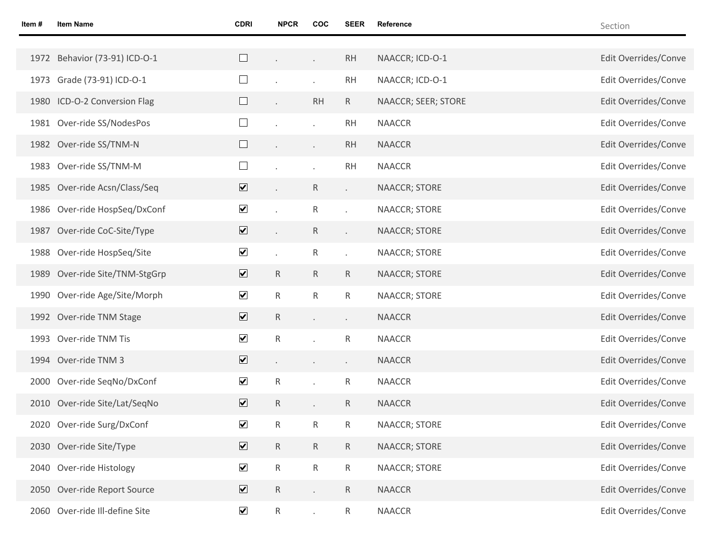| Item # | <b>Item Name</b>               | <b>CDRI</b>             | <b>NPCR</b>    | <b>COC</b>   | <b>SEER</b>              | <b>Reference</b>     | Section              |
|--------|--------------------------------|-------------------------|----------------|--------------|--------------------------|----------------------|----------------------|
|        |                                |                         |                |              |                          |                      |                      |
|        | 1972 Behavior (73-91) ICD-O-1  | $\Box$                  |                | $\Box$       | RH                       | NAACCR; ICD-O-1      | Edit Overrides/Conve |
|        | 1973 Grade (73-91) ICD-O-1     | $\Box$                  |                |              | <b>RH</b>                | NAACCR; ICD-O-1      | Edit Overrides/Conve |
|        | 1980 ICD-O-2 Conversion Flag   | $\Box$                  |                | <b>RH</b>    | $R_{\parallel}$          | NAACCR; SEER; STORE  | Edit Overrides/Conve |
|        | 1981 Over-ride SS/NodesPos     | $\Box$                  |                |              | <b>RH</b>                | <b>NAACCR</b>        | Edit Overrides/Conve |
|        | 1982 Over-ride SS/TNM-N        | $\Box$                  |                | $\Box$       | <b>RH</b>                | <b>NAACCR</b>        | Edit Overrides/Conve |
| 1983   | Over-ride SS/TNM-M             | $\Box$                  |                |              | <b>RH</b>                | <b>NAACCR</b>        | Edit Overrides/Conve |
|        | 1985 Over-ride Acsn/Class/Seq  | $\overline{\mathbf{v}}$ |                | $\mathsf{R}$ | $\mathcal{L}^{\pm}$      | NAACCR; STORE        | Edit Overrides/Conve |
|        | 1986 Over-ride HospSeq/DxConf  | $\blacktriangledown$    |                | R            | $\overline{\phantom{a}}$ | NAACCR; STORE        | Edit Overrides/Conve |
| 1987   | Over-ride CoC-Site/Type        | $\overline{\mathbf{v}}$ | $\epsilon$     | $\mathsf{R}$ | k.                       | NAACCR; STORE        | Edit Overrides/Conve |
|        | 1988 Over-ride HospSeq/Site    | $\blacktriangledown$    |                | R            | $\ddot{\phantom{0}}$     | NAACCR; STORE        | Edit Overrides/Conve |
|        | 1989 Over-ride Site/TNM-StgGrp | $\overline{\mathbf{v}}$ | R              | $\mathsf{R}$ | $\mathsf{R}$             | NAACCR; STORE        | Edit Overrides/Conve |
|        | 1990 Over-ride Age/Site/Morph  | $\blacktriangledown$    | $\mathsf{R}$   | R            | R.                       | NAACCR; STORE        | Edit Overrides/Conve |
|        | 1992 Over-ride TNM Stage       | $\overline{\mathbf{v}}$ | R              | $\Box$       | $\epsilon$               | <b>NAACCR</b>        | Edit Overrides/Conve |
| 1993   | Over-ride TNM Tis              | $\blacktriangledown$    | R              |              | R                        | <b>NAACCR</b>        | Edit Overrides/Conve |
|        | 1994 Over-ride TNM 3           | $\overline{\mathbf{v}}$ | $\blacksquare$ |              | $\epsilon$               | <b>NAACCR</b>        | Edit Overrides/Conve |
|        | 2000 Over-ride SeqNo/DxConf    | $\blacktriangledown$    | R              |              | R                        | <b>NAACCR</b>        | Edit Overrides/Conve |
|        | 2010 Over-ride Site/Lat/SeqNo  | $\overline{\mathbf{v}}$ | R              |              | R                        | <b>NAACCR</b>        | Edit Overrides/Conve |
|        | 2020 Over-ride Surg/DxConf     | $\blacktriangledown$    | R              | R            | R                        | <b>NAACCR; STORE</b> | Edit Overrides/Conve |
|        | 2030 Over-ride Site/Type       | $\overline{\mathbf{v}}$ | $\mathsf R$    | $\mathsf{R}$ | $\mathsf{R}$             | NAACCR; STORE        | Edit Overrides/Conve |
| 2040   | Over-ride Histology            | $\blacktriangledown$    | $\mathsf R$    | $\mathsf{R}$ | $\mathsf{R}$             | NAACCR; STORE        | Edit Overrides/Conve |
|        | 2050 Over-ride Report Source   | $\overline{\mathbf{v}}$ | R              |              | R.                       | <b>NAACCR</b>        | Edit Overrides/Conve |
| 2060   | Over-ride Ill-define Site      | $\blacktriangledown$    | $\mathsf R$    |              | $R_{\parallel}$          | <b>NAACCR</b>        | Edit Overrides/Conve |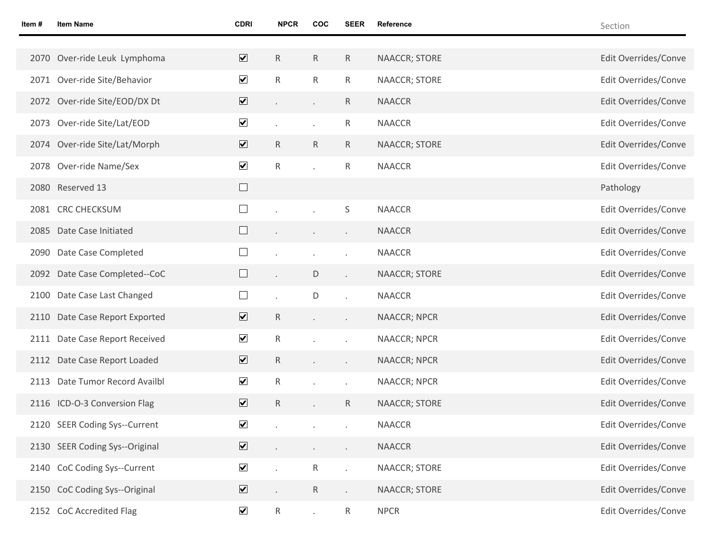| Item # | <b>Item Name</b>               | <b>CDRI</b>                     | <b>NPCR</b>     | COC                         | <b>SEER</b>                 | Reference            | Section              |
|--------|--------------------------------|---------------------------------|-----------------|-----------------------------|-----------------------------|----------------------|----------------------|
|        |                                |                                 |                 |                             |                             |                      |                      |
|        | 2070 Over-ride Leuk Lymphoma   | $\overline{\mathbf{v}}$         | $\mathsf{R}$    | $\mathsf{R}$                | $\mathsf{R}$                | NAACCR; STORE        | Edit Overrides/Conve |
|        | 2071 Over-ride Site/Behavior   | $\blacktriangledown$            | $\mathsf{R}$    | R.                          | $\mathsf{R}$                | NAACCR; STORE        | Edit Overrides/Conve |
|        | 2072 Over-ride Site/EOD/DX Dt  | $\boxed{\blacktriangledown}$    |                 | $\epsilon$                  | $\mathsf{R}$                | <b>NAACCR</b>        | Edit Overrides/Conve |
|        | 2073 Over-ride Site/Lat/EOD    | $\blacktriangledown$            |                 | $\mathcal{L}^{\mathcal{L}}$ | $\mathsf{R}$                | <b>NAACCR</b>        | Edit Overrides/Conve |
|        | 2074 Over-ride Site/Lat/Morph  | $\overline{\blacktriangledown}$ | $\mathsf{R}$    | R                           | $\mathsf{R}$                | NAACCR; STORE        | Edit Overrides/Conve |
|        | 2078 Over-ride Name/Sex        | $\blacktriangledown$            | $\mathsf{R}$    | $\mathbf{r}$                | $\mathsf{R}$                | <b>NAACCR</b>        | Edit Overrides/Conve |
|        | 2080 Reserved 13               | $\Box$                          |                 |                             |                             |                      | Pathology            |
|        | 2081 CRC CHECKSUM              | $\Box$                          |                 |                             | S                           | <b>NAACCR</b>        | Edit Overrides/Conve |
|        | 2085 Date Case Initiated       | $\Box$                          |                 |                             | $\blacksquare$              | <b>NAACCR</b>        | Edit Overrides/Conve |
|        | 2090 Date Case Completed       | $\Box$                          |                 |                             | $\cdot$                     | <b>NAACCR</b>        | Edit Overrides/Conve |
|        | 2092 Date Case Completed--CoC  | $\Box$                          |                 | D                           | $\mathcal{L}^{\mathcal{L}}$ | NAACCR; STORE        | Edit Overrides/Conve |
|        | 2100 Date Case Last Changed    | $\Box$                          |                 | D                           | $\epsilon$                  | <b>NAACCR</b>        | Edit Overrides/Conve |
|        | 2110 Date Case Report Exported | $\overline{\mathbf{v}}$         | R               |                             | $\sim$                      | NAACCR; NPCR         | Edit Overrides/Conve |
|        | 2111 Date Case Report Received | $\blacktriangledown$            | $\mathsf{R}$    |                             | $\epsilon$                  | NAACCR; NPCR         | Edit Overrides/Conve |
|        | 2112 Date Case Report Loaded   | $\overline{\blacktriangledown}$ | R               |                             | $\blacksquare$              | <b>NAACCR; NPCR</b>  | Edit Overrides/Conve |
|        | 2113 Date Tumor Record Availbl | $\blacktriangledown$            | $\mathsf{R}$    |                             | $\cdot$                     | <b>NAACCR; NPCR</b>  | Edit Overrides/Conve |
|        | 2116 ICD-O-3 Conversion Flag   | $\overline{\mathbf{v}}$         | $\mathsf{R}$    |                             | $\mathsf{R}$                | <b>NAACCR; STORE</b> | Edit Overrides/Conve |
|        | 2120 SEER Coding Sys--Current  | $\blacktriangledown$            |                 |                             |                             | <b>NAACCR</b>        | Edit Overrides/Conve |
|        | 2130 SEER Coding Sys--Original | $\triangledown$                 |                 |                             |                             | NAACCR               | Edit Overrides/Conve |
|        | 2140 CoC Coding Sys--Current   | $\blacktriangledown$            |                 | $\mathsf{R}$                | $\mathcal{L}^{\mathcal{L}}$ | NAACCR; STORE        | Edit Overrides/Conve |
|        | 2150 CoC Coding Sys--Original  | $\boxed{\blacktriangledown}$    |                 | $R_{\parallel}$             | $\mathcal{L}^{\mathcal{L}}$ | NAACCR; STORE        | Edit Overrides/Conve |
|        | 2152 CoC Accredited Flag       | $\blacktriangledown$            | $R_{\parallel}$ | $\mathcal{L}^{\pm}$         | $\mathsf{R}$                | <b>NPCR</b>          | Edit Overrides/Conve |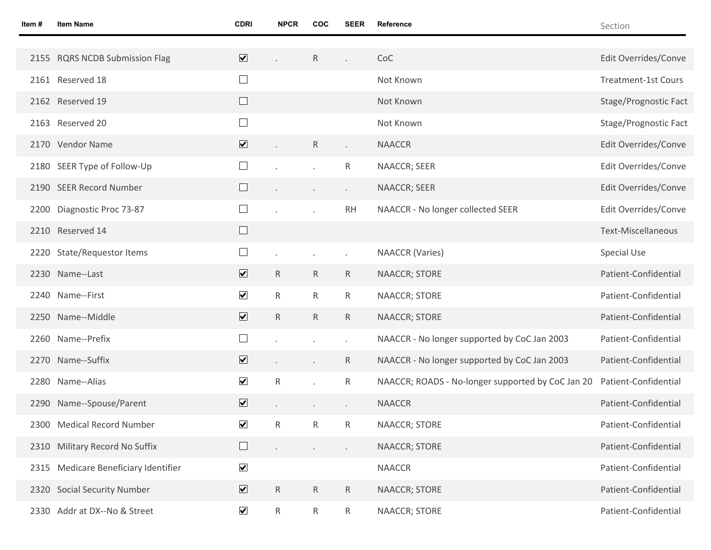| Item # | <b>Item Name</b>                | <b>CDRI</b>                           | <b>NPCR</b>  | <b>COC</b>   | <b>SEER</b>          | Reference                                         | Section                    |
|--------|---------------------------------|---------------------------------------|--------------|--------------|----------------------|---------------------------------------------------|----------------------------|
|        | 2155 RQRS NCDB Submission Flag  | $\overline{\mathbf{v}}$               |              | $\mathsf{R}$ |                      | CoC                                               | Edit Overrides/Conve       |
|        | 2161 Reserved 18                | $\Box$                                |              |              |                      | Not Known                                         | <b>Treatment-1st Cours</b> |
|        |                                 |                                       |              |              |                      |                                                   |                            |
|        | 2162 Reserved 19                | $\Box$                                |              |              |                      | Not Known                                         | Stage/Prognostic Fact      |
|        | 2163 Reserved 20                | $\Box$                                |              |              |                      | Not Known                                         | Stage/Prognostic Fact      |
|        | 2170 Vendor Name                | $\overline{\mathbf{v}}$               |              | $\mathsf{R}$ |                      | <b>NAACCR</b>                                     | Edit Overrides/Conve       |
|        | 2180 SEER Type of Follow-Up     | $\Box$                                |              |              | R                    | NAACCR; SEER                                      | Edit Overrides/Conve       |
|        | 2190 SEER Record Number         | $\Box$                                |              |              | $\blacksquare$       | NAACCR; SEER                                      | Edit Overrides/Conve       |
| 2200   | Diagnostic Proc 73-87           | $\Box$                                |              |              | <b>RH</b>            | NAACCR - No longer collected SEER                 | Edit Overrides/Conve       |
|        | 2210 Reserved 14                | $\Box$                                |              |              |                      |                                                   | <b>Text-Miscellaneous</b>  |
|        | 2220 State/Requestor Items      | $\Box$                                |              |              |                      | <b>NAACCR</b> (Varies)                            | <b>Special Use</b>         |
|        | 2230 Name--Last                 | $\overline{\mathbf{v}}$               | $\mathsf{R}$ | $\mathsf{R}$ | $\mathsf{R}$         | <b>NAACCR; STORE</b>                              | Patient-Confidential       |
|        | 2240 Name--First                | $\blacktriangledown$                  | R            | $\mathsf{R}$ | $\mathsf{R}$         | NAACCR; STORE                                     | Patient-Confidential       |
|        | 2250 Name--Middle               | $\overline{\mathbf{v}}$               | $\mathsf{R}$ | $\mathsf{R}$ | $\mathsf{R}$         | NAACCR; STORE                                     | Patient-Confidential       |
|        | 2260 Name--Prefix               | $\Box$                                |              |              | $\ddot{\phantom{0}}$ | NAACCR - No longer supported by CoC Jan 2003      | Patient-Confidential       |
|        | 2270 Name--Suffix               | $\overline{\mathbf{v}}$               |              |              | $\mathsf{R}$         | NAACCR - No longer supported by CoC Jan 2003      | Patient-Confidential       |
|        | 2280 Name--Alias                | $\blacktriangledown$                  | R            |              | $\mathsf{R}$         | NAACCR; ROADS - No-longer supported by CoC Jan 20 | Patient-Confidential       |
| 2290   | Name--Spouse/Parent             | $\overline{\mathbf{v}}$               |              |              |                      | <b>NAACCR</b>                                     | Patient-Confidential       |
|        | 2300 Medical Record Number      | ⊻                                     | ${\sf R}$    | ${\sf R}$    | $\mathsf{R}$         | NAACCR; STORE                                     | Patient-Confidential       |
| 2310   | Military Record No Suffix       | $\begin{array}{c} \hline \end{array}$ |              |              |                      | NAACCR; STORE                                     | Patient-Confidential       |
| 2315   | Medicare Beneficiary Identifier | $\blacktriangledown$                  |              |              |                      | <b>NAACCR</b>                                     | Patient-Confidential       |
|        | 2320 Social Security Number     | $\overline{\mathbf{v}}$               | $\mathsf R$  | $\mathsf{R}$ | $\mathsf{R}$         | NAACCR; STORE                                     | Patient-Confidential       |
|        | 2330 Addr at DX--No & Street    | $\blacktriangledown$                  | $\mathsf{R}$ | $\mathsf{R}$ | $R_{\parallel}$      | NAACCR; STORE                                     | Patient-Confidential       |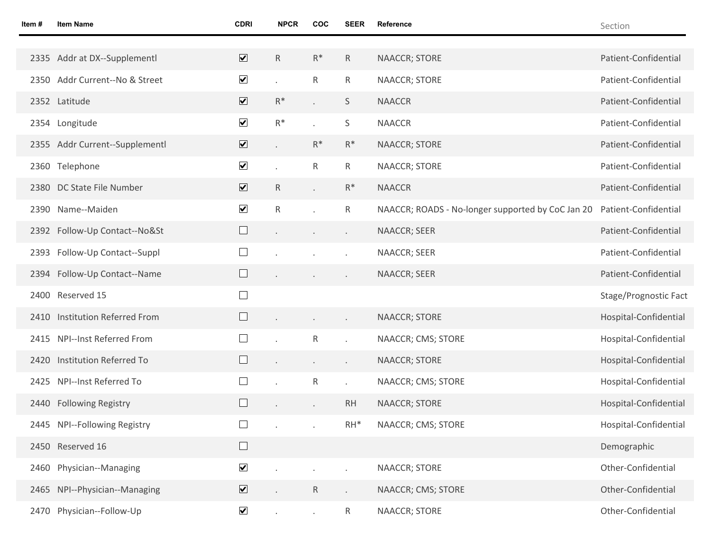| Item # | <b>Item Name</b>               | <b>CDRI</b>             | <b>NPCR</b> | COC                         | <b>SEER</b>     | Reference                                         | Section               |
|--------|--------------------------------|-------------------------|-------------|-----------------------------|-----------------|---------------------------------------------------|-----------------------|
|        |                                |                         |             |                             |                 |                                                   |                       |
|        | 2335 Addr at DX--Supplementl   | $\overline{\mathbf{v}}$ | $\mathsf R$ | $R^*$                       | $\mathsf{R}$    | NAACCR; STORE                                     | Patient-Confidential  |
|        | 2350 Addr Current--No & Street | $\blacktriangledown$    |             | ${\sf R}$                   | $\mathsf{R}$    | NAACCR; STORE                                     | Patient-Confidential  |
|        | 2352 Latitude                  | $\overline{\mathbf{v}}$ | $R^*$       | $\bar{\mathcal{E}}$         | S               | <b>NAACCR</b>                                     | Patient-Confidential  |
|        | 2354 Longitude                 | $\blacktriangledown$    | $R^*$       |                             | $\sf S$         | <b>NAACCR</b>                                     | Patient-Confidential  |
|        | 2355 Addr Current--Supplementl | $\overline{\mathbf{v}}$ |             | $R^*$                       | $R^*$           | <b>NAACCR; STORE</b>                              | Patient-Confidential  |
|        | 2360 Telephone                 | $\blacktriangledown$    |             | R                           | $R_{\parallel}$ | NAACCR; STORE                                     | Patient-Confidential  |
|        | 2380 DC State File Number      | $\blacktriangledown$    | R           | $\mathcal{L}^{\mathcal{L}}$ | $R^*$           | <b>NAACCR</b>                                     | Patient-Confidential  |
|        | 2390 Name--Maiden              | $\blacktriangledown$    | $\mathsf R$ |                             | R               | NAACCR; ROADS - No-longer supported by CoC Jan 20 | Patient-Confidential  |
|        | 2392 Follow-Up Contact--No&St  | ⊔                       |             | $\blacksquare$              |                 | NAACCR; SEER                                      | Patient-Confidential  |
| 2393   | Follow-Up Contact--Suppl       | $\Box$                  |             |                             |                 | NAACCR; SEER                                      | Patient-Confidential  |
|        | 2394 Follow-Up Contact--Name   |                         |             |                             |                 | NAACCR; SEER                                      | Patient-Confidential  |
|        | 2400 Reserved 15               | $\Box$                  |             |                             |                 |                                                   | Stage/Prognostic Fact |
|        | 2410 Institution Referred From |                         |             | $\blacksquare$              |                 | NAACCR; STORE                                     | Hospital-Confidential |
|        | 2415 NPI--Inst Referred From   |                         |             | ${\sf R}$                   |                 | NAACCR; CMS; STORE                                | Hospital-Confidential |
|        | 2420 Institution Referred To   |                         |             | $\bullet$                   |                 | NAACCR; STORE                                     | Hospital-Confidential |
|        | 2425 NPI--Inst Referred To     |                         |             | R                           |                 | NAACCR; CMS; STORE                                | Hospital-Confidential |
|        | 2440 Following Registry        |                         |             | $\overline{\phantom{a}}$    | <b>RH</b>       | <b>NAACCR; STORE</b>                              | Hospital-Confidential |
|        | 2445 NPI--Following Registry   | $\Box$                  |             |                             | $RH^*$          | NAACCR; CMS; STORE                                | Hospital-Confidential |
|        | 2450 Reserved 16               | ⊔                       |             |                             |                 |                                                   | Demographic           |
|        | 2460 Physician--Managing       | $\blacktriangledown$    |             |                             |                 | NAACCR; STORE                                     | Other-Confidential    |
|        | 2465 NPI--Physician--Managing  | $\boxed{\mathbf{v}}$    |             | R                           |                 | NAACCR; CMS; STORE                                | Other-Confidential    |
|        | 2470 Physician--Follow-Up      | $\blacktriangledown$    |             |                             | $\mathsf{R}$    | NAACCR; STORE                                     | Other-Confidential    |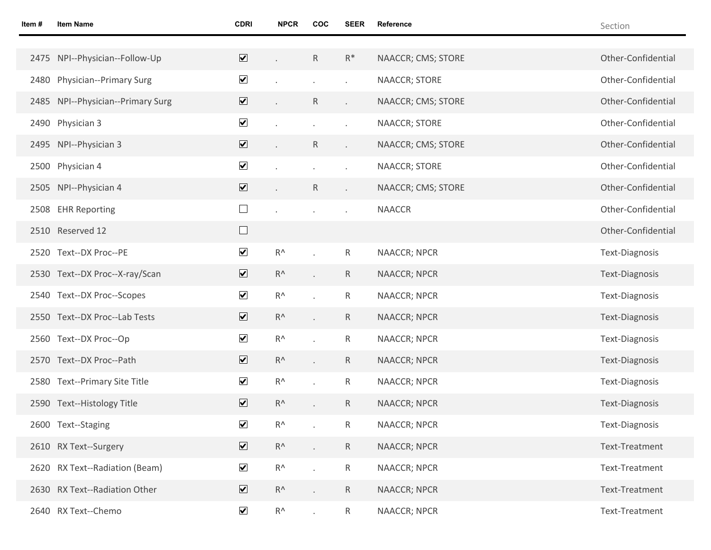| Item # | <b>Item Name</b>                  | <b>CDRI</b>                  | <b>NPCR</b>   | <b>COC</b>   | <b>SEER</b>              | Reference           | Section               |
|--------|-----------------------------------|------------------------------|---------------|--------------|--------------------------|---------------------|-----------------------|
|        |                                   |                              |               |              |                          |                     |                       |
|        | 2475 NPI--Physician--Follow-Up    | $\overline{\mathbf{v}}$      |               | R            | $R^*$                    | NAACCR; CMS; STORE  | Other-Confidential    |
|        | 2480 Physician--Primary Surg      | $\blacktriangledown$         |               |              |                          | NAACCR; STORE       | Other-Confidential    |
|        | 2485 NPI--Physician--Primary Surg | $\boxed{\blacktriangledown}$ |               | R            | $\overline{\phantom{a}}$ | NAACCR; CMS; STORE  | Other-Confidential    |
|        | 2490 Physician 3                  | $\blacktriangledown$         |               |              |                          | NAACCR; STORE       | Other-Confidential    |
|        | 2495 NPI--Physician 3             | $\boxed{\blacktriangledown}$ |               | $\mathsf{R}$ | $\epsilon$               | NAACCR; CMS; STORE  | Other-Confidential    |
|        | 2500 Physician 4                  | $\blacktriangledown$         |               |              |                          | NAACCR; STORE       | Other-Confidential    |
|        | 2505 NPI--Physician 4             | $\overline{\mathbf{v}}$      |               | $\mathsf{R}$ | $\epsilon$               | NAACCR; CMS; STORE  | Other-Confidential    |
|        | 2508 EHR Reporting                | $\Box$                       |               |              |                          | <b>NAACCR</b>       | Other-Confidential    |
|        | 2510 Reserved 12                  | $\Box$                       |               |              |                          |                     | Other-Confidential    |
|        | 2520 Text--DX Proc--PE            | $\blacktriangledown$         | $R^{\Lambda}$ |              | R                        | NAACCR; NPCR        | <b>Text-Diagnosis</b> |
|        | 2530 Text--DX Proc--X-ray/Scan    | $\blacktriangledown$         | $R^{\Lambda}$ |              | $\mathsf R$              | <b>NAACCR; NPCR</b> | <b>Text-Diagnosis</b> |
|        | 2540 Text--DX Proc--Scopes        | $\blacktriangledown$         | $R^{\Lambda}$ |              | ${\sf R}$                | NAACCR; NPCR        | <b>Text-Diagnosis</b> |
|        | 2550 Text--DX Proc--Lab Tests     | $\blacktriangledown$         | $R^{\Lambda}$ |              | $\mathsf R$              | NAACCR; NPCR        | <b>Text-Diagnosis</b> |
|        | 2560 Text--DX Proc--Op            | $\blacktriangledown$         | $R^{\Lambda}$ |              | ${\sf R}$                | NAACCR; NPCR        | <b>Text-Diagnosis</b> |
|        | 2570 Text--DX Proc--Path          | $\overline{\mathbf{v}}$      | $R^{\Lambda}$ |              | R                        | NAACCR; NPCR        | Text-Diagnosis        |
|        | 2580 Text--Primary Site Title     | $\blacktriangledown$         | $R^{\Lambda}$ |              | R                        | NAACCR; NPCR        | Text-Diagnosis        |
|        | 2590 Text--Histology Title        | $\overline{\mathbf{v}}$      | $R^{\Lambda}$ |              | R                        | <b>NAACCR; NPCR</b> | Text-Diagnosis        |
|        | 2600 Text--Staging                | $\blacktriangledown$         | $R^{\Lambda}$ |              | $\mathsf R$              | NAACCR; NPCR        | Text-Diagnosis        |
|        | 2610 RX Text--Surgery             | $\blacktriangledown$         | $R^{\Lambda}$ |              | $\mathsf R$              | <b>NAACCR; NPCR</b> | Text-Treatment        |
|        | 2620 RX Text--Radiation (Beam)    | $\blacktriangledown$         | $R^{\Lambda}$ |              | R                        | <b>NAACCR; NPCR</b> | Text-Treatment        |
|        | 2630 RX Text--Radiation Other     | $\overline{\mathbf{v}}$      | $R^{\Lambda}$ |              | R                        | <b>NAACCR; NPCR</b> | Text-Treatment        |
|        | 2640 RX Text--Chemo               | $\blacktriangledown$         | $R^{\Lambda}$ |              | R                        | <b>NAACCR; NPCR</b> | Text-Treatment        |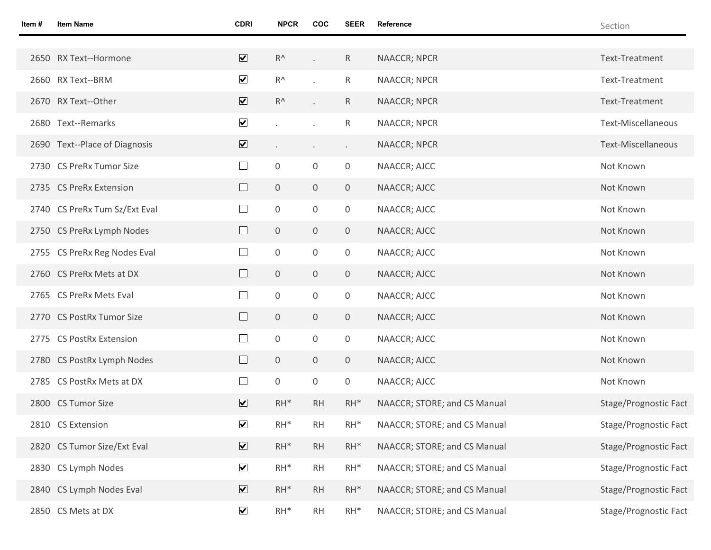| Item # | <b>Item Name</b>              | <b>CDRI</b>                  | <b>NPCR</b>             | <b>COC</b>       | <b>SEER</b>    | Reference                    | Section                   |
|--------|-------------------------------|------------------------------|-------------------------|------------------|----------------|------------------------------|---------------------------|
|        |                               |                              |                         |                  |                |                              |                           |
|        | 2650 RX Text--Hormone         | $\overline{\mathbf{v}}$      | $R^{\Lambda}$           |                  | $\mathsf{R}$   | <b>NAACCR; NPCR</b>          | Text-Treatment            |
|        | 2660 RX Text--BRM             | $\overline{\mathbf{v}}$      | $\mathsf{R}^\mathsf{A}$ |                  | R.             | NAACCR; NPCR                 | Text-Treatment            |
|        | 2670 RX Text--Other           | $\overline{\mathbf{v}}$      | $R^{\Lambda}$           |                  | $\mathsf{R}$   | <b>NAACCR; NPCR</b>          | Text-Treatment            |
|        | 2680 Text--Remarks            | $\blacktriangledown$         |                         |                  | R.             | NAACCR; NPCR                 | Text-Miscellaneous        |
|        | 2690 Text--Place of Diagnosis | $\boxed{\blacktriangledown}$ | $\blacksquare$          | $\cdot$          | $\blacksquare$ | <b>NAACCR; NPCR</b>          | <b>Text-Miscellaneous</b> |
|        | 2730 CS PreRx Tumor Size      | $\Box$                       | $\boldsymbol{0}$        | $\mathsf 0$      | 0              | NAACCR; AJCC                 | Not Known                 |
|        | 2735 CS PreRx Extension       | $\Box$                       | $\overline{0}$          | $\boldsymbol{0}$ | $\overline{0}$ | NAACCR; AJCC                 | Not Known                 |
|        | 2740 CS PreRx Tum Sz/Ext Eval | $\Box$                       | $\boldsymbol{0}$        | $\mathsf 0$      | $\mathsf{O}$   | NAACCR; AJCC                 | Not Known                 |
|        | 2750 CS PreRx Lymph Nodes     | $\Box$                       | $\mathbf 0$             | $\boldsymbol{0}$ | $\overline{0}$ | NAACCR; AJCC                 | Not Known                 |
|        | 2755 CS PreRx Reg Nodes Eval  | $\Box$                       | $\boldsymbol{0}$        | $\mathsf 0$      | $\mathsf{O}$   | NAACCR; AJCC                 | Not Known                 |
|        | 2760 CS PreRx Mets at DX      | $\Box$                       | $\mathbf 0$             | $\boldsymbol{0}$ | $\overline{0}$ | NAACCR; AJCC                 | Not Known                 |
|        | 2765 CS PreRx Mets Eval       | $\Box$                       | $\boldsymbol{0}$        | $\mathsf 0$      | $\mathsf{O}$   | NAACCR; AJCC                 | Not Known                 |
|        | 2770 CS PostRx Tumor Size     | $\Box$                       | $\mathbf 0$             | $\boldsymbol{0}$ | $\overline{0}$ | NAACCR; AJCC                 | Not Known                 |
|        | 2775 CS PostRx Extension      | $\Box$                       | 0                       | $\mathsf 0$      | $\mathsf{O}$   | NAACCR; AJCC                 | Not Known                 |
|        | 2780 CS PostRx Lymph Nodes    | $\Box$                       | 0                       | $\boldsymbol{0}$ | $\overline{0}$ | NAACCR; AJCC                 | Not Known                 |
|        | 2785 CS PostRx Mets at DX     | $\Box$                       | 0                       | $\mathsf 0$      | 0              | NAACCR; AJCC                 | Not Known                 |
|        | 2800 CS Tumor Size            | $\overline{\mathbf{v}}$      | $RH^*$                  | <b>RH</b>        | $RH^*$         | NAACCR; STORE; and CS Manual | Stage/Prognostic Fact     |
|        | 2810 CS Extension             | $\blacktriangledown$         | $\mathsf{RH}^*$         | $\mathsf{RH}$    | $RH^*$         | NAACCR; STORE; and CS Manual | Stage/Prognostic Fact     |
|        | 2820 CS Tumor Size/Ext Eval   | $\overline{\mathbf{v}}$      | $RH^*$                  | RH               | $RH^*$         | NAACCR; STORE; and CS Manual | Stage/Prognostic Fact     |
| 2830   | CS Lymph Nodes                | $\blacktriangledown$         | $RH^*$                  | RH               | $RH^*$         | NAACCR; STORE; and CS Manual | Stage/Prognostic Fact     |
| 2840   | CS Lymph Nodes Eval           | $\overline{\mathbf{v}}$      | $RH^*$                  | <b>RH</b>        | $RH^*$         | NAACCR; STORE; and CS Manual | Stage/Prognostic Fact     |
|        | 2850 CS Mets at DX            | $\blacktriangledown$         | $RH^*$                  | RH               | $RH^*$         | NAACCR; STORE; and CS Manual | Stage/Prognostic Fact     |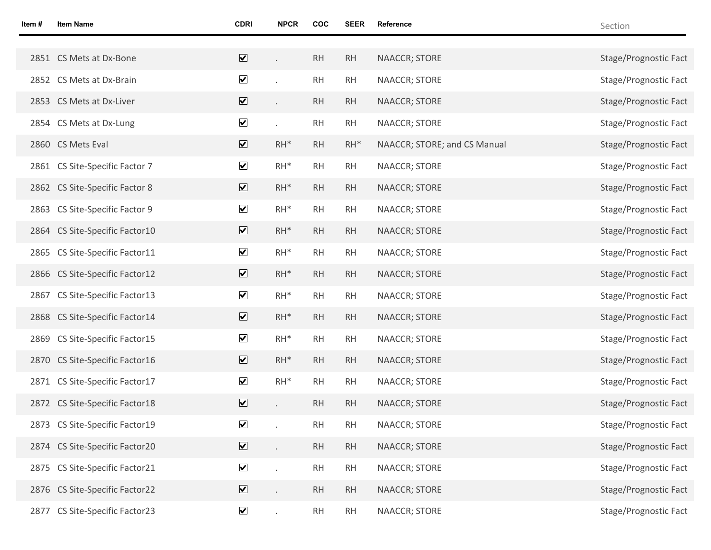| Item # | <b>Item Name</b>               | <b>CDRI</b>                     | <b>NPCR</b> | <b>COC</b> | <b>SEER</b> | Reference                    | Section               |
|--------|--------------------------------|---------------------------------|-------------|------------|-------------|------------------------------|-----------------------|
|        |                                |                                 |             |            |             |                              |                       |
|        | 2851 CS Mets at Dx-Bone        | $\overline{\blacktriangledown}$ |             | RH         | RH          | NAACCR; STORE                | Stage/Prognostic Fact |
|        | 2852 CS Mets at Dx-Brain       | $\blacktriangledown$            |             | RH         | RH          | NAACCR; STORE                | Stage/Prognostic Fact |
|        | 2853 CS Mets at Dx-Liver       | $\overline{\textbf{v}}$         |             | RH         | RH          | NAACCR; STORE                | Stage/Prognostic Fact |
|        | 2854 CS Mets at Dx-Lung        | $\blacktriangledown$            |             | RH         | RH          | NAACCR; STORE                | Stage/Prognostic Fact |
|        | 2860 CS Mets Eval              | $\overline{\mathbf{v}}$         | $RH^*$      | RH         | $RH^*$      | NAACCR; STORE; and CS Manual | Stage/Prognostic Fact |
|        | 2861 CS Site-Specific Factor 7 | $\blacktriangledown$            | $RH^*$      | RH         | RH          | NAACCR; STORE                | Stage/Prognostic Fact |
|        | 2862 CS Site-Specific Factor 8 | $\overline{\mathbf{v}}$         | $RH^*$      | RH         | RH          | NAACCR; STORE                | Stage/Prognostic Fact |
|        | 2863 CS Site-Specific Factor 9 | $\blacktriangledown$            | $RH^*$      | RH         | RH          | NAACCR; STORE                | Stage/Prognostic Fact |
|        | 2864 CS Site-Specific Factor10 | $\overline{\mathbf{v}}$         | $RH^*$      | <b>RH</b>  | RH          | NAACCR; STORE                | Stage/Prognostic Fact |
|        | 2865 CS Site-Specific Factor11 | $\blacktriangledown$            | $RH^*$      | RH         | RH          | NAACCR; STORE                | Stage/Prognostic Fact |
|        | 2866 CS Site-Specific Factor12 | $\blacktriangledown$            | $RH^*$      | <b>RH</b>  | RH          | NAACCR; STORE                | Stage/Prognostic Fact |
|        | 2867 CS Site-Specific Factor13 | $\blacktriangledown$            | $RH^*$      | RH         | RH          | NAACCR; STORE                | Stage/Prognostic Fact |
|        | 2868 CS Site-Specific Factor14 | $\overline{\mathbf{v}}$         | $RH^*$      | RH         | RH          | NAACCR; STORE                | Stage/Prognostic Fact |
|        | 2869 CS Site-Specific Factor15 | $\blacktriangledown$            | $RH^*$      | RH         | RH          | NAACCR; STORE                | Stage/Prognostic Fact |
|        | 2870 CS Site-Specific Factor16 | $\overline{\mathbf{v}}$         | $RH^*$      | <b>RH</b>  | RH          | NAACCR; STORE                | Stage/Prognostic Fact |
|        | 2871 CS Site-Specific Factor17 | $\blacktriangledown$            | $RH^*$      | RH         | RH          | NAACCR; STORE                | Stage/Prognostic Fact |
|        | 2872 CS Site-Specific Factor18 | $\overline{\mathbf{v}}$         |             | <b>RH</b>  | <b>RH</b>   | NAACCR; STORE                | Stage/Prognostic Fact |
|        | 2873 CS Site-Specific Factor19 | $\blacktriangledown$            |             | <b>RH</b>  | <b>RH</b>   | <b>NAACCR; STORE</b>         | Stage/Prognostic Fact |
|        | 2874 CS Site-Specific Factor20 | $\overline{\mathbf{v}}$         |             | <b>RH</b>  | RH          | <b>NAACCR; STORE</b>         | Stage/Prognostic Fact |
|        | 2875 CS Site-Specific Factor21 | $\blacktriangledown$            |             | RH         | RH          | NAACCR; STORE                | Stage/Prognostic Fact |
|        | 2876 CS Site-Specific Factor22 | $\overline{\mathbf{v}}$         | $\epsilon$  | <b>RH</b>  | RH          | NAACCR; STORE                | Stage/Prognostic Fact |
|        | 2877 CS Site-Specific Factor23 | $\blacktriangledown$            | ÷.          | <b>RH</b>  | <b>RH</b>   | NAACCR; STORE                | Stage/Prognostic Fact |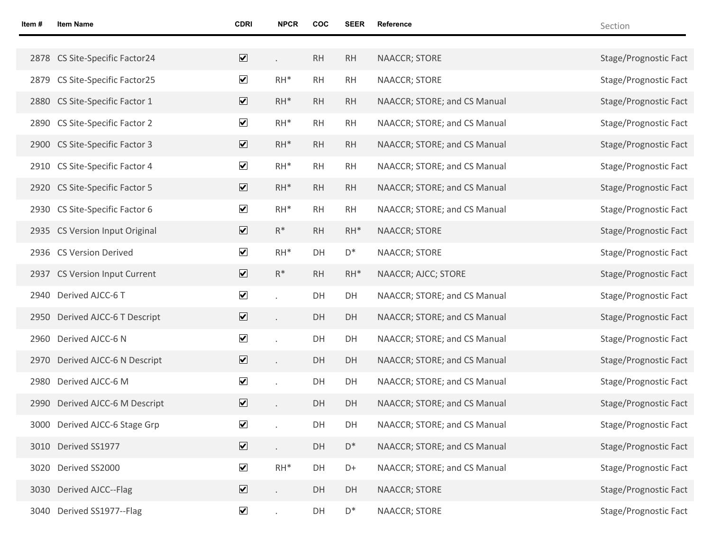| Item # | <b>Item Name</b>               | <b>CDRI</b>             | <b>NPCR</b>    | <b>COC</b> | <b>SEER</b>    | Reference                    | Section               |
|--------|--------------------------------|-------------------------|----------------|------------|----------------|------------------------------|-----------------------|
|        |                                |                         |                |            |                |                              |                       |
|        | 2878 CS Site-Specific Factor24 | $\overline{\mathbf{v}}$ |                | <b>RH</b>  | RH             | NAACCR; STORE                | Stage/Prognostic Fact |
|        | 2879 CS Site-Specific Factor25 | $\blacktriangledown$    | $RH^*$         | RH         | <b>RH</b>      | NAACCR; STORE                | Stage/Prognostic Fact |
|        | 2880 CS Site-Specific Factor 1 | $\overline{\mathbf{v}}$ | $RH^*$         | <b>RH</b>  | RH             | NAACCR; STORE; and CS Manual | Stage/Prognostic Fact |
|        | 2890 CS Site-Specific Factor 2 | $\blacktriangledown$    | $RH^*$         | RH         | <b>RH</b>      | NAACCR; STORE; and CS Manual | Stage/Prognostic Fact |
|        | 2900 CS Site-Specific Factor 3 | $\overline{\mathbf{v}}$ | $RH^*$         | RH         | RH             | NAACCR; STORE; and CS Manual | Stage/Prognostic Fact |
|        | 2910 CS Site-Specific Factor 4 | $\blacktriangledown$    | $RH^*$         | RH         | <b>RH</b>      | NAACCR; STORE; and CS Manual | Stage/Prognostic Fact |
|        | 2920 CS Site-Specific Factor 5 | $\overline{\mathbf{v}}$ | $RH^*$         | RH         | RH             | NAACCR; STORE; and CS Manual | Stage/Prognostic Fact |
|        | 2930 CS Site-Specific Factor 6 | $\blacktriangledown$    | $RH^*$         | RH         | <b>RH</b>      | NAACCR; STORE; and CS Manual | Stage/Prognostic Fact |
|        | 2935 CS Version Input Original | $\overline{\mathbf{v}}$ | $R^*$          | <b>RH</b>  | $RH^*$         | NAACCR; STORE                | Stage/Prognostic Fact |
|        | 2936 CS Version Derived        | $\blacktriangledown$    | $RH^*$         | DH         | $\mathsf{D}^*$ | NAACCR; STORE                | Stage/Prognostic Fact |
|        | 2937 CS Version Input Current  | $\blacktriangledown$    | $\mathsf{R}^*$ | <b>RH</b>  | $RH^*$         | NAACCR; AJCC; STORE          | Stage/Prognostic Fact |
|        | 2940 Derived AJCC-6 T          | $\blacktriangledown$    |                | DH         | DH             | NAACCR; STORE; and CS Manual | Stage/Prognostic Fact |
|        | 2950 Derived AJCC-6 T Descript | $\blacktriangledown$    |                | DH         | DH             | NAACCR; STORE; and CS Manual | Stage/Prognostic Fact |
|        | 2960 Derived AJCC-6 N          | $\blacktriangledown$    |                | DH         | DH             | NAACCR; STORE; and CS Manual | Stage/Prognostic Fact |
|        | 2970 Derived AJCC-6 N Descript | $\overline{\mathbf{v}}$ |                | DH         | DH             | NAACCR; STORE; and CS Manual | Stage/Prognostic Fact |
|        | 2980 Derived AJCC-6 M          | $\blacktriangledown$    |                | DH         | DH             | NAACCR; STORE; and CS Manual | Stage/Prognostic Fact |
|        | 2990 Derived AJCC-6 M Descript | $\overline{\mathbf{v}}$ |                | DH         | DH             | NAACCR; STORE; and CS Manual | Stage/Prognostic Fact |
|        | 3000 Derived AJCC-6 Stage Grp  | $\blacktriangledown$    |                | DH         | DH             | NAACCR; STORE; and CS Manual | Stage/Prognostic Fact |
|        | 3010 Derived SS1977            | $\overline{\mathbf{v}}$ |                | DH         | $D^*$          | NAACCR; STORE; and CS Manual | Stage/Prognostic Fact |
|        | 3020 Derived SS2000            | $\blacktriangledown$    | $RH^*$         | DH         | D+             | NAACCR; STORE; and CS Manual | Stage/Prognostic Fact |
|        | 3030 Derived AJCC--Flag        | $\overline{\mathbf{v}}$ |                | DH         | DH             | <b>NAACCR; STORE</b>         | Stage/Prognostic Fact |
|        | 3040 Derived SS1977--Flag      | $\blacktriangledown$    | $\epsilon$     | DH         | $\mathsf{D}^*$ | NAACCR; STORE                | Stage/Prognostic Fact |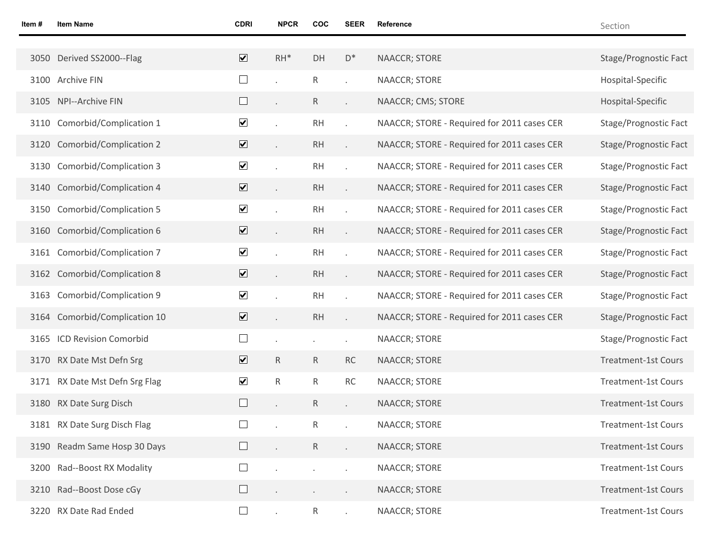| ltem # | <b>Item Name</b>               | <b>CDRI</b>             | <b>NPCR</b>          | COC             | <b>SEER</b>    | Reference                                   | Section                    |
|--------|--------------------------------|-------------------------|----------------------|-----------------|----------------|---------------------------------------------|----------------------------|
|        |                                |                         |                      |                 |                |                                             |                            |
|        | 3050 Derived SS2000--Flag      | $\overline{\mathbf{v}}$ | $RH^*$               | DH              | $\mathsf{D}^*$ | <b>NAACCR; STORE</b>                        | Stage/Prognostic Fact      |
|        | 3100 Archive FIN               | $\Box$                  |                      | R               |                | NAACCR; STORE                               | Hospital-Specific          |
|        | 3105 NPI--Archive FIN          | $\Box$                  |                      | R               |                | NAACCR; CMS; STORE                          | Hospital-Specific          |
|        | 3110 Comorbid/Complication 1   | $\blacktriangledown$    |                      | <b>RH</b>       |                | NAACCR; STORE - Required for 2011 cases CER | Stage/Prognostic Fact      |
|        | 3120 Comorbid/Complication 2   | $\overline{\mathbf{v}}$ | $\ddot{\phantom{0}}$ | <b>RH</b>       |                | NAACCR; STORE - Required for 2011 cases CER | Stage/Prognostic Fact      |
|        | 3130 Comorbid/Complication 3   | $\blacktriangledown$    |                      | <b>RH</b>       |                | NAACCR; STORE - Required for 2011 cases CER | Stage/Prognostic Fact      |
|        | 3140 Comorbid/Complication 4   | $\overline{\mathbf{v}}$ | $\ddot{\phantom{0}}$ | <b>RH</b>       |                | NAACCR; STORE - Required for 2011 cases CER | Stage/Prognostic Fact      |
|        | 3150 Comorbid/Complication 5   | $\blacktriangledown$    |                      | <b>RH</b>       |                | NAACCR; STORE - Required for 2011 cases CER | Stage/Prognostic Fact      |
|        | 3160 Comorbid/Complication 6   | $\overline{\mathbf{v}}$ | $\ddot{\phantom{0}}$ | <b>RH</b>       |                | NAACCR; STORE - Required for 2011 cases CER | Stage/Prognostic Fact      |
|        | 3161 Comorbid/Complication 7   | $\blacktriangledown$    |                      | <b>RH</b>       |                | NAACCR; STORE - Required for 2011 cases CER | Stage/Prognostic Fact      |
|        | 3162 Comorbid/Complication 8   | $\blacktriangledown$    | $\ddot{\phantom{0}}$ | <b>RH</b>       |                | NAACCR; STORE - Required for 2011 cases CER | Stage/Prognostic Fact      |
|        | 3163 Comorbid/Complication 9   | $\blacktriangledown$    |                      | <b>RH</b>       |                | NAACCR; STORE - Required for 2011 cases CER | Stage/Prognostic Fact      |
|        | 3164 Comorbid/Complication 10  | $\overline{\mathbf{v}}$ | $\ddot{\phantom{0}}$ | <b>RH</b>       |                | NAACCR; STORE - Required for 2011 cases CER | Stage/Prognostic Fact      |
|        | 3165 ICD Revision Comorbid     | $\Box$                  |                      |                 |                | NAACCR; STORE                               | Stage/Prognostic Fact      |
|        | 3170 RX Date Mst Defn Srg      | $\overline{\mathbf{v}}$ | $\mathsf{R}$         | $\mathsf{R}$    | <b>RC</b>      | <b>NAACCR; STORE</b>                        | <b>Treatment-1st Cours</b> |
|        | 3171 RX Date Mst Defn Srg Flag | $\blacktriangledown$    | R                    | R               | <b>RC</b>      | NAACCR; STORE                               | <b>Treatment-1st Cours</b> |
|        | 3180 RX Date Surg Disch        | $\Box$                  |                      | $\mathsf{R}$    |                | <b>NAACCR; STORE</b>                        | <b>Treatment-1st Cours</b> |
|        | 3181 RX Date Surg Disch Flag   |                         |                      | R               |                | NAACCR; STORE                               | <b>Treatment-1st Cours</b> |
|        | 3190 Readm Same Hosp 30 Days   | $\Box$                  |                      | R               |                | NAACCR; STORE                               | <b>Treatment-1st Cours</b> |
|        | 3200 Rad--Boost RX Modality    | $\Box$                  |                      |                 |                | NAACCR; STORE                               | <b>Treatment-1st Cours</b> |
|        | 3210 Rad--Boost Dose cGy       | $\Box$                  | $\blacksquare$       |                 |                | NAACCR; STORE                               | <b>Treatment-1st Cours</b> |
|        | 3220 RX Date Rad Ended         | $\Box$                  | $\epsilon$           | $R_{\parallel}$ | $\epsilon$     | NAACCR; STORE                               | <b>Treatment-1st Cours</b> |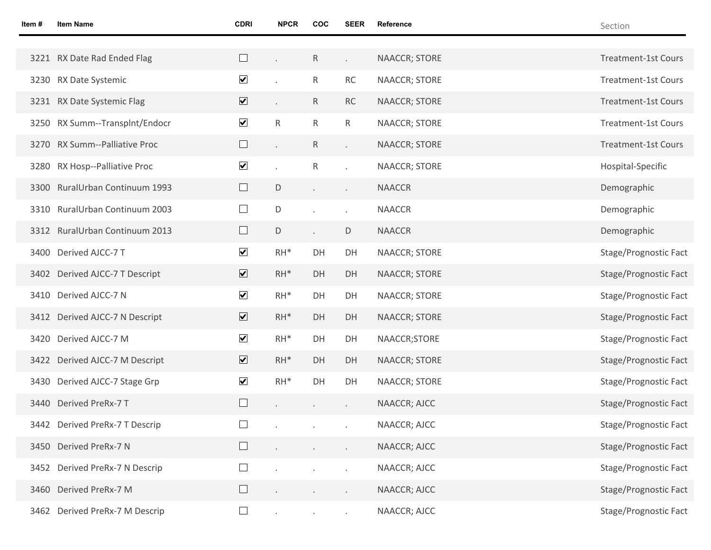| Item# | <b>Item Name</b>               | <b>CDRI</b>             | <b>NPCR</b>  | COC          | <b>SEER</b> | Reference            | Section                    |
|-------|--------------------------------|-------------------------|--------------|--------------|-------------|----------------------|----------------------------|
|       |                                |                         |              |              |             |                      |                            |
|       | 3221 RX Date Rad Ended Flag    |                         |              | $\mathsf{R}$ | ¥.          | NAACCR; STORE        | <b>Treatment-1st Cours</b> |
|       | 3230 RX Date Systemic          | $\blacktriangledown$    |              | R            | RC          | NAACCR; STORE        | <b>Treatment-1st Cours</b> |
|       | 3231 RX Date Systemic Flag     | $\overline{\mathbf{v}}$ |              | R.           | <b>RC</b>   | <b>NAACCR; STORE</b> | <b>Treatment-1st Cours</b> |
|       | 3250 RX Summ--Transplnt/Endocr | $\blacktriangledown$    | $\mathsf{R}$ | R            | R           | NAACCR; STORE        | <b>Treatment-1st Cours</b> |
|       | 3270 RX Summ--Palliative Proc  | $\Box$                  |              | $\mathsf{R}$ | ä,          | <b>NAACCR; STORE</b> | <b>Treatment-1st Cours</b> |
|       | 3280 RX Hosp--Palliative Proc  | $\blacktriangledown$    |              | R            |             | NAACCR; STORE        | Hospital-Specific          |
|       | 3300 RuralUrban Continuum 1993 | $\Box$                  | D            |              | $\epsilon$  | <b>NAACCR</b>        | Demographic                |
|       | 3310 RuralUrban Continuum 2003 | $\Box$                  | D            |              | $\cdot$     | <b>NAACCR</b>        | Demographic                |
|       | 3312 RuralUrban Continuum 2013 | $\Box$                  | D            |              | D           | <b>NAACCR</b>        | Demographic                |
|       | 3400 Derived AJCC-7 T          | $\blacktriangledown$    | $RH^*$       | DH           | DH          | NAACCR; STORE        | Stage/Prognostic Fact      |
|       | 3402 Derived AJCC-7 T Descript | $\overline{\mathbf{v}}$ | $RH^*$       | DH           | DH          | <b>NAACCR; STORE</b> | Stage/Prognostic Fact      |
|       | 3410 Derived AJCC-7 N          | $\blacktriangledown$    | $RH^*$       | DH           | DH          | NAACCR; STORE        | Stage/Prognostic Fact      |
|       | 3412 Derived AJCC-7 N Descript | $\overline{\mathbf{v}}$ | $RH^*$       | DH           | DH          | <b>NAACCR; STORE</b> | Stage/Prognostic Fact      |
|       | 3420 Derived AJCC-7 M          | $\blacktriangledown$    | $RH^*$       | DH           | DH          | NAACCR;STORE         | Stage/Prognostic Fact      |
|       | 3422 Derived AJCC-7 M Descript | $\overline{\mathbf{v}}$ | $RH^*$       | DH           | DH          | <b>NAACCR; STORE</b> | Stage/Prognostic Fact      |
|       | 3430 Derived AJCC-7 Stage Grp  | $\blacktriangledown$    | $RH^*$       | DH           | DH          | NAACCR; STORE        | Stage/Prognostic Fact      |
|       | 3440 Derived PreRx-7 T         |                         |              |              |             | NAACCR; AJCC         | Stage/Prognostic Fact      |
|       | 3442 Derived PreRx-7 T Descrip | $\Box$                  |              |              |             | NAACCR; AJCC         | Stage/Prognostic Fact      |
|       | 3450 Derived PreRx-7 N         |                         |              |              |             | NAACCR; AJCC         | Stage/Prognostic Fact      |
|       | 3452 Derived PreRx-7 N Descrip | $\Box$                  |              |              |             | NAACCR; AJCC         | Stage/Prognostic Fact      |
|       | 3460 Derived PreRx-7 M         | ⊔                       |              |              | $\epsilon$  | NAACCR; AJCC         | Stage/Prognostic Fact      |
|       | 3462 Derived PreRx-7 M Descrip | $\Box$                  |              |              |             | NAACCR; AJCC         | Stage/Prognostic Fact      |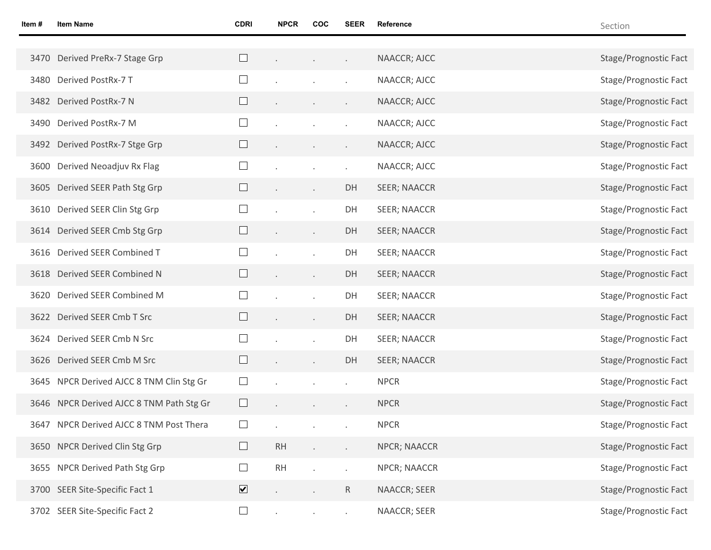| Item # | <b>Item Name</b>                         | <b>CDRI</b>             | <b>NPCR</b> | <b>COC</b>               | SEER           | Reference           | Section               |
|--------|------------------------------------------|-------------------------|-------------|--------------------------|----------------|---------------------|-----------------------|
|        |                                          |                         |             |                          |                |                     |                       |
|        | 3470 Derived PreRx-7 Stage Grp           |                         |             | $\cdot$                  | $\sim$         | NAACCR; AJCC        | Stage/Prognostic Fact |
|        | 3480 Derived PostRx-7 T                  |                         |             |                          |                | NAACCR; AJCC        | Stage/Prognostic Fact |
|        | 3482 Derived PostRx-7 N                  |                         |             | $\bullet$                | $\bullet$      | NAACCR; AJCC        | Stage/Prognostic Fact |
|        | 3490 Derived PostRx-7 M                  |                         |             |                          |                | NAACCR; AJCC        | Stage/Prognostic Fact |
|        | 3492 Derived PostRx-7 Stge Grp           |                         |             | $\bullet$                | $\blacksquare$ | NAACCR; AJCC        | Stage/Prognostic Fact |
| 3600   | Derived Neoadjuv Rx Flag                 | ⊔                       |             |                          |                | NAACCR; AJCC        | Stage/Prognostic Fact |
|        | 3605 Derived SEER Path Stg Grp           |                         |             | $\overline{\phantom{a}}$ | DH             | <b>SEER; NAACCR</b> | Stage/Prognostic Fact |
|        | 3610 Derived SEER Clin Stg Grp           |                         |             |                          | DH             | <b>SEER; NAACCR</b> | Stage/Prognostic Fact |
|        | 3614 Derived SEER Cmb Stg Grp            |                         |             | $\epsilon$               | DH             | <b>SEER; NAACCR</b> | Stage/Prognostic Fact |
|        | 3616 Derived SEER Combined T             | ⊔                       |             |                          | DH             | <b>SEER; NAACCR</b> | Stage/Prognostic Fact |
|        | 3618 Derived SEER Combined N             | $\Box$                  |             | $\epsilon$               | DH             | <b>SEER; NAACCR</b> | Stage/Prognostic Fact |
| 3620   | Derived SEER Combined M                  |                         |             |                          | DH             | <b>SEER; NAACCR</b> | Stage/Prognostic Fact |
|        | 3622 Derived SEER Cmb T Src              |                         |             | $\epsilon$               | DH             | <b>SEER; NAACCR</b> | Stage/Prognostic Fact |
|        | 3624 Derived SEER Cmb N Src              | $\Box$                  |             |                          | DH             | <b>SEER; NAACCR</b> | Stage/Prognostic Fact |
|        | 3626 Derived SEER Cmb M Src              | $\Box$                  |             | $\overline{\phantom{a}}$ | DH             | <b>SEER; NAACCR</b> | Stage/Prognostic Fact |
|        | 3645 NPCR Derived AJCC 8 TNM Clin Stg Gr | $\Box$                  |             |                          |                | <b>NPCR</b>         | Stage/Prognostic Fact |
|        | 3646 NPCR Derived AJCC 8 TNM Path Stg Gr |                         |             | $\cdot$                  | $\bullet$      | <b>NPCR</b>         | Stage/Prognostic Fact |
|        | 3647 NPCR Derived AJCC 8 TNM Post Thera  |                         |             |                          |                | <b>NPCR</b>         | Stage/Prognostic Fact |
|        | 3650 NPCR Derived Clin Stg Grp           | $\Box$                  | RH          |                          |                | NPCR; NAACCR        | Stage/Prognostic Fact |
|        | 3655 NPCR Derived Path Stg Grp           | $\Box$                  | RH          |                          |                | NPCR; NAACCR        | Stage/Prognostic Fact |
|        | 3700 SEER Site-Specific Fact 1           | $\overline{\mathbf{v}}$ |             |                          | $\mathsf{R}$   | NAACCR; SEER        | Stage/Prognostic Fact |
|        | 3702 SEER Site-Specific Fact 2           | $\Box$                  | $\epsilon$  |                          | $\epsilon$     | NAACCR; SEER        | Stage/Prognostic Fact |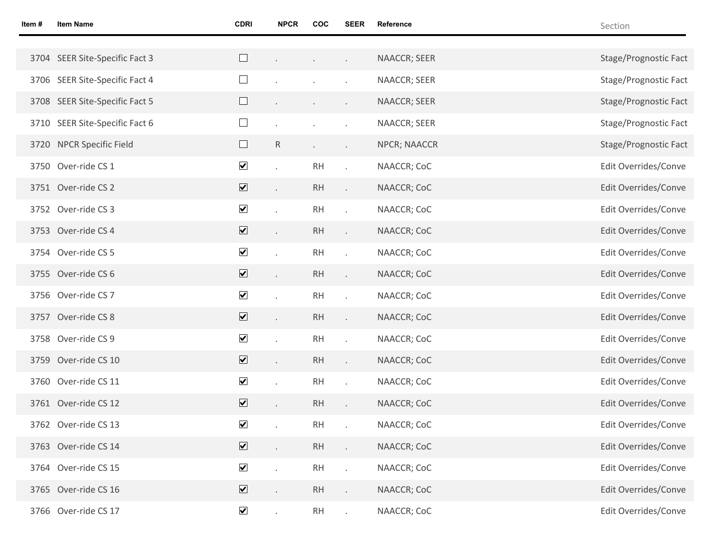| Item # | <b>Item Name</b>               | <b>CDRI</b>             | <b>NPCR</b>               | <b>COC</b> | <b>SEER</b>              | Reference    | Section               |
|--------|--------------------------------|-------------------------|---------------------------|------------|--------------------------|--------------|-----------------------|
|        |                                |                         |                           |            |                          |              |                       |
|        | 3704 SEER Site-Specific Fact 3 | $\Box$                  |                           | $\epsilon$ | $\mathcal{L}$            | NAACCR; SEER | Stage/Prognostic Fact |
|        | 3706 SEER Site-Specific Fact 4 | $\Box$                  |                           |            |                          | NAACCR; SEER | Stage/Prognostic Fact |
|        | 3708 SEER Site-Specific Fact 5 | $\Box$                  |                           |            |                          | NAACCR; SEER | Stage/Prognostic Fact |
|        | 3710 SEER Site-Specific Fact 6 | $\Box$                  |                           |            |                          | NAACCR; SEER | Stage/Prognostic Fact |
|        | 3720 NPCR Specific Field       | $\Box$                  | $\mathsf R$               |            | $\sim$                   | NPCR; NAACCR | Stage/Prognostic Fact |
|        | 3750 Over-ride CS 1            | $\blacktriangledown$    |                           | <b>RH</b>  | $\cdot$                  | NAACCR; CoC  | Edit Overrides/Conve  |
|        | 3751 Over-ride CS 2            | $\overline{\mathbf{v}}$ | $\ddot{\phantom{0}}$      | <b>RH</b>  | $\mathcal{L}^{\pm}$      | NAACCR; CoC  | Edit Overrides/Conve  |
|        | 3752 Over-ride CS 3            | $\blacktriangledown$    |                           | <b>RH</b>  | $\ddot{\phantom{a}}$     | NAACCR; CoC  | Edit Overrides/Conve  |
|        | 3753 Over-ride CS 4            | $\overline{\mathbf{v}}$ | $\ddot{\phantom{0}}$      | RH         | $\mathcal{L}^{\pm}$      | NAACCR; CoC  | Edit Overrides/Conve  |
|        | 3754 Over-ride CS 5            | $\blacktriangledown$    | $\ddot{\phantom{a}}$      | <b>RH</b>  | $\ddot{\phantom{a}}$     | NAACCR; CoC  | Edit Overrides/Conve  |
|        | 3755 Over-ride CS 6            | $\overline{\mathbf{v}}$ | $\ddot{\phantom{0}}$      | <b>RH</b>  | $\mathcal{L}^{\pm}$      | NAACCR; CoC  | Edit Overrides/Conve  |
|        | 3756 Over-ride CS 7            | $\blacktriangledown$    |                           | <b>RH</b>  | $\cdot$                  | NAACCR; CoC  | Edit Overrides/Conve  |
|        | 3757 Over-ride CS 8            | $\overline{\mathbf{v}}$ | $\mathbb{Z}^{\mathbb{Z}}$ | <b>RH</b>  | $\mathcal{L}^{\pm}$      | NAACCR; CoC  | Edit Overrides/Conve  |
|        | 3758 Over-ride CS 9            | $\blacktriangledown$    |                           | <b>RH</b>  | $\cdot$                  | NAACCR; CoC  | Edit Overrides/Conve  |
|        | 3759 Over-ride CS 10           | $\overline{\mathbf{v}}$ | $\ddot{\phantom{0}}$      | <b>RH</b>  | $\mathcal{L}^{\pm}$      | NAACCR; CoC  | Edit Overrides/Conve  |
|        | 3760 Over-ride CS 11           | $\blacktriangledown$    |                           | <b>RH</b>  |                          | NAACCR; CoC  | Edit Overrides/Conve  |
|        | 3761 Over-ride CS 12           | $\overline{\mathbf{v}}$ |                           | RH         |                          | NAACCR; CoC  | Edit Overrides/Conve  |
|        | 3762 Over-ride CS 13           | $\blacktriangledown$    |                           | RH         |                          | NAACCR; CoC  | Edit Overrides/Conve  |
|        | 3763 Over-ride CS 14           | $\overline{\mathbf{v}}$ | ¥.                        | RH         | $\mathcal{L}^{\pm}$      | NAACCR; CoC  | Edit Overrides/Conve  |
|        | 3764 Over-ride CS 15           | $\blacktriangledown$    | $\ddot{\phantom{a}}$      | RH         | $\overline{\phantom{a}}$ | NAACCR; CoC  | Edit Overrides/Conve  |
|        | 3765 Over-ride CS 16           | $\overline{\mathbf{v}}$ | ¥.                        | RH         | $\mathcal{L}^{\pm}$      | NAACCR; CoC  | Edit Overrides/Conve  |
|        | 3766 Over-ride CS 17           | $\blacktriangledown$    | $\mathcal{L}^{\pm}$       | RH         | $\mathcal{L}^{\pm}$      | NAACCR; CoC  | Edit Overrides/Conve  |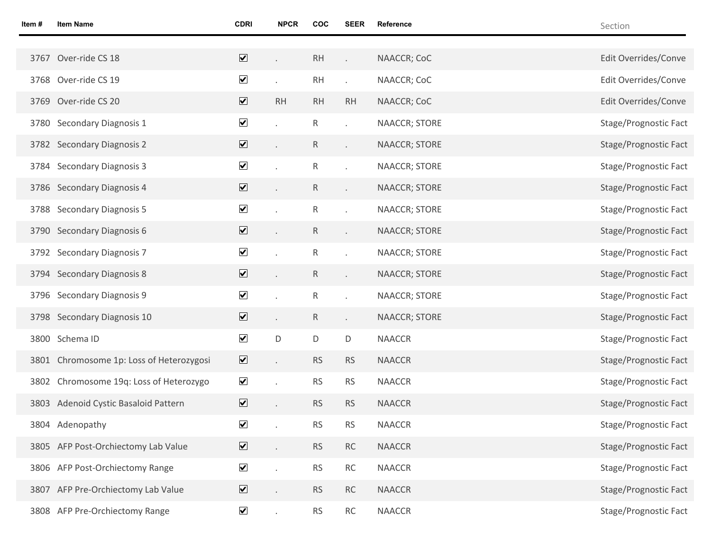| Item # | <b>Item Name</b>                         | <b>CDRI</b>                  | <b>NPCR</b> | <b>COC</b>   | <b>SEER</b>          | Reference            | Section               |
|--------|------------------------------------------|------------------------------|-------------|--------------|----------------------|----------------------|-----------------------|
|        |                                          |                              |             |              |                      |                      |                       |
| 3767   | Over-ride CS 18                          | $\boxed{\blacktriangledown}$ |             | RH           |                      | NAACCR; CoC          | Edit Overrides/Conve  |
|        | 3768 Over-ride CS 19                     | $\overline{\mathbf{v}}$      | ¥.          | RH           | ¥.                   | NAACCR; CoC          | Edit Overrides/Conve  |
|        | 3769 Over-ride CS 20                     | $\overline{\mathbf{v}}$      | RH          | <b>RH</b>    | <b>RH</b>            | NAACCR; CoC          | Edit Overrides/Conve  |
|        | 3780 Secondary Diagnosis 1               | $\blacktriangledown$         |             | ${\sf R}$    |                      | NAACCR; STORE        | Stage/Prognostic Fact |
|        | 3782 Secondary Diagnosis 2               | $\overline{\mathbf{v}}$      |             | $\mathsf{R}$ | $\epsilon$           | <b>NAACCR; STORE</b> | Stage/Prognostic Fact |
|        | 3784 Secondary Diagnosis 3               | $\blacktriangledown$         |             | ${\sf R}$    |                      | NAACCR; STORE        | Stage/Prognostic Fact |
|        | 3786 Secondary Diagnosis 4               | $\overline{\mathbf{v}}$      | ¥.          | $\mathsf{R}$ | k.                   | NAACCR; STORE        | Stage/Prognostic Fact |
|        | 3788 Secondary Diagnosis 5               | $\blacktriangledown$         |             | ${\sf R}$    | $\ddot{\phantom{0}}$ | NAACCR; STORE        | Stage/Prognostic Fact |
|        | 3790 Secondary Diagnosis 6               | $\overline{\mathbf{v}}$      | ¥.          | $\mathsf{R}$ | k.                   | <b>NAACCR; STORE</b> | Stage/Prognostic Fact |
|        | 3792 Secondary Diagnosis 7               | $\blacktriangledown$         |             | ${\sf R}$    |                      | NAACCR; STORE        | Stage/Prognostic Fact |
|        | 3794 Secondary Diagnosis 8               | $\overline{\mathbf{v}}$      | ¥.          | $\mathsf{R}$ | $\epsilon$           | NAACCR; STORE        | Stage/Prognostic Fact |
|        | 3796 Secondary Diagnosis 9               | $\blacktriangledown$         |             | ${\sf R}$    |                      | NAACCR; STORE        | Stage/Prognostic Fact |
|        | 3798 Secondary Diagnosis 10              | $\overline{\mathbf{v}}$      | ¥.          | $\mathsf{R}$ | $\epsilon$           | NAACCR; STORE        | Stage/Prognostic Fact |
|        | 3800 Schema ID                           | $\blacktriangledown$         | D           | D            | $\mathsf D$          | <b>NAACCR</b>        | Stage/Prognostic Fact |
|        | 3801 Chromosome 1p: Loss of Heterozygosi | $\overline{\mathbf{v}}$      | c.          | <b>RS</b>    | <b>RS</b>            | <b>NAACCR</b>        | Stage/Prognostic Fact |
|        | 3802 Chromosome 19q: Loss of Heterozygo  | $\blacktriangledown$         |             | <b>RS</b>    | <b>RS</b>            | <b>NAACCR</b>        | Stage/Prognostic Fact |
|        | 3803 Adenoid Cystic Basaloid Pattern     | $\overline{\mathbf{v}}$      |             | <b>RS</b>    | <b>RS</b>            | <b>NAACCR</b>        | Stage/Prognostic Fact |
|        | 3804 Adenopathy                          | $\blacktriangledown$         |             | <b>RS</b>    | <b>RS</b>            | <b>NAACCR</b>        | Stage/Prognostic Fact |
|        | 3805 AFP Post-Orchiectomy Lab Value      | $\overline{\mathbf{v}}$      |             | ${\sf RS}$   | RC                   | <b>NAACCR</b>        | Stage/Prognostic Fact |
|        | 3806 AFP Post-Orchiectomy Range          | $\blacktriangledown$         |             | <b>RS</b>    | RC                   | <b>NAACCR</b>        | Stage/Prognostic Fact |
|        | 3807 AFP Pre-Orchiectomy Lab Value       | $\overline{\mathbf{v}}$      |             | <b>RS</b>    | <b>RC</b>            | <b>NAACCR</b>        | Stage/Prognostic Fact |
|        | 3808 AFP Pre-Orchiectomy Range           | $\blacktriangledown$         |             | <b>RS</b>    | RC                   | <b>NAACCR</b>        | Stage/Prognostic Fact |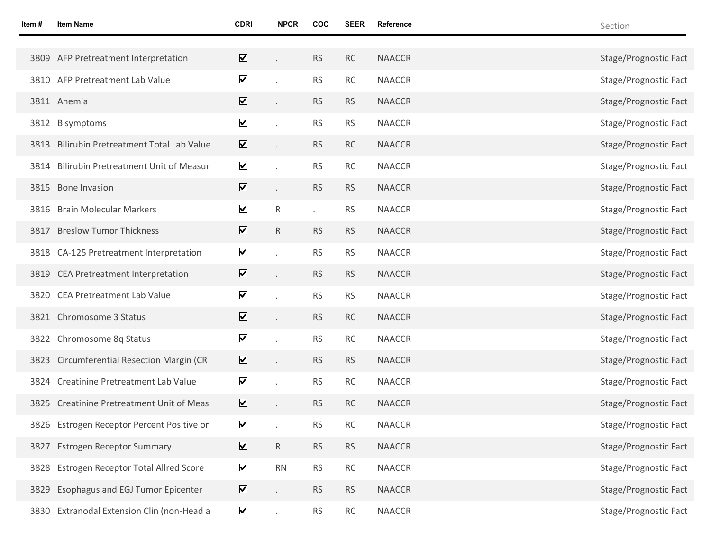| ltem # | <b>Item Name</b>                             | <b>CDRI</b>                  | <b>NPCR</b> | <b>COC</b> | <b>SEER</b> | Reference     | Section               |
|--------|----------------------------------------------|------------------------------|-------------|------------|-------------|---------------|-----------------------|
|        |                                              |                              |             |            |             |               |                       |
|        | 3809 AFP Pretreatment Interpretation         | $\overline{\mathbf{v}}$      |             | <b>RS</b>  | RC          | <b>NAACCR</b> | Stage/Prognostic Fact |
|        | 3810 AFP Pretreatment Lab Value              | $\overline{\mathbf{v}}$      |             | <b>RS</b>  | RC          | <b>NAACCR</b> | Stage/Prognostic Fact |
|        | 3811 Anemia                                  | $\overline{\mathbf{v}}$      |             | <b>RS</b>  | <b>RS</b>   | <b>NAACCR</b> | Stage/Prognostic Fact |
|        | 3812 B symptoms                              | $\blacktriangledown$         |             | <b>RS</b>  | <b>RS</b>   | <b>NAACCR</b> | Stage/Prognostic Fact |
| 3813   | Bilirubin Pretreatment Total Lab Value       | $\overline{\mathbf{v}}$      |             | <b>RS</b>  | RC          | <b>NAACCR</b> | Stage/Prognostic Fact |
| 3814   | <b>Bilirubin Pretreatment Unit of Measur</b> | $\blacktriangledown$         |             | <b>RS</b>  | RC          | <b>NAACCR</b> | Stage/Prognostic Fact |
|        | 3815 Bone Invasion                           | $\overline{\mathbf{v}}$      |             | <b>RS</b>  | <b>RS</b>   | <b>NAACCR</b> | Stage/Prognostic Fact |
| 3816   | <b>Brain Molecular Markers</b>               | $\blacktriangledown$         | R           | $\cdot$    | <b>RS</b>   | <b>NAACCR</b> | Stage/Prognostic Fact |
| 3817   | <b>Breslow Tumor Thickness</b>               | $\overline{\mathbf{v}}$      | R           | <b>RS</b>  | <b>RS</b>   | <b>NAACCR</b> | Stage/Prognostic Fact |
|        | 3818 CA-125 Pretreatment Interpretation      | $\blacktriangledown$         |             | <b>RS</b>  | <b>RS</b>   | <b>NAACCR</b> | Stage/Prognostic Fact |
|        | 3819 CEA Pretreatment Interpretation         | $\overline{\mathbf{v}}$      |             | <b>RS</b>  | <b>RS</b>   | <b>NAACCR</b> | Stage/Prognostic Fact |
|        | 3820 CEA Pretreatment Lab Value              | $\blacktriangledown$         |             | <b>RS</b>  | <b>RS</b>   | <b>NAACCR</b> | Stage/Prognostic Fact |
| 3821   | Chromosome 3 Status                          | $\overline{\mathbf{v}}$      |             | <b>RS</b>  | RC          | <b>NAACCR</b> | Stage/Prognostic Fact |
| 3822   | Chromosome 8q Status                         | $\blacktriangledown$         |             | <b>RS</b>  | <b>RC</b>   | <b>NAACCR</b> | Stage/Prognostic Fact |
| 3823   | <b>Circumferential Resection Margin (CR</b>  | $\overline{\mathbf{v}}$      |             | <b>RS</b>  | <b>RS</b>   | <b>NAACCR</b> | Stage/Prognostic Fact |
|        | 3824 Creatinine Pretreatment Lab Value       | $\blacktriangledown$         |             | <b>RS</b>  | RC          | <b>NAACCR</b> | Stage/Prognostic Fact |
|        | 3825 Creatinine Pretreatment Unit of Meas    | $\overline{\mathbf{v}}$      |             | <b>RS</b>  | RC          | <b>NAACCR</b> | Stage/Prognostic Fact |
|        | 3826 Estrogen Receptor Percent Positive or   | $\blacktriangledown$         |             | <b>RS</b>  | RC          | <b>NAACCR</b> | Stage/Prognostic Fact |
| 3827   | <b>Estrogen Receptor Summary</b>             | $\overline{\mathbf{v}}$      | $\mathsf R$ | <b>RS</b>  | <b>RS</b>   | <b>NAACCR</b> | Stage/Prognostic Fact |
| 3828   | Estrogen Receptor Total Allred Score         | $\blacktriangledown$         | RN          | <b>RS</b>  | RC          | <b>NAACCR</b> | Stage/Prognostic Fact |
| 3829   | Esophagus and EGJ Tumor Epicenter            | $\boxed{\blacktriangledown}$ |             | <b>RS</b>  | <b>RS</b>   | <b>NAACCR</b> | Stage/Prognostic Fact |
| 3830   | Extranodal Extension Clin (non-Head a        | $\blacktriangledown$         |             | <b>RS</b>  | RC          | <b>NAACCR</b> | Stage/Prognostic Fact |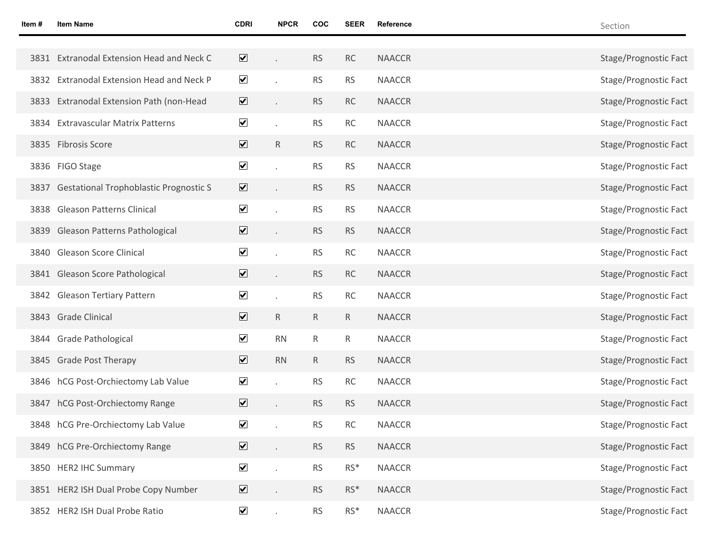| Item # | <b>Item Name</b>                              | <b>CDRI</b>                  | <b>NPCR</b>          | <b>COC</b>   | <b>SEER</b> | Reference     | Section               |
|--------|-----------------------------------------------|------------------------------|----------------------|--------------|-------------|---------------|-----------------------|
|        |                                               |                              |                      |              |             |               |                       |
| 3831   | <b>Extranodal Extension Head and Neck C</b>   | $\overline{\mathbf{v}}$      |                      | <b>RS</b>    | RC          | <b>NAACCR</b> | Stage/Prognostic Fact |
| 3832   | Extranodal Extension Head and Neck P          | $\overline{\mathbf{v}}$      |                      | <b>RS</b>    | <b>RS</b>   | <b>NAACCR</b> | Stage/Prognostic Fact |
|        | 3833 Extranodal Extension Path (non-Head      | $\overline{\mathbf{v}}$      |                      | <b>RS</b>    | RC          | <b>NAACCR</b> | Stage/Prognostic Fact |
|        | 3834 Extravascular Matrix Patterns            | $\blacktriangledown$         | $\cdot$              | <b>RS</b>    | RC          | <b>NAACCR</b> | Stage/Prognostic Fact |
|        | 3835 Fibrosis Score                           | $\overline{\mathbf{v}}$      | $\mathsf{R}$         | <b>RS</b>    | RC          | <b>NAACCR</b> | Stage/Prognostic Fact |
|        | 3836 FIGO Stage                               | $\blacktriangledown$         |                      | <b>RS</b>    | <b>RS</b>   | <b>NAACCR</b> | Stage/Prognostic Fact |
| 3837   | <b>Gestational Trophoblastic Prognostic S</b> | $\overline{\mathbf{v}}$      |                      | <b>RS</b>    | <b>RS</b>   | <b>NAACCR</b> | Stage/Prognostic Fact |
| 3838   | <b>Gleason Patterns Clinical</b>              | $\blacktriangledown$         |                      | <b>RS</b>    | <b>RS</b>   | <b>NAACCR</b> | Stage/Prognostic Fact |
| 3839   | Gleason Patterns Pathological                 | $\overline{\mathbf{v}}$      |                      | <b>RS</b>    | <b>RS</b>   | <b>NAACCR</b> | Stage/Prognostic Fact |
|        | 3840 Gleason Score Clinical                   | $\blacktriangledown$         |                      | <b>RS</b>    | RC          | <b>NAACCR</b> | Stage/Prognostic Fact |
|        | 3841 Gleason Score Pathological               | $\overline{\mathbf{v}}$      |                      | <b>RS</b>    | RC          | <b>NAACCR</b> | Stage/Prognostic Fact |
|        | 3842 Gleason Tertiary Pattern                 | $\blacktriangledown$         |                      | <b>RS</b>    | RC          | <b>NAACCR</b> | Stage/Prognostic Fact |
|        | 3843 Grade Clinical                           | $\overline{\mathbf{v}}$      | $\mathsf{R}$         | $\mathsf{R}$ | $\mathsf R$ | <b>NAACCR</b> | Stage/Prognostic Fact |
|        | 3844 Grade Pathological                       | $\blacktriangledown$         | <b>RN</b>            | $\mathsf{R}$ | R           | <b>NAACCR</b> | Stage/Prognostic Fact |
|        | 3845 Grade Post Therapy                       | $\overline{\mathbf{v}}$      | <b>RN</b>            | $\mathsf{R}$ | <b>RS</b>   | <b>NAACCR</b> | Stage/Prognostic Fact |
|        | 3846 hCG Post-Orchiectomy Lab Value           | $\blacktriangledown$         |                      | <b>RS</b>    | RC          | <b>NAACCR</b> | Stage/Prognostic Fact |
|        | 3847 hCG Post-Orchiectomy Range               | $\overline{\mathbf{v}}$      |                      | <b>RS</b>    | <b>RS</b>   | <b>NAACCR</b> | Stage/Prognostic Fact |
|        | 3848 hCG Pre-Orchiectomy Lab Value            | $\blacktriangledown$         |                      | <b>RS</b>    | RC          | <b>NAACCR</b> | Stage/Prognostic Fact |
|        | 3849 hCG Pre-Orchiectomy Range                | $\overline{\mathbf{v}}$      | $\ddot{\phantom{0}}$ | <b>RS</b>    | <b>RS</b>   | <b>NAACCR</b> | Stage/Prognostic Fact |
|        | 3850 HER2 IHC Summary                         | $\blacktriangledown$         | t.                   | <b>RS</b>    | $RS^*$      | <b>NAACCR</b> | Stage/Prognostic Fact |
|        | 3851 HER2 ISH Dual Probe Copy Number          | $\boxed{\blacktriangledown}$ | $\ddot{\phantom{0}}$ | <b>RS</b>    | $RS^*$      | <b>NAACCR</b> | Stage/Prognostic Fact |
|        | 3852 HER2 ISH Dual Probe Ratio                | $\blacktriangledown$         |                      | <b>RS</b>    | $RS^*$      | <b>NAACCR</b> | Stage/Prognostic Fact |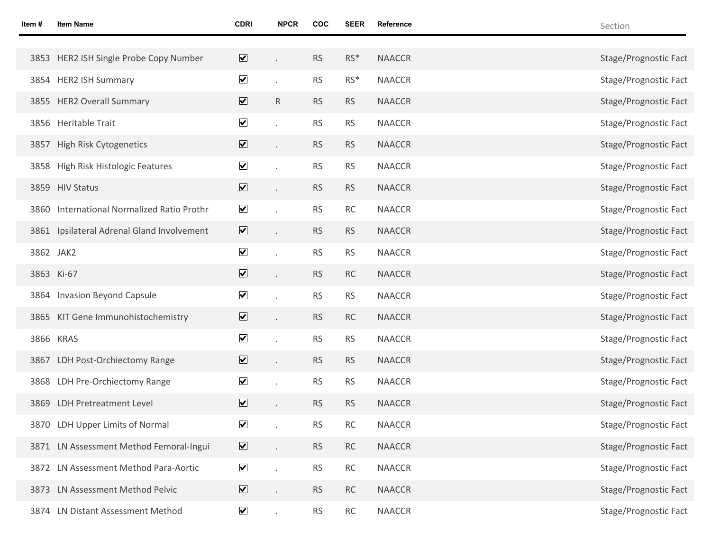| ltem # | <b>Item Name</b>                           | <b>CDRI</b>                  | <b>NPCR</b> | <b>COC</b> | <b>SEER</b> | Reference     | Section               |
|--------|--------------------------------------------|------------------------------|-------------|------------|-------------|---------------|-----------------------|
|        |                                            |                              |             |            |             |               |                       |
|        | 3853 HER2 ISH Single Probe Copy Number     | $\boxed{\blacktriangledown}$ |             | <b>RS</b>  | $RS*$       | <b>NAACCR</b> | Stage/Prognostic Fact |
|        | 3854 HER2 ISH Summary                      | $\overline{\mathbf{v}}$      |             | <b>RS</b>  | $RS*$       | <b>NAACCR</b> | Stage/Prognostic Fact |
|        | 3855 HER2 Overall Summary                  | $\overline{\mathbf{v}}$      | R           | <b>RS</b>  | <b>RS</b>   | <b>NAACCR</b> | Stage/Prognostic Fact |
|        | 3856 Heritable Trait                       | $\blacktriangledown$         |             | <b>RS</b>  | <b>RS</b>   | <b>NAACCR</b> | Stage/Prognostic Fact |
| 3857   | High Risk Cytogenetics                     | $\overline{\mathbf{v}}$      |             | <b>RS</b>  | <b>RS</b>   | <b>NAACCR</b> | Stage/Prognostic Fact |
| 3858   | High Risk Histologic Features              | $\blacktriangledown$         |             | <b>RS</b>  | <b>RS</b>   | <b>NAACCR</b> | Stage/Prognostic Fact |
|        | 3859 HIV Status                            | $\overline{\mathbf{v}}$      |             | <b>RS</b>  | <b>RS</b>   | <b>NAACCR</b> | Stage/Prognostic Fact |
| 3860   | International Normalized Ratio Prothr      | $\blacktriangledown$         |             | <b>RS</b>  | <b>RC</b>   | <b>NAACCR</b> | Stage/Prognostic Fact |
|        | 3861 Ipsilateral Adrenal Gland Involvement | $\overline{\mathbf{v}}$      |             | <b>RS</b>  | <b>RS</b>   | <b>NAACCR</b> | Stage/Prognostic Fact |
|        | 3862 JAK2                                  | $\blacktriangledown$         |             | <b>RS</b>  | <b>RS</b>   | <b>NAACCR</b> | Stage/Prognostic Fact |
|        | 3863 Ki-67                                 | $\overline{\mathbf{v}}$      |             | <b>RS</b>  | RC          | <b>NAACCR</b> | Stage/Prognostic Fact |
|        | 3864 Invasion Beyond Capsule               | $\blacktriangledown$         |             | <b>RS</b>  | <b>RS</b>   | <b>NAACCR</b> | Stage/Prognostic Fact |
|        | 3865 KIT Gene Immunohistochemistry         | $\overline{\mathbf{v}}$      |             | <b>RS</b>  | RC          | <b>NAACCR</b> | Stage/Prognostic Fact |
|        | 3866 KRAS                                  | $\blacktriangledown$         |             | <b>RS</b>  | <b>RS</b>   | <b>NAACCR</b> | Stage/Prognostic Fact |
|        | 3867 LDH Post-Orchiectomy Range            | $\overline{\mathbf{v}}$      |             | <b>RS</b>  | <b>RS</b>   | <b>NAACCR</b> | Stage/Prognostic Fact |
|        | 3868 LDH Pre-Orchiectomy Range             | $\blacktriangledown$         |             | <b>RS</b>  | <b>RS</b>   | <b>NAACCR</b> | Stage/Prognostic Fact |
|        | 3869 LDH Pretreatment Level                | $\overline{\mathbf{v}}$      |             | <b>RS</b>  | <b>RS</b>   | <b>NAACCR</b> | Stage/Prognostic Fact |
|        | 3870 LDH Upper Limits of Normal            | $\blacktriangledown$         |             | <b>RS</b>  | RC          | <b>NAACCR</b> | Stage/Prognostic Fact |
|        | 3871 LN Assessment Method Femoral-Ingui    | $\overline{\mathbf{v}}$      |             | <b>RS</b>  | RC          | <b>NAACCR</b> | Stage/Prognostic Fact |
|        | 3872 LN Assessment Method Para-Aortic      | $\blacktriangledown$         |             | <b>RS</b>  | RC          | <b>NAACCR</b> | Stage/Prognostic Fact |
|        | 3873 LN Assessment Method Pelvic           | $\overline{\mathbf{v}}$      |             | <b>RS</b>  | RC          | <b>NAACCR</b> | Stage/Prognostic Fact |
|        | 3874 LN Distant Assessment Method          | $\blacktriangledown$         |             | <b>RS</b>  | RC          | <b>NAACCR</b> | Stage/Prognostic Fact |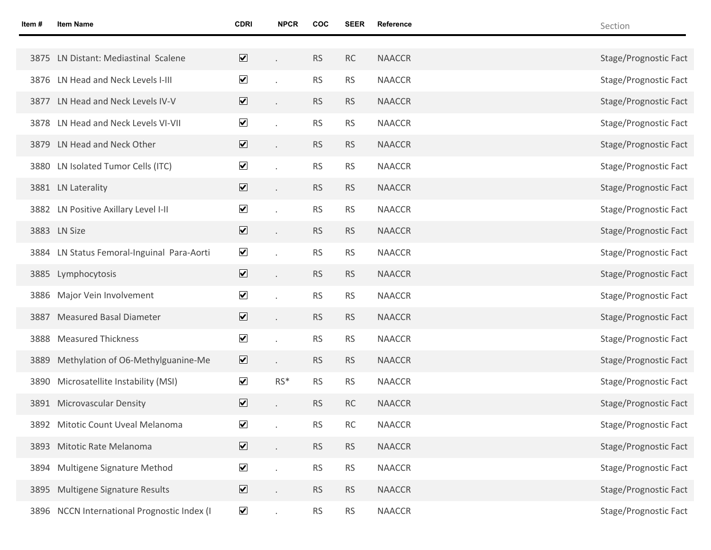| ltem # | <b>Item Name</b>                            | <b>CDRI</b>                  | <b>NPCR</b> | COC       | <b>SEER</b> | Reference     | Section               |
|--------|---------------------------------------------|------------------------------|-------------|-----------|-------------|---------------|-----------------------|
|        |                                             |                              |             |           |             |               |                       |
|        | 3875 LN Distant: Mediastinal Scalene        | $\overline{\mathbf{v}}$      |             | <b>RS</b> | RC          | <b>NAACCR</b> | Stage/Prognostic Fact |
|        | 3876 LN Head and Neck Levels I-III          | $\overline{\mathbf{v}}$      |             | <b>RS</b> | <b>RS</b>   | <b>NAACCR</b> | Stage/Prognostic Fact |
|        | 3877 LN Head and Neck Levels IV-V           | $\overline{\mathbf{v}}$      |             | <b>RS</b> | <b>RS</b>   | <b>NAACCR</b> | Stage/Prognostic Fact |
|        | 3878 LN Head and Neck Levels VI-VII         | $\blacktriangledown$         |             | <b>RS</b> | <b>RS</b>   | <b>NAACCR</b> | Stage/Prognostic Fact |
|        | 3879 LN Head and Neck Other                 | $\boxed{\blacktriangledown}$ |             | <b>RS</b> | <b>RS</b>   | <b>NAACCR</b> | Stage/Prognostic Fact |
|        | 3880 LN Isolated Tumor Cells (ITC)          | $\blacktriangledown$         |             | <b>RS</b> | <b>RS</b>   | <b>NAACCR</b> | Stage/Prognostic Fact |
|        | 3881 LN Laterality                          | $\overline{\mathbf{v}}$      |             | <b>RS</b> | <b>RS</b>   | <b>NAACCR</b> | Stage/Prognostic Fact |
|        | 3882 LN Positive Axillary Level I-II        | $\blacktriangledown$         |             | <b>RS</b> | <b>RS</b>   | <b>NAACCR</b> | Stage/Prognostic Fact |
|        | 3883 LN Size                                | $\overline{\mathbf{v}}$      |             | <b>RS</b> | <b>RS</b>   | <b>NAACCR</b> | Stage/Prognostic Fact |
|        | 3884 LN Status Femoral-Inguinal Para-Aorti  | $\blacktriangledown$         |             | <b>RS</b> | <b>RS</b>   | <b>NAACCR</b> | Stage/Prognostic Fact |
|        | 3885 Lymphocytosis                          | $\overline{\mathbf{v}}$      |             | <b>RS</b> | <b>RS</b>   | <b>NAACCR</b> | Stage/Prognostic Fact |
| 3886   | Major Vein Involvement                      | $\blacktriangledown$         |             | <b>RS</b> | <b>RS</b>   | <b>NAACCR</b> | Stage/Prognostic Fact |
| 3887   | <b>Measured Basal Diameter</b>              | $\overline{\mathbf{v}}$      |             | <b>RS</b> | <b>RS</b>   | <b>NAACCR</b> | Stage/Prognostic Fact |
| 3888   | <b>Measured Thickness</b>                   | $\blacktriangledown$         |             | <b>RS</b> | <b>RS</b>   | <b>NAACCR</b> | Stage/Prognostic Fact |
| 3889   | Methylation of O6-Methylguanine-Me          | $\overline{\mathbf{v}}$      |             | <b>RS</b> | <b>RS</b>   | <b>NAACCR</b> | Stage/Prognostic Fact |
|        | 3890 Microsatellite Instability (MSI)       | $\blacktriangledown$         | $RS*$       | <b>RS</b> | <b>RS</b>   | <b>NAACCR</b> | Stage/Prognostic Fact |
|        | 3891 Microvascular Density                  | $\overline{\mathbf{v}}$      |             | <b>RS</b> | RC          | <b>NAACCR</b> | Stage/Prognostic Fact |
|        | 3892 Mitotic Count Uveal Melanoma           | $\blacktriangledown$         |             | <b>RS</b> | RC          | <b>NAACCR</b> | Stage/Prognostic Fact |
|        | 3893 Mitotic Rate Melanoma                  | $\overline{\mathbf{v}}$      |             | RS        | <b>RS</b>   | <b>NAACCR</b> | Stage/Prognostic Fact |
| 3894   | Multigene Signature Method                  | $\blacktriangledown$         |             | <b>RS</b> | <b>RS</b>   | <b>NAACCR</b> | Stage/Prognostic Fact |
| 3895   | Multigene Signature Results                 | $\overline{\mathbf{v}}$      |             | <b>RS</b> | <b>RS</b>   | <b>NAACCR</b> | Stage/Prognostic Fact |
|        | 3896 NCCN International Prognostic Index (I | $\blacktriangledown$         |             | <b>RS</b> | <b>RS</b>   | <b>NAACCR</b> | Stage/Prognostic Fact |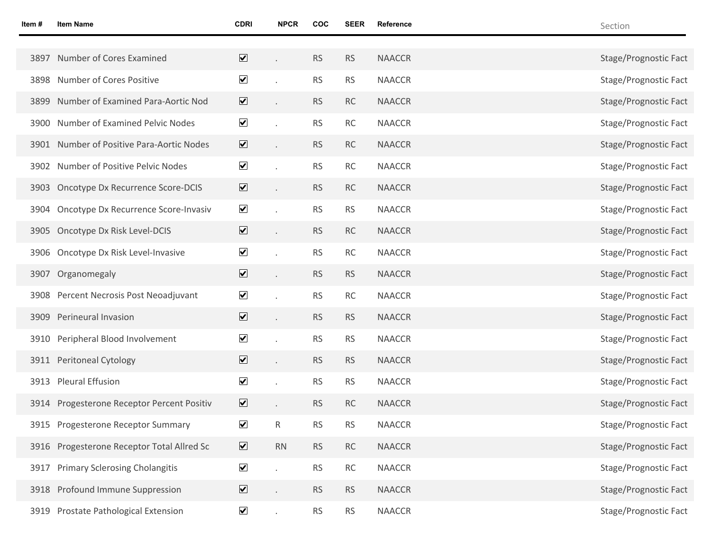| ltem # | <b>Item Name</b>                           | <b>CDRI</b>             | <b>NPCR</b> | <b>COC</b> | <b>SEER</b> | Reference     | Section               |
|--------|--------------------------------------------|-------------------------|-------------|------------|-------------|---------------|-----------------------|
|        |                                            |                         |             |            |             |               |                       |
| 3897   | Number of Cores Examined                   | $\overline{\mathbf{v}}$ |             | <b>RS</b>  | <b>RS</b>   | <b>NAACCR</b> | Stage/Prognostic Fact |
| 3898   | Number of Cores Positive                   | $\blacktriangledown$    |             | <b>RS</b>  | <b>RS</b>   | <b>NAACCR</b> | Stage/Prognostic Fact |
| 3899   | Number of Examined Para-Aortic Nod         | $\overline{\mathbf{v}}$ |             | <b>RS</b>  | RC          | <b>NAACCR</b> | Stage/Prognostic Fact |
| 3900   | Number of Examined Pelvic Nodes            | $\blacktriangledown$    |             | <b>RS</b>  | <b>RC</b>   | <b>NAACCR</b> | Stage/Prognostic Fact |
|        | 3901 Number of Positive Para-Aortic Nodes  | $\overline{\mathbf{v}}$ |             | <b>RS</b>  | <b>RC</b>   | <b>NAACCR</b> | Stage/Prognostic Fact |
| 3902   | Number of Positive Pelvic Nodes            | $\blacktriangledown$    |             | <b>RS</b>  | <b>RC</b>   | <b>NAACCR</b> | Stage/Prognostic Fact |
| 3903   | Oncotype Dx Recurrence Score-DCIS          | $\overline{\mathbf{v}}$ |             | <b>RS</b>  | RC          | <b>NAACCR</b> | Stage/Prognostic Fact |
| 3904   | Oncotype Dx Recurrence Score-Invasiv       | $\blacktriangledown$    |             | <b>RS</b>  | <b>RS</b>   | <b>NAACCR</b> | Stage/Prognostic Fact |
| 3905   | Oncotype Dx Risk Level-DCIS                | $\overline{\mathbf{v}}$ |             | <b>RS</b>  | <b>RC</b>   | <b>NAACCR</b> | Stage/Prognostic Fact |
| 3906   | Oncotype Dx Risk Level-Invasive            | $\blacktriangledown$    |             | <b>RS</b>  | <b>RC</b>   | <b>NAACCR</b> | Stage/Prognostic Fact |
| 3907   | Organomegaly                               | $\overline{\mathbf{v}}$ |             | <b>RS</b>  | <b>RS</b>   | <b>NAACCR</b> | Stage/Prognostic Fact |
| 3908   | Percent Necrosis Post Neoadjuvant          | $\blacktriangledown$    |             | <b>RS</b>  | RC          | <b>NAACCR</b> | Stage/Prognostic Fact |
| 3909   | Perineural Invasion                        | $\overline{\mathbf{v}}$ |             | <b>RS</b>  | <b>RS</b>   | <b>NAACCR</b> | Stage/Prognostic Fact |
| 3910   | Peripheral Blood Involvement               | $\blacktriangledown$    |             | <b>RS</b>  | <b>RS</b>   | <b>NAACCR</b> | Stage/Prognostic Fact |
|        | 3911 Peritoneal Cytology                   | $\overline{\mathbf{v}}$ |             | <b>RS</b>  | <b>RS</b>   | <b>NAACCR</b> | Stage/Prognostic Fact |
| 3913   | <b>Pleural Effusion</b>                    | $\blacktriangledown$    |             | <b>RS</b>  | <b>RS</b>   | <b>NAACCR</b> | Stage/Prognostic Fact |
|        | 3914 Progesterone Receptor Percent Positiv | $\overline{\mathbf{v}}$ |             | <b>RS</b>  | <b>RC</b>   | <b>NAACCR</b> | Stage/Prognostic Fact |
|        | 3915 Progesterone Receptor Summary         | $\blacktriangledown$    | R           | <b>RS</b>  | <b>RS</b>   | <b>NAACCR</b> | Stage/Prognostic Fact |
|        | 3916 Progesterone Receptor Total Allred Sc | $\overline{\mathbf{v}}$ | RN          | <b>RS</b>  | RC          | <b>NAACCR</b> | Stage/Prognostic Fact |
| 3917   | <b>Primary Sclerosing Cholangitis</b>      | $\blacktriangledown$    |             | <b>RS</b>  | RC          | <b>NAACCR</b> | Stage/Prognostic Fact |
|        | 3918 Profound Immune Suppression           | $\overline{\mathbf{v}}$ |             | <b>RS</b>  | <b>RS</b>   | <b>NAACCR</b> | Stage/Prognostic Fact |
| 3919   | Prostate Pathological Extension            | $\blacktriangledown$    |             | <b>RS</b>  | <b>RS</b>   | <b>NAACCR</b> | Stage/Prognostic Fact |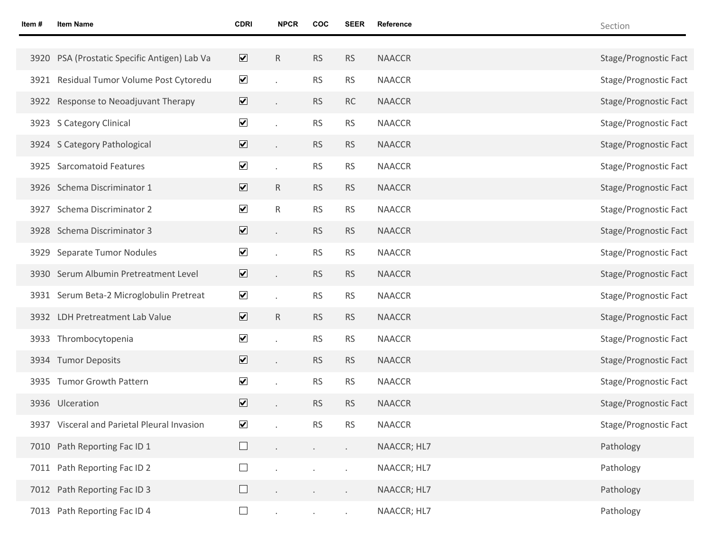| ltem # | <b>Item Name</b>                             | <b>CDRI</b>             | <b>NPCR</b>          | COC       | <b>SEER</b> | Reference     | Section                      |
|--------|----------------------------------------------|-------------------------|----------------------|-----------|-------------|---------------|------------------------------|
|        |                                              |                         |                      |           |             |               |                              |
|        | 3920 PSA (Prostatic Specific Antigen) Lab Va | $\overline{\mathbf{v}}$ | $\mathsf{R}$         | <b>RS</b> | <b>RS</b>   | <b>NAACCR</b> | Stage/Prognostic Fact        |
|        | 3921 Residual Tumor Volume Post Cytoredu     | $\blacktriangledown$    |                      | <b>RS</b> | <b>RS</b>   | <b>NAACCR</b> | Stage/Prognostic Fact        |
|        | 3922 Response to Neoadjuvant Therapy         | $\overline{\mathbf{v}}$ | $\ddot{\phantom{a}}$ | <b>RS</b> | RC          | <b>NAACCR</b> | Stage/Prognostic Fact        |
|        | 3923 S Category Clinical                     | $\blacktriangledown$    |                      | <b>RS</b> | <b>RS</b>   | <b>NAACCR</b> | Stage/Prognostic Fact        |
|        | 3924 S Category Pathological                 | $\overline{\mathbf{v}}$ | $\ddot{\phantom{0}}$ | <b>RS</b> | <b>RS</b>   | <b>NAACCR</b> | Stage/Prognostic Fact        |
|        | 3925 Sarcomatoid Features                    | $\blacktriangledown$    | ä,                   | <b>RS</b> | <b>RS</b>   | <b>NAACCR</b> | Stage/Prognostic Fact        |
|        | 3926 Schema Discriminator 1                  | $\overline{\mathbf{v}}$ | ${\sf R}$            | <b>RS</b> | <b>RS</b>   | <b>NAACCR</b> | Stage/Prognostic Fact        |
|        | 3927 Schema Discriminator 2                  | $\blacktriangledown$    | $\mathsf{R}$         | <b>RS</b> | <b>RS</b>   | <b>NAACCR</b> | <b>Stage/Prognostic Fact</b> |
|        | 3928 Schema Discriminator 3                  | $\overline{\mathbf{v}}$ |                      | <b>RS</b> | <b>RS</b>   | <b>NAACCR</b> | Stage/Prognostic Fact        |
|        | 3929 Separate Tumor Nodules                  | $\blacktriangledown$    |                      | <b>RS</b> | <b>RS</b>   | <b>NAACCR</b> | Stage/Prognostic Fact        |
|        | 3930 Serum Albumin Pretreatment Level        | $\overline{\mathbf{v}}$ | $\ddot{\phantom{0}}$ | <b>RS</b> | <b>RS</b>   | <b>NAACCR</b> | Stage/Prognostic Fact        |
|        | 3931 Serum Beta-2 Microglobulin Pretreat     | $\blacktriangledown$    |                      | <b>RS</b> | <b>RS</b>   | <b>NAACCR</b> | Stage/Prognostic Fact        |
|        | 3932 LDH Pretreatment Lab Value              | $\overline{\mathbf{v}}$ | $\mathsf R$          | <b>RS</b> | <b>RS</b>   | <b>NAACCR</b> | Stage/Prognostic Fact        |
|        | 3933 Thrombocytopenia                        | $\blacktriangledown$    |                      | <b>RS</b> | <b>RS</b>   | <b>NAACCR</b> | Stage/Prognostic Fact        |
|        | 3934 Tumor Deposits                          | $\overline{\mathbf{v}}$ | $\ddot{\phantom{0}}$ | <b>RS</b> | <b>RS</b>   | <b>NAACCR</b> | Stage/Prognostic Fact        |
|        | 3935 Tumor Growth Pattern                    | $\blacktriangledown$    |                      | <b>RS</b> | <b>RS</b>   | <b>NAACCR</b> | Stage/Prognostic Fact        |
|        | 3936 Ulceration                              | $\overline{\mathbf{v}}$ |                      | <b>RS</b> | <b>RS</b>   | <b>NAACCR</b> | Stage/Prognostic Fact        |
|        | 3937 Visceral and Parietal Pleural Invasion  | $\blacktriangledown$    |                      | <b>RS</b> | <b>RS</b>   | <b>NAACCR</b> | Stage/Prognostic Fact        |
|        | 7010 Path Reporting Fac ID 1                 | $\Box$                  | $\epsilon$           | $\sim$    | $\epsilon$  | NAACCR; HL7   | Pathology                    |
|        | 7011 Path Reporting Fac ID 2                 | $\Box$                  |                      |           |             | NAACCR; HL7   | Pathology                    |
|        | 7012 Path Reporting Fac ID 3                 | $\Box$                  | $\blacksquare$       |           |             | NAACCR; HL7   | Pathology                    |
|        | 7013 Path Reporting Fac ID 4                 | $\Box$                  |                      |           |             | NAACCR; HL7   | Pathology                    |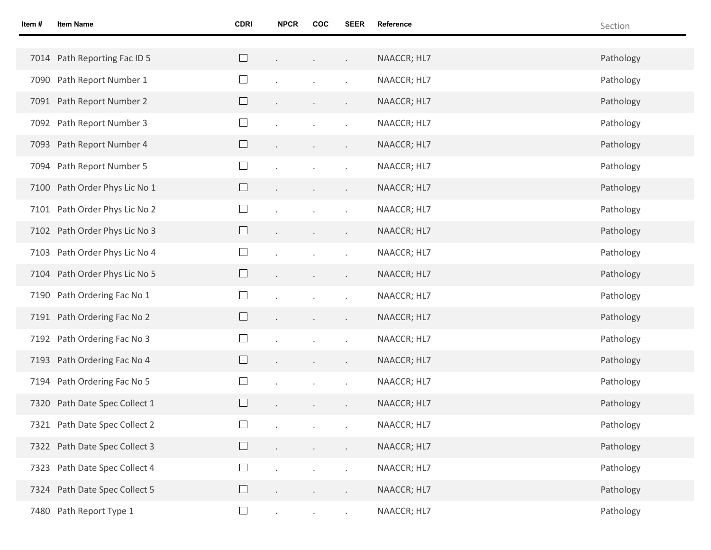| Item # | <b>Item Name</b>              | <b>CDRI</b>              | <b>NPCR</b> | COC                                         | <b>SEER</b>                 | Reference   | Section   |
|--------|-------------------------------|--------------------------|-------------|---------------------------------------------|-----------------------------|-------------|-----------|
|        |                               |                          |             |                                             |                             |             |           |
|        | 7014 Path Reporting Fac ID 5  |                          |             | and the state of the                        | $\mathcal{L}^{\mathcal{L}}$ | NAACCR; HL7 | Pathology |
|        | 7090 Path Report Number 1     | $\Box$                   |             |                                             |                             | NAACCR; HL7 | Pathology |
|        | 7091 Path Report Number 2     |                          |             | $\bullet$                                   |                             | NAACCR; HL7 | Pathology |
|        | 7092 Path Report Number 3     | ⊔                        |             |                                             |                             | NAACCR; HL7 | Pathology |
|        | 7093 Path Report Number 4     |                          |             | $\langle \cdot \rangle$                     |                             | NAACCR; HL7 | Pathology |
|        | 7094 Path Report Number 5     | $\Box$                   |             |                                             |                             | NAACCR; HL7 | Pathology |
|        | 7100 Path Order Phys Lic No 1 |                          |             | $\sim$                                      |                             | NAACCR; HL7 | Pathology |
|        | 7101 Path Order Phys Lic No 2 | ⊔                        |             |                                             |                             | NAACCR; HL7 | Pathology |
|        | 7102 Path Order Phys Lic No 3 |                          |             | $\sim$                                      |                             | NAACCR; HL7 | Pathology |
|        | 7103 Path Order Phys Lic No 4 | $\Box$                   |             |                                             |                             | NAACCR; HL7 | Pathology |
|        | 7104 Path Order Phys Lic No 5 | $\Box$                   |             | $\langle \cdot \rangle$                     |                             | NAACCR; HL7 | Pathology |
|        | 7190 Path Ordering Fac No 1   | $\Box$                   |             |                                             |                             | NAACCR; HL7 | Pathology |
|        | 7191 Path Ordering Fac No 2   | $\Box$                   |             | $\sim$                                      | $\epsilon$                  | NAACCR; HL7 | Pathology |
|        | 7192 Path Ordering Fac No 3   | ⊔                        |             |                                             |                             | NAACCR; HL7 | Pathology |
|        | 7193 Path Ordering Fac No 4   | $\Box$                   |             | $\mathbf{r} = \mathbf{r} \times \mathbf{r}$ | $\blacksquare$              | NAACCR; HL7 | Pathology |
|        | 7194 Path Ordering Fac No 5   | $\Box$                   |             |                                             |                             | NAACCR; HL7 | Pathology |
|        | 7320 Path Date Spec Collect 1 |                          |             | $\bullet$                                   |                             | NAACCR; HL7 | Pathology |
|        | 7321 Path Date Spec Collect 2 | $\overline{\phantom{0}}$ |             |                                             |                             | NAACCR; HL7 | Pathology |
|        | 7322 Path Date Spec Collect 3 |                          |             |                                             |                             | NAACCR; HL7 | Pathology |
|        | 7323 Path Date Spec Collect 4 | $\overline{\phantom{a}}$ |             |                                             |                             | NAACCR; HL7 | Pathology |
|        | 7324 Path Date Spec Collect 5 |                          |             |                                             |                             | NAACCR; HL7 | Pathology |
|        | 7480 Path Report Type 1       | $\Box$                   | $\epsilon$  |                                             |                             | NAACCR; HL7 | Pathology |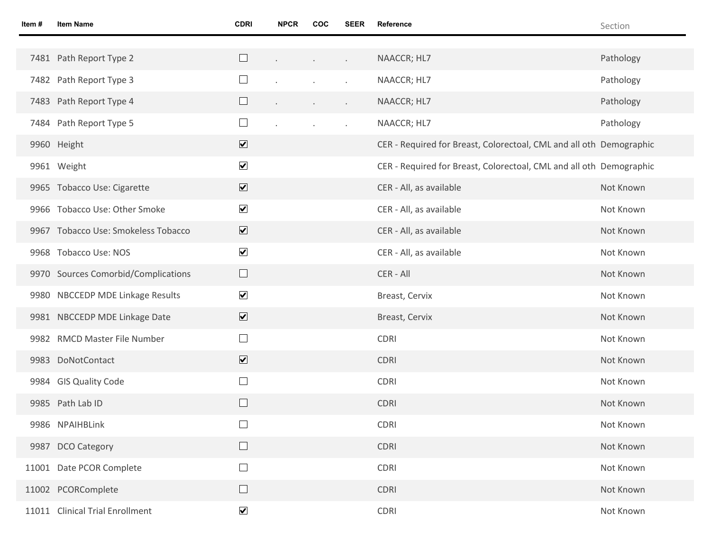| Item# | <b>Item Name</b>                    | <b>CDRI</b>             | <b>NPCR</b> | COC    | SEER                 | Reference                                                           | Section   |
|-------|-------------------------------------|-------------------------|-------------|--------|----------------------|---------------------------------------------------------------------|-----------|
|       |                                     |                         |             |        |                      |                                                                     |           |
|       | 7481 Path Report Type 2             | $\Box$                  |             | $\sim$ | $\epsilon$           | NAACCR; HL7                                                         | Pathology |
|       | 7482 Path Report Type 3             | $\Box$                  |             |        |                      | NAACCR; HL7                                                         | Pathology |
|       | 7483 Path Report Type 4             | $\Box$                  |             |        | $\ddot{\phantom{0}}$ | NAACCR; HL7                                                         | Pathology |
|       | 7484 Path Report Type 5             | $\Box$                  |             |        |                      | NAACCR; HL7                                                         | Pathology |
|       | 9960 Height                         | $\overline{\mathbf{v}}$ |             |        |                      | CER - Required for Breast, Colorectoal, CML and all oth Demographic |           |
|       | 9961 Weight                         | $\blacktriangledown$    |             |        |                      | CER - Required for Breast, Colorectoal, CML and all oth Demographic |           |
|       | 9965 Tobacco Use: Cigarette         | $\overline{\mathbf{v}}$ |             |        |                      | CER - All, as available                                             | Not Known |
|       | 9966 Tobacco Use: Other Smoke       | $\blacktriangledown$    |             |        |                      | CER - All, as available                                             | Not Known |
|       | 9967 Tobacco Use: Smokeless Tobacco | $\overline{\mathbf{v}}$ |             |        |                      | CER - All, as available                                             | Not Known |
|       | 9968 Tobacco Use: NOS               | $\blacktriangledown$    |             |        |                      | CER - All, as available                                             | Not Known |
|       | 9970 Sources Comorbid/Complications | $\Box$                  |             |        |                      | CER - All                                                           | Not Known |
|       | 9980 NBCCEDP MDE Linkage Results    | $\blacktriangledown$    |             |        |                      | Breast, Cervix                                                      | Not Known |
|       | 9981 NBCCEDP MDE Linkage Date       | $\overline{\mathbf{v}}$ |             |        |                      | Breast, Cervix                                                      | Not Known |
|       | 9982 RMCD Master File Number        | $\Box$                  |             |        |                      | <b>CDRI</b>                                                         | Not Known |
|       | 9983 DoNotContact                   | $\overline{\mathbf{v}}$ |             |        |                      | <b>CDRI</b>                                                         | Not Known |
|       | 9984 GIS Quality Code               | $\Box$                  |             |        |                      | CDRI                                                                | Not Known |
|       | 9985 Path Lab ID                    | $\Box$                  |             |        |                      | <b>CDRI</b>                                                         | Not Known |
|       | 9986 NPAIHBLink                     |                         |             |        |                      | CDRI                                                                | Not Known |
|       | 9987 DCO Category                   | $\Box$                  |             |        |                      | CDRI                                                                | Not Known |
|       | 11001 Date PCOR Complete            | $\Box$                  |             |        |                      | CDRI                                                                | Not Known |
|       | 11002 PCORComplete                  | $\Box$                  |             |        |                      | CDRI                                                                | Not Known |
|       | 11011 Clinical Trial Enrollment     | $\blacktriangledown$    |             |        |                      | CDRI                                                                | Not Known |